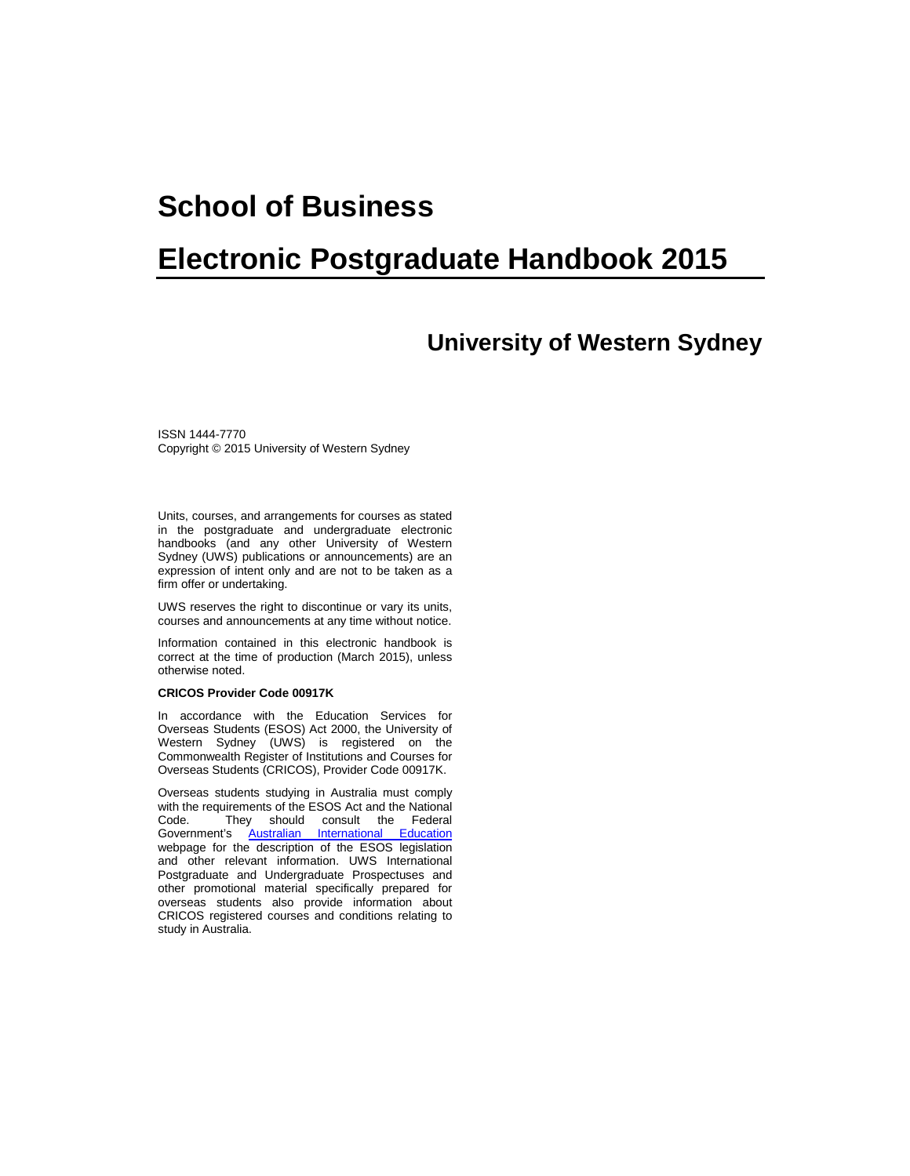# **School of Business**

# **Electronic Postgraduate Handbook 2015**

# **University of Western Sydney**

ISSN 1444-7770 Copyright © 2015 University of Western Sydney

Units, courses, and arrangements for courses as stated in the postgraduate and undergraduate electronic handbooks (and any other University of Western Sydney (UWS) publications or announcements) are an expression of intent only and are not to be taken as a firm offer or undertaking.

UWS reserves the right to discontinue or vary its units, courses and announcements at any time without notice.

Information contained in this electronic handbook is correct at the time of production (March 2015), unless otherwise noted.

#### **CRICOS Provider Code 00917K**

In accordance with the Education Services for Overseas Students (ESOS) Act 2000, the University of Western Sydney (UWS) is registered on the Commonwealth Register of Institutions and Courses for Overseas Students (CRICOS), Provider Code 00917K.

Overseas students studying in Australia must comply with the requirements of the ESOS Act and the National<br>Code. They should consult the Federal They should consult the Federal Government's [Australian International Education](https://internationaleducation.gov.au/regulatory-information/pages/regulatoryinformation.aspx) webpage for the description of the ESOS legislation and other relevant information. UWS International Postgraduate and Undergraduate Prospectuses and other promotional material specifically prepared for overseas students also provide information about CRICOS registered courses and conditions relating to study in Australia.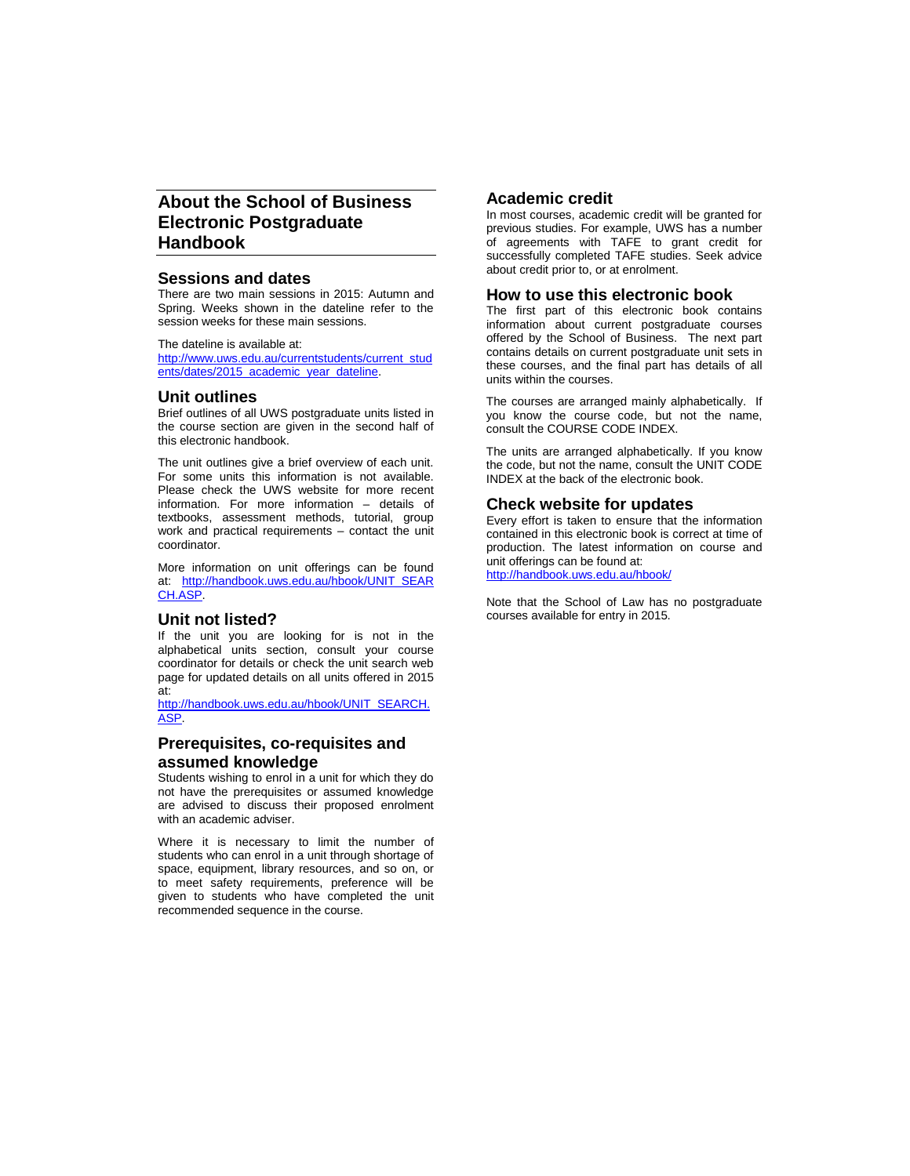### **About the School of Business Electronic Postgraduate Handbook**

#### **Sessions and dates**

There are two main sessions in 2015: Autumn and Spring. Weeks shown in the dateline refer to the session weeks for these main sessions.

The dateline is available at:

[http://www.uws.edu.au/currentstudents/current\\_stud](http://www.uws.edu.au/currentstudents/current_students/dates/2015_academic_year_dateline) [ents/dates/2015\\_academic\\_year\\_dateline.](http://www.uws.edu.au/currentstudents/current_students/dates/2015_academic_year_dateline)

#### **Unit outlines**

Brief outlines of all UWS postgraduate units listed in the course section are given in the second half of this electronic handbook.

The unit outlines give a brief overview of each unit. For some units this information is not available. Please check the UWS website for more recent information. For more information – details of textbooks, assessment methods, tutorial, group work and practical requirements – contact the unit coordinator.

More information on unit offerings can be found at: [http://handbook.uws.edu.au/hbook/UNIT\\_SEAR](http://handbook.uws.edu.au/hbook/UNIT_SEARCH.ASP) [CH.ASP.](http://handbook.uws.edu.au/hbook/UNIT_SEARCH.ASP)

### **Unit not listed?**

If the unit you are looking for is not in the alphabetical units section, consult your course coordinator for details or check the unit search web page for updated details on all units offered in 2015 at:

[http://handbook.uws.edu.au/hbook/UNIT\\_SEARCH.](http://handbook.uws.edu.au/hbook/UNIT_SEARCH.ASP) [ASP.](http://handbook.uws.edu.au/hbook/UNIT_SEARCH.ASP)

### **Prerequisites, co-requisites and assumed knowledge**

Students wishing to enrol in a unit for which they do not have the prerequisites or assumed knowledge are advised to discuss their proposed enrolment with an academic adviser.

Where it is necessary to limit the number of students who can enrol in a unit through shortage of space, equipment, library resources, and so on, or to meet safety requirements, preference will be given to students who have completed the unit recommended sequence in the course.

### **Academic credit**

In most courses, academic credit will be granted for previous studies. For example, UWS has a number of agreements with TAFE to grant credit for successfully completed TAFE studies. Seek advice about credit prior to, or at enrolment.

#### **How to use this electronic book**

The first part of this electronic book contains information about current postgraduate courses offered by the School of Business. The next part contains details on current postgraduate unit sets in these courses, and the final part has details of all units within the courses.

The courses are arranged mainly alphabetically. If you know the course code, but not the name, consult the COURSE CODE INDEX.

The units are arranged alphabetically. If you know the code, but not the name, consult the UNIT CODE INDEX at the back of the electronic book.

#### **Check website for updates**

Every effort is taken to ensure that the information contained in this electronic book is correct at time of production. The latest information on course and unit offerings can be found at: <http://handbook.uws.edu.au/hbook/>

Note that the School of Law has no postgraduate courses available for entry in 2015.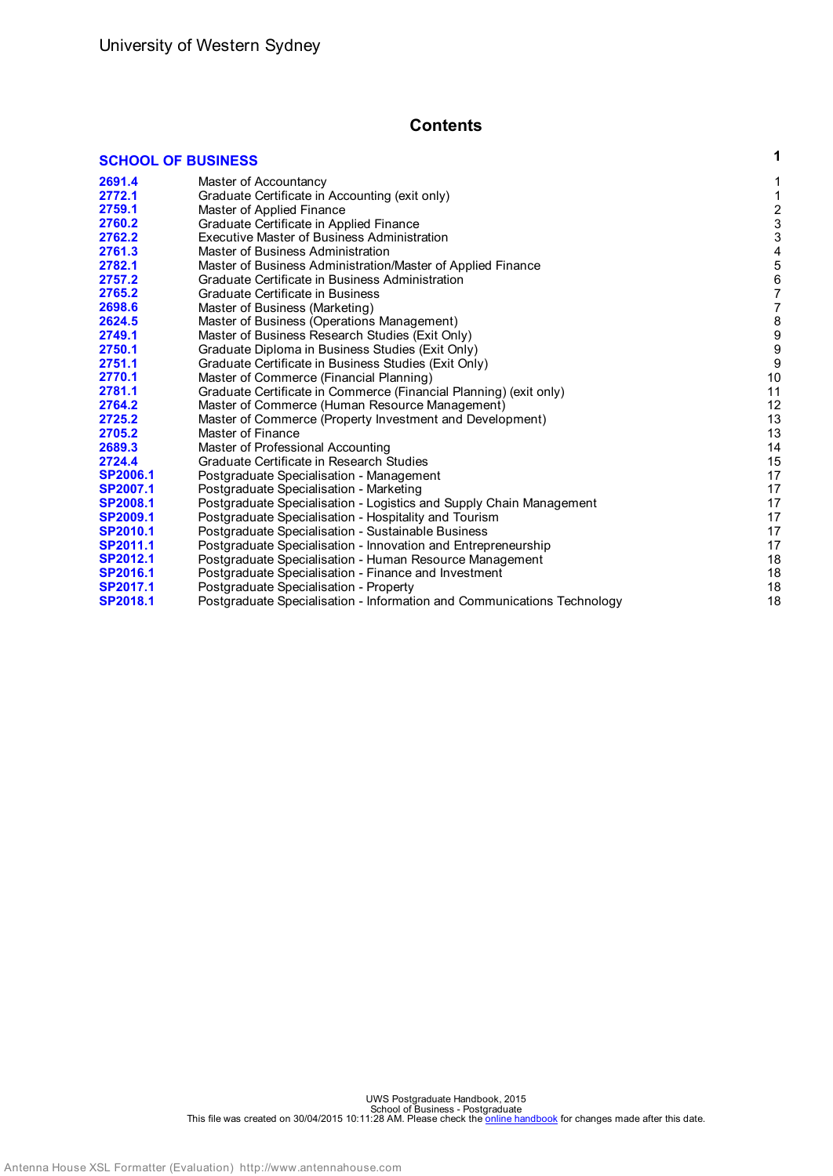# **Contents**

# **SCHOOL OF [BUSINESS](#page-4-0) 1**

| 2691.4          | Master of Accountancy                                                   |               |
|-----------------|-------------------------------------------------------------------------|---------------|
| 2772.1          | Graduate Certificate in Accounting (exit only)                          |               |
| 2759.1          | Master of Applied Finance                                               |               |
| 2760.2          | Graduate Certificate in Applied Finance                                 | $\frac{2}{3}$ |
| 2762.2          | <b>Executive Master of Business Administration</b>                      | 3             |
| 2761.3          | Master of Business Administration                                       | 4             |
| 2782.1          | Master of Business Administration/Master of Applied Finance             | 5             |
| 2757.2          | Graduate Certificate in Business Administration                         | 6             |
| 2765.2          | Graduate Certificate in Business                                        | 7             |
| 2698.6          | Master of Business (Marketing)                                          | 7             |
| 2624.5          | Master of Business (Operations Management)                              | 8             |
| 2749.1          | Master of Business Research Studies (Exit Only)                         | 9             |
| 2750.1          | Graduate Diploma in Business Studies (Exit Only)                        | 9             |
| 2751.1          | Graduate Certificate in Business Studies (Exit Only)                    | 9             |
| 2770.1          | Master of Commerce (Financial Planning)                                 | 10            |
| 2781.1          | Graduate Certificate in Commerce (Financial Planning) (exit only)       | 11            |
| 2764.2          | Master of Commerce (Human Resource Management)                          | 12            |
| 2725.2          | Master of Commerce (Property Investment and Development)                | 13            |
| 2705.2          | Master of Finance                                                       | 13            |
| 2689.3          | Master of Professional Accounting                                       | 14            |
| 2724.4          | Graduate Certificate in Research Studies                                | 15            |
| <b>SP2006.1</b> | Postgraduate Specialisation - Management                                | 17            |
| <b>SP2007.1</b> | Postgraduate Specialisation - Marketing                                 | 17            |
| <b>SP2008.1</b> | Postgraduate Specialisation - Logistics and Supply Chain Management     | 17            |
| <b>SP2009.1</b> | Postgraduate Specialisation - Hospitality and Tourism                   | 17            |
| SP2010.1        | Postgraduate Specialisation - Sustainable Business                      | 17            |
| SP2011.1        | Postgraduate Specialisation - Innovation and Entrepreneurship           | 17            |
| <b>SP2012.1</b> | Postgraduate Specialisation - Human Resource Management                 | 18            |
| SP2016.1        | Postgraduate Specialisation - Finance and Investment                    | 18            |
| <b>SP2017.1</b> | Postgraduate Specialisation - Property                                  | 18            |
| <b>SP2018.1</b> | Postgraduate Specialisation - Information and Communications Technology | 18            |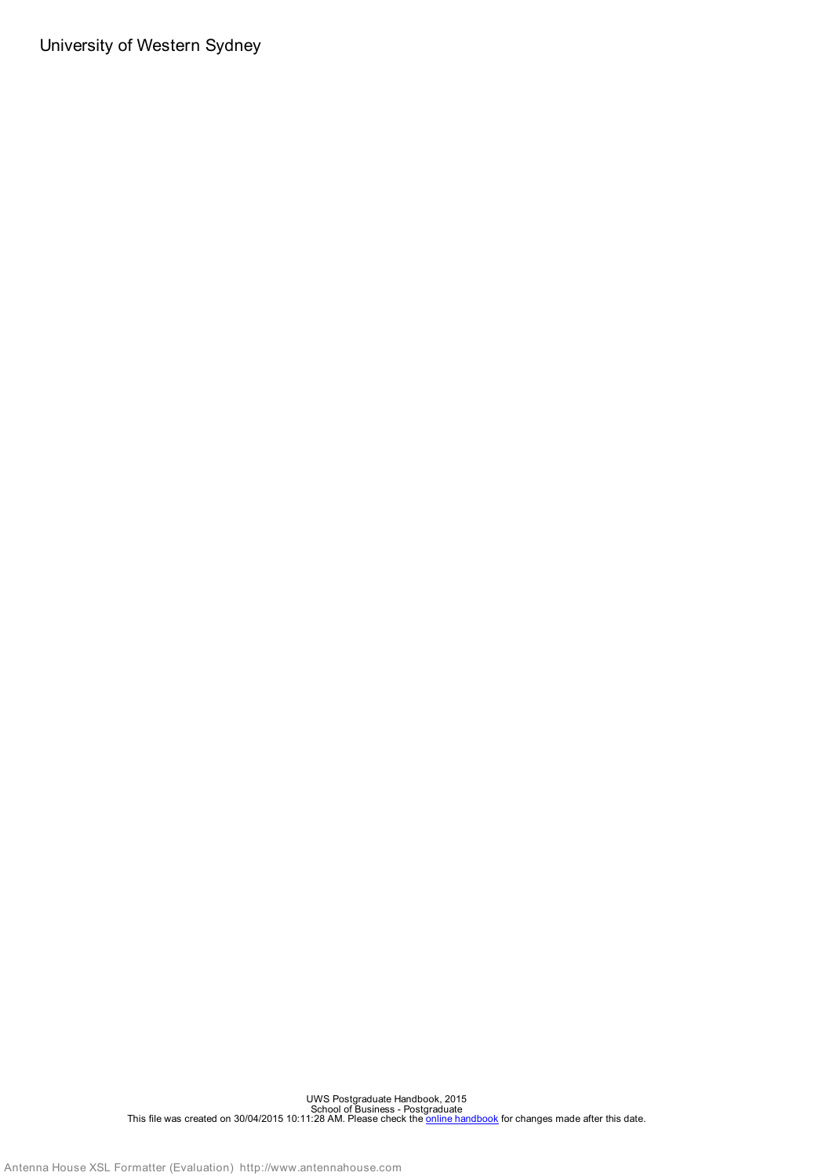University of Western Sydney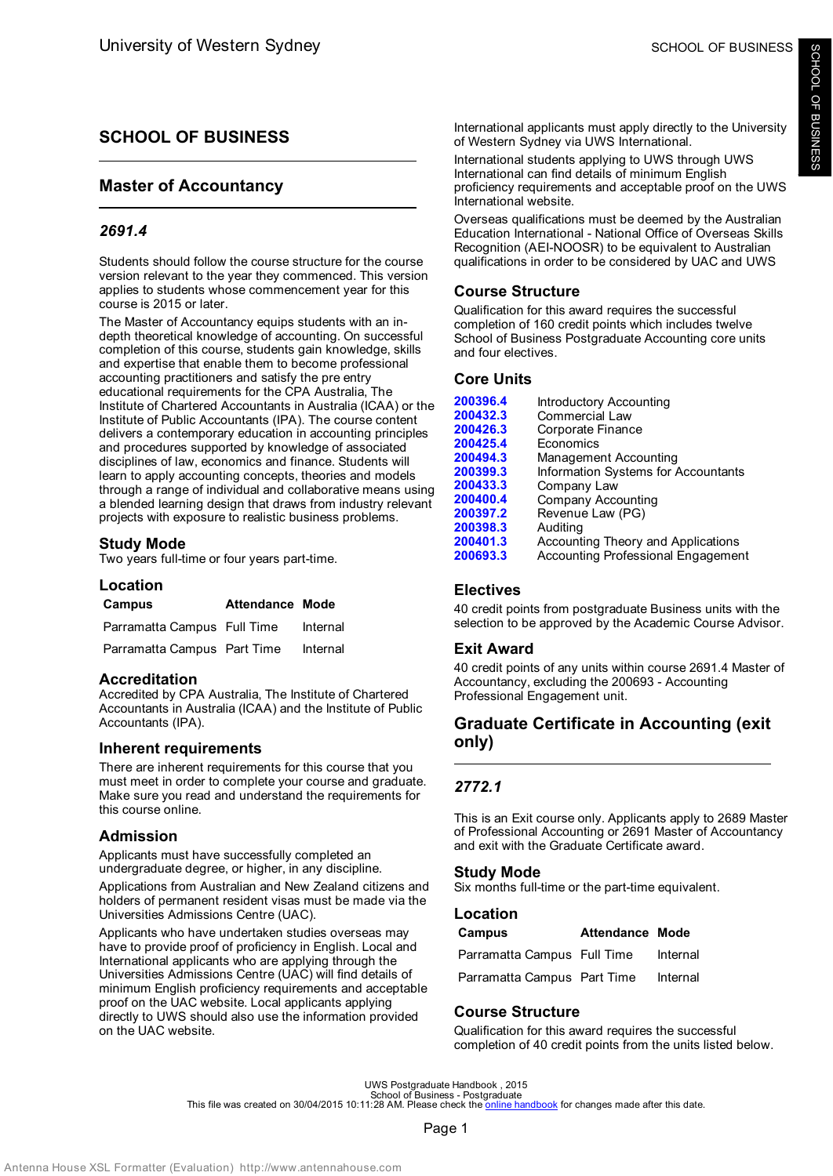# <span id="page-4-0"></span>**SCHOOL OF BUSINESS**

# **Master of Accountancy**

# *2691.4*

Students should follow the course structure for the course version relevant to the year they commenced. This version applies to students whose commencement year for this course is 2015 or later.

The Master of Accountancy equips students with an indepth theoretical knowledge of accounting. On successful completion of this course, students gain knowledge, skills and expertise that enable them to become professional accounting practitioners and satisfy the pre entry educational requirements for the CPA Australia, The Institute of Chartered Accountants in Australia (ICAA) or the Institute of Public Accountants (IPA). The course content delivers a contemporary education in accounting principles and procedures supported by knowledge of associated disciplines of law, economics and finance. Students will learn to apply accounting concepts, theories and models through a range of individual and collaborative means using a blended learning design that draws from industry relevant projects with exposure to realistic business problems.

# **Study Mode**

Two years full-time or four years part-time.

| Location                    |                        |          |
|-----------------------------|------------------------|----------|
| Campus                      | <b>Attendance Mode</b> |          |
| Parramatta Campus Full Time |                        | Internal |
| Parramatta Campus Part Time |                        | Internal |

# **Accreditation**

Accredited by CPA Australia, The Institute of Chartered Accountants in Australia (ICAA) and the Institute of Public Accountants (IPA).

# **Inherent requirements**

There are inherent requirements for this course that you must meet in order to complete your course and graduate. Make sure you read and understand the requirements for this course online.

# **Admission**

Applicants must have successfully completed an undergraduate degree, or higher, in any discipline.

Applications from Australian and New Zealand citizens and holders of permanent resident visas must be made via the Universities Admissions Centre (UAC).

Applicants who have undertaken studies overseas may have to provide proof of proficiency in English. Local and International applicants who are applying through the Universities Admissions Centre (UAC) will find details of minimum English proficiency requirements and acceptable proof on the UAC website. Local applicants applying directly to UWS should also use the information provided on the UAC website.

International applicants must apply directly to the University of Western Sydney via UWS International.

International students applying to UWS through UWS International can find details of minimum English proficiency requirements and acceptable proof on the UWS International website.

Overseas qualifications must be deemed by the Australian Education International - National Office of Overseas Skills Recognition (AEI-NOOSR) to be equivalent to Australian qualifications in order to be considered by UAC and UWS

# **Course Structure**

Qualification for this award requires the successful completion of 160 credit points which includes twelve School of Business Postgraduate Accounting core units and four electives.

### **Core Units**

| 200396.4 | <b>Introductory Accounting</b>      |
|----------|-------------------------------------|
| 200432.3 | Commercial Law                      |
| 200426.3 | Corporate Finance                   |
| 200425.4 | Economics                           |
| 200494.3 | Management Accounting               |
| 200399.3 | Information Systems for Accountants |
| 200433.3 | Company Law                         |
| 200400.4 | Company Accounting                  |
| 200397.2 | Revenue Law (PG)                    |
| 200398.3 | Auditing                            |
| 200401.3 | Accounting Theory and Applications  |
| 200693.3 | Accounting Professional Engagement  |

### **Electives**

40 credit points from postgraduate Business units with the selection to be approved by the Academic Course Advisor.

### **Exit Award**

40 credit points of any units within course 2691.4 Master of Accountancy, excluding the 200693 - Accounting Professional Engagement unit.

# **Graduate Certificate in Accounting (exit only)**

### *2772.1*

This is an Exit course only. Applicants apply to 2689 Master of Professional Accounting or 2691 Master of Accountancy and exit with the Graduate Certificate award.

### **Study Mode**

Six months full-time or the part-time equivalent.

### **Location**

| Campus                      | <b>Attendance Mode</b> |          |
|-----------------------------|------------------------|----------|
| Parramatta Campus Full Time |                        | Internal |
| Parramatta Campus Part Time |                        | Internal |

### **Course Structure**

Qualification for this award requires the successful completion of 40 credit points from the units listed below.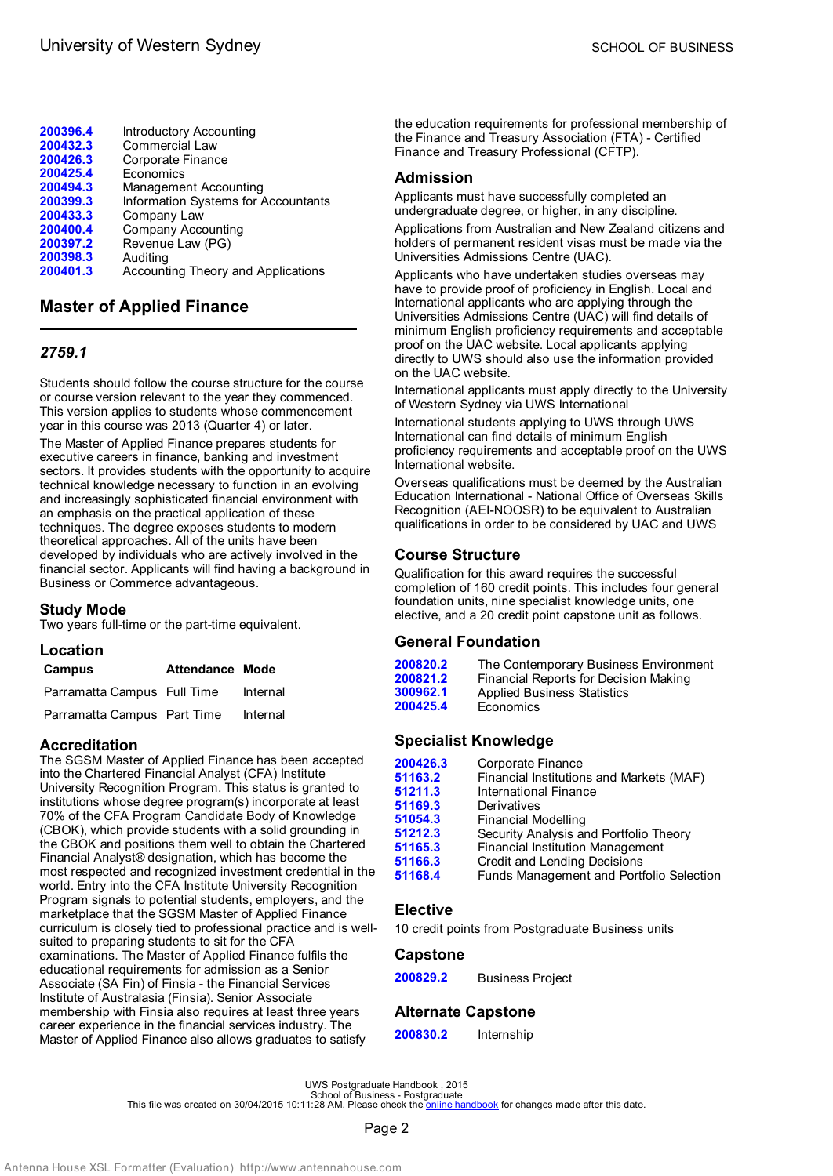<span id="page-5-0"></span>

| 200396.4 | Introductory Accounting                    |
|----------|--------------------------------------------|
| 200432.3 | Commercial Law                             |
| 200426.3 | Corporate Finance                          |
| 200425.4 | <b>Economics</b>                           |
| 200494.3 | Management Accounting                      |
| 200399.3 | <b>Information Systems for Accountants</b> |
| 200433.3 | Company Law                                |
| 200400.4 | Company Accounting                         |
| 200397.2 | Revenue Law (PG)                           |
| 200398.3 | Auditing                                   |
| 200401.3 | Accounting Theory and Applications         |
|          |                                            |

# **Master of Applied Finance**

### *2759.1*

Students should follow the course structure for the course or course version relevant to the year they commenced. This version applies to students whose commencement year in this course was 2013 (Quarter 4) or later.

The Master of Applied Finance prepares students for executive careers in finance, banking and investment sectors. It provides students with the opportunity to acquire technical knowledge necessary to function in an evolving and increasingly sophisticated financial environment with an emphasis on the practical application of these techniques. The degree exposes students to modern theoretical approaches. All of the units have been developed by individuals who are actively involved in the financial sector. Applicants will find having a background in Business or Commerce advantageous.

### **Study Mode**

Two years full-time or the part-time equivalent.

### **Location**

| <b>Campus</b>               | <b>Attendance Mode</b> |          |
|-----------------------------|------------------------|----------|
| Parramatta Campus Full Time |                        | Internal |
| Parramatta Campus Part Time |                        | Internal |

### **Accreditation**

The SGSM Master of Applied Finance has been accepted into the Chartered Financial Analyst (CFA) Institute University Recognition Program. This status is granted to institutions whose degree program(s) incorporate at least 70% of the CFA Program Candidate Body of Knowledge (CBOK), which provide students with a solid grounding in the CBOK and positions them well to obtain the Chartered Financial Analyst® designation, which has become the most respected and recognized investment credential in the world. Entry into the CFA Institute University Recognition Program signals to potential students, employers, and the marketplace that the SGSM Master of Applied Finance curriculum is closely tied to professional practice and is wellsuited to preparing students to sit for the CFA examinations. The Master of Applied Finance fulfils the educational requirements for admission as a Senior Associate (SA Fin) of Finsia - the Financial Services Institute of Australasia (Finsia). Senior Associate membership with Finsia also requires at least three years career experience in the financial services industry. The Master of Applied Finance also allows graduates to satisfy

the education requirements for professional membership of the Finance and Treasury Association (FTA) - Certified Finance and Treasury Professional (CFTP).

### **Admission**

Applicants must have successfully completed an undergraduate degree, or higher, in any discipline.

Applications from Australian and New Zealand citizens and holders of permanent resident visas must be made via the Universities Admissions Centre (UAC).

Applicants who have undertaken studies overseas may have to provide proof of proficiency in English. Local and International applicants who are applying through the Universities Admissions Centre (UAC) will find details of minimum English proficiency requirements and acceptable proof on the UAC website. Local applicants applying directly to UWS should also use the information provided on the UAC website.

International applicants must apply directly to the University of Western Sydney via UWS International

International students applying to UWS through UWS International can find details of minimum English proficiency requirements and acceptable proof on the UWS International website.

Overseas qualifications must be deemed by the Australian Education International - National Office of Overseas Skills Recognition (AEI-NOOSR) to be equivalent to Australian qualifications in order to be considered by UAC and UWS

### **Course Structure**

Qualification for this award requires the successful completion of 160 credit points. This includes four general foundation units, nine specialist knowledge units, one elective, and a 20 credit point capstone unit as follows.

#### **General Foundation**

| 200820.2 | The Contemporary Business Environment |
|----------|---------------------------------------|
| 200821.2 | Financial Reports for Decision Making |
| 300962.1 | <b>Applied Business Statistics</b>    |
| 200425.4 | Economics                             |
|          |                                       |

### **Specialist Knowledge**

| 200426.3 | Corporate Finance                        |
|----------|------------------------------------------|
| 51163.2  | Financial Institutions and Markets (MAF) |
| 51211.3  | International Finance                    |
| 51169.3  | Derivatives                              |
| 51054.3  | <b>Financial Modelling</b>               |
| 51212.3  | Security Analysis and Portfolio Theory   |
| 51165.3  | <b>Financial Institution Management</b>  |
| 51166.3  | Credit and Lending Decisions             |
| 51168.4  | Funds Management and Portfolio Selection |
|          |                                          |

### **Elective**

10 credit points from Postgraduate Business units

#### **Capstone**

**[200829.2](#page-25-0)** Business Project

### **Alternate Capstone**

**[200830.2](#page-35-0)** Internship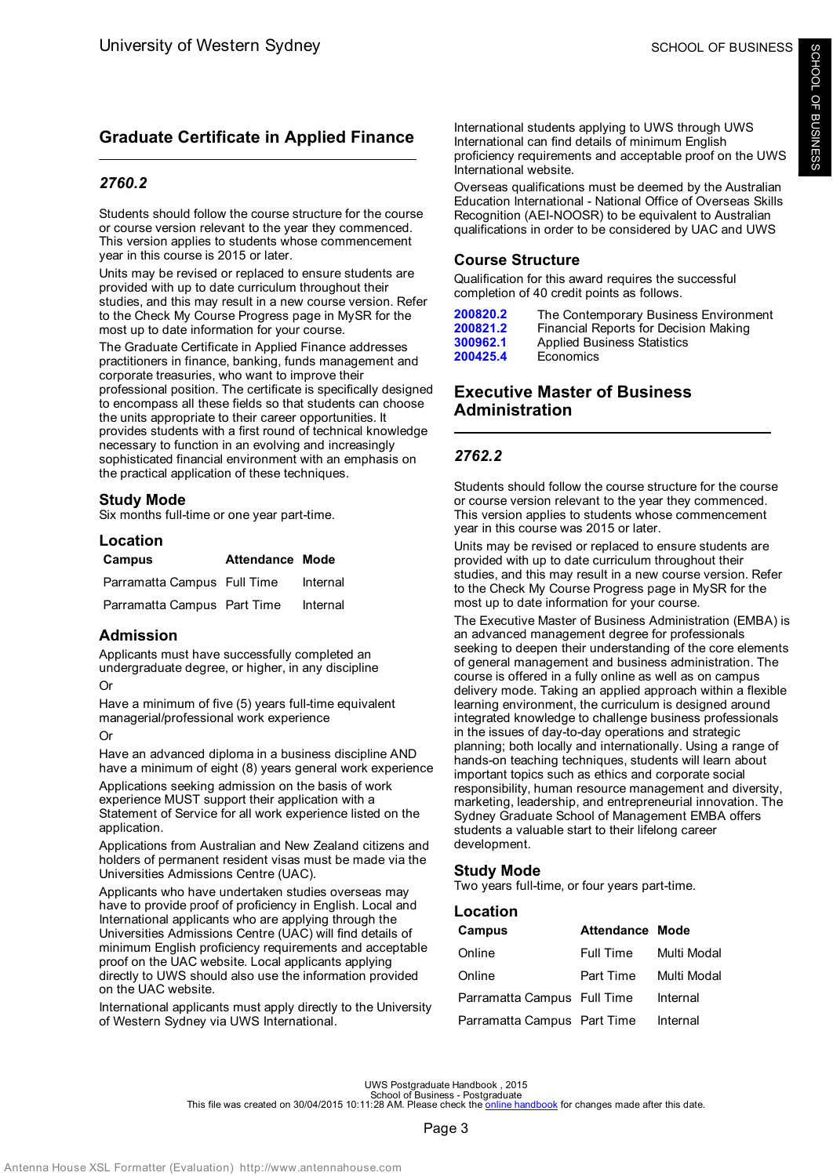# <span id="page-6-0"></span>**Graduate Certificate in Applied Finance**

# *2760.2*

Students should follow the course structure for the course or course version relevant to the year they commenced. This version applies to students whose commencement year in this course is 2015 or later.

Units may be revised or replaced to ensure students are provided with up to date curriculum throughout their studies, and this may result in a new course version. Refer to the Check My Course Progress page in MySR for the most up to date information for your course.

The Graduate Certificate in Applied Finance addresses practitioners in finance, banking, funds management and corporate treasuries, who want to improve their professional position. The certificate is specifically designed to encompass all these fields so that students can choose the units appropriate to their career opportunities. It provides students with a first round of technical knowledge necessary to function in an evolving and increasingly sophisticated financial environment with an emphasis on the practical application of these techniques.

### **Study Mode**

Six months full-time or one year part-time.

# **Location**

| Campus                      | <b>Attendance Mode</b> |          |
|-----------------------------|------------------------|----------|
| Parramatta Campus Full Time |                        | Internal |
| Parramatta Campus Part Time |                        | Internal |

### **Admission**

Applicants must have successfully completed an undergraduate degree, or higher, in any discipline Or

Have a minimum of five (5) years full-time equivalent managerial/professional work experience

Or

Have an advanced diploma in a business discipline AND have a minimum of eight (8) years general work experience

Applications seeking admission on the basis of work experience MUST support their application with a Statement of Service for all work experience listed on the application.

Applications from Australian and New Zealand citizens and holders of permanent resident visas must be made via the Universities Admissions Centre (UAC).

Applicants who have undertaken studies overseas may have to provide proof of proficiency in English. Local and International applicants who are applying through the Universities Admissions Centre (UAC) will find details of minimum English proficiency requirements and acceptable proof on the UAC website. Local applicants applying directly to UWS should also use the information provided on the UAC website.

International applicants must apply directly to the University of Western Sydney via UWS International.

International students applying to UWS through UWS International can find details of minimum English proficiency requirements and acceptable proof on the UWS International website.

Overseas qualifications must be deemed by the Australian Education International - National Office of Overseas Skills Recognition (AEI-NOOSR) to be equivalent to Australian qualifications in order to be considered by UAC and UWS

### **Course Structure**

Qualification for this award requires the successful completion of 40 credit points as follows.

| 200820.2 | The Contemporary Business Environment |
|----------|---------------------------------------|
| 200821.2 | Financial Reports for Decision Making |
| 300962.1 | Annlied Rusiness Statistics           |

**[300962.1](#page-23-0)** Applied Business Statistics **[200425.4](#page-30-0)** Economics

### **Executive Master of Business Administration**

# *2762.2*

Students should follow the course structure for the course or course version relevant to the year they commenced. This version applies to students whose commencement year in this course was 2015 or later.

Units may be revised or replaced to ensure students are provided with up to date curriculum throughout their studies, and this may result in a new course version. Refer to the Check My Course Progress page in MySR for the most up to date information for your course.

The Executive Master of Business Administration (EMBA) is an advanced management degree for professionals seeking to deepen their understanding of the core elements of general management and business administration. The course is offered in a fully online as well as on campus delivery mode. Taking an applied approach within a flexible learning environment, the curriculum is designed around integrated knowledge to challenge business professionals in the issues of day-to-day operations and strategic planning; both locally and internationally. Using a range of hands-on teaching techniques, students will learn about important topics such as ethics and corporate social responsibility, human resource management and diversity, marketing, leadership, and entrepreneurial innovation. The Sydney Graduate School of Management EMBA offers students a valuable start to their lifelong career development.

### **Study Mode**

Two years full-time, or four years part-time.

### **Location**

| Campus                      | <b>Attendance Mode</b> |             |
|-----------------------------|------------------------|-------------|
| Online                      | Full Time              | Multi Modal |
| Online                      | Part Time              | Multi Modal |
| Parramatta Campus Full Time |                        | Internal    |
| Parramatta Campus Part Time |                        | Internal    |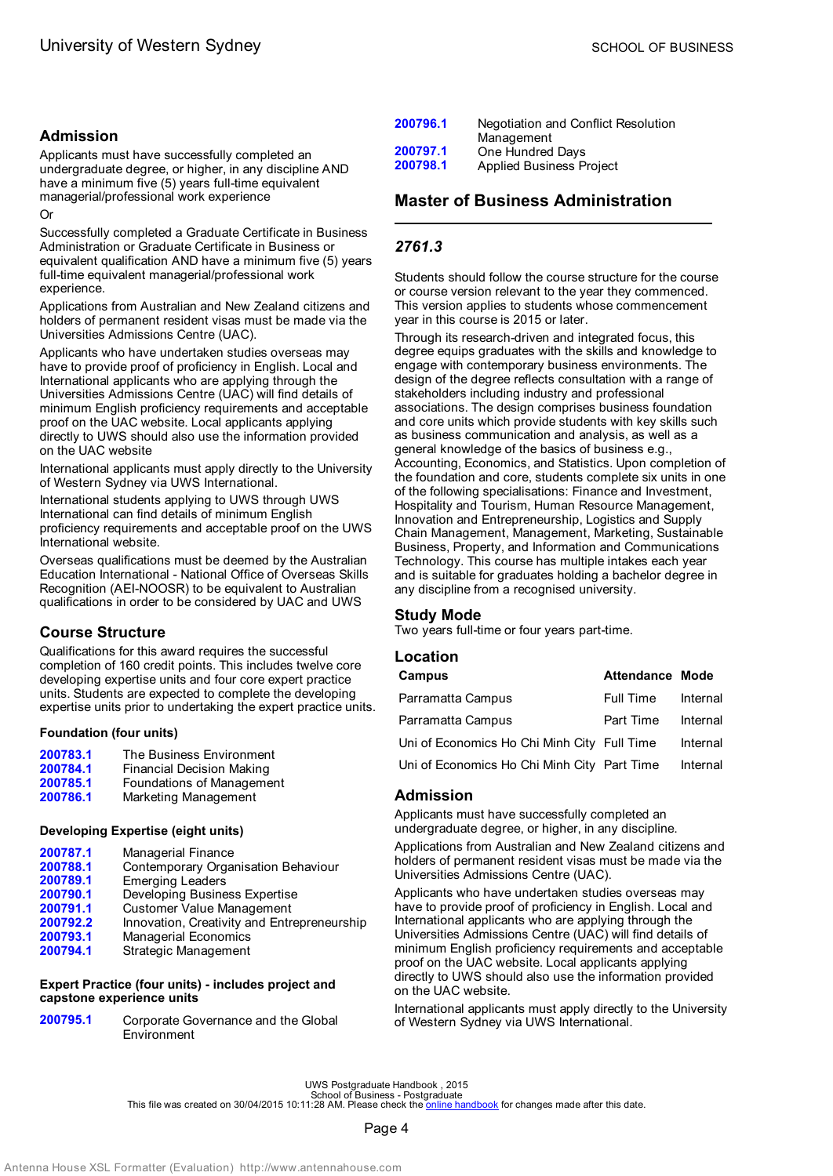### <span id="page-7-0"></span>**Admission**

Applicants must have successfully completed an undergraduate degree, or higher, in any discipline AND have a minimum five (5) years full-time equivalent managerial/professional work experience Or

Successfully completed a Graduate Certificate in Business Administration or Graduate Certificate in Business or equivalent qualification AND have a minimum five (5) years full-time equivalent managerial/professional work experience.

Applications from Australian and New Zealand citizens and holders of permanent resident visas must be made via the Universities Admissions Centre (UAC).

Applicants who have undertaken studies overseas may have to provide proof of proficiency in English. Local and International applicants who are applying through the Universities Admissions Centre (UAC) will find details of minimum English proficiency requirements and acceptable proof on the UAC website. Local applicants applying directly to UWS should also use the information provided on the UAC website

International applicants must apply directly to the University of Western Sydney via UWS International.

International students applying to UWS through UWS International can find details of minimum English proficiency requirements and acceptable proof on the UWS International website.

Overseas qualifications must be deemed by the Australian Education International - National Office of Overseas Skills Recognition (AEI-NOOSR) to be equivalent to Australian qualifications in order to be considered by UAC and UWS

### **Course Structure**

Qualifications for this award requires the successful completion of 160 credit points. This includes twelve core developing expertise units and four core expert practice units. Students are expected to complete the developing expertise units prior to undertaking the expert practice units.

#### **Foundation (four units)**

| 200783.1 | The Business Environment         |
|----------|----------------------------------|
| 200784.1 | <b>Financial Decision Making</b> |
| 200785.1 | Foundations of Management        |
| 200786.1 | Marketing Management             |

#### **Developing Expertise (eight units)**

| 200787.1 | Managerial Finance                          |
|----------|---------------------------------------------|
| 200788.1 | Contemporary Organisation Behaviour         |
| 200789.1 | <b>Emerging Leaders</b>                     |
| 200790.1 | Developing Business Expertise               |
| 200791.1 | <b>Customer Value Management</b>            |
| 200792.2 | Innovation, Creativity and Entrepreneurship |
| 200793.1 | <b>Managerial Economics</b>                 |
| 200794.1 | Strategic Management                        |

#### **Expert Practice (four units) - includes project and capstone experience units**

**[200795.1](#page-27-0)** Corporate Governance and the Global **Environment** 

# **Master of Business Administration**

### *2761.3*

Students should follow the course structure for the course or course version relevant to the year they commenced. This version applies to students whose commencement year in this course is 2015 or later.

Through its research-driven and integrated focus, this degree equips graduates with the skills and knowledge to engage with contemporary business environments. The design of the degree reflects consultation with a range of stakeholders including industry and professional associations. The design comprises business foundation and core units which provide students with key skills such as business communication and analysis, as well as a general knowledge of the basics of business e.g., Accounting, Economics, and Statistics. Upon completion of the foundation and core, students complete six units in one of the following specialisations: Finance and Investment, Hospitality and Tourism, Human Resource Management, Innovation and Entrepreneurship, Logistics and Supply Chain Management, Management, Marketing, Sustainable Business, Property, and Information and Communications Technology. This course has multiple intakes each year and is suitable for graduates holding a bachelor degree in any discipline from a recognised university.

#### **Study Mode**

Two years full-time or four years part-time.

| Location                                    |                 |          |
|---------------------------------------------|-----------------|----------|
| Campus                                      | Attendance Mode |          |
| Parramatta Campus                           | Full Time       | Internal |
| Parramatta Campus                           | Part Time       | Internal |
| Uni of Economics Ho Chi Minh City Full Time |                 | Internal |
| Uni of Economics Ho Chi Minh City Part Time |                 | Internal |

### **Admission**

Applicants must have successfully completed an undergraduate degree, or higher, in any discipline.

Applications from Australian and New Zealand citizens and holders of permanent resident visas must be made via the Universities Admissions Centre (UAC).

Applicants who have undertaken studies overseas may have to provide proof of proficiency in English. Local and International applicants who are applying through the Universities Admissions Centre (UAC) will find details of minimum English proficiency requirements and acceptable proof on the UAC website. Local applicants applying directly to UWS should also use the information provided on the UAC website.

International applicants must apply directly to the University of Western Sydney via UWS International.

UWS Postgraduate Handbook , 2015 School of Business - Postgraduate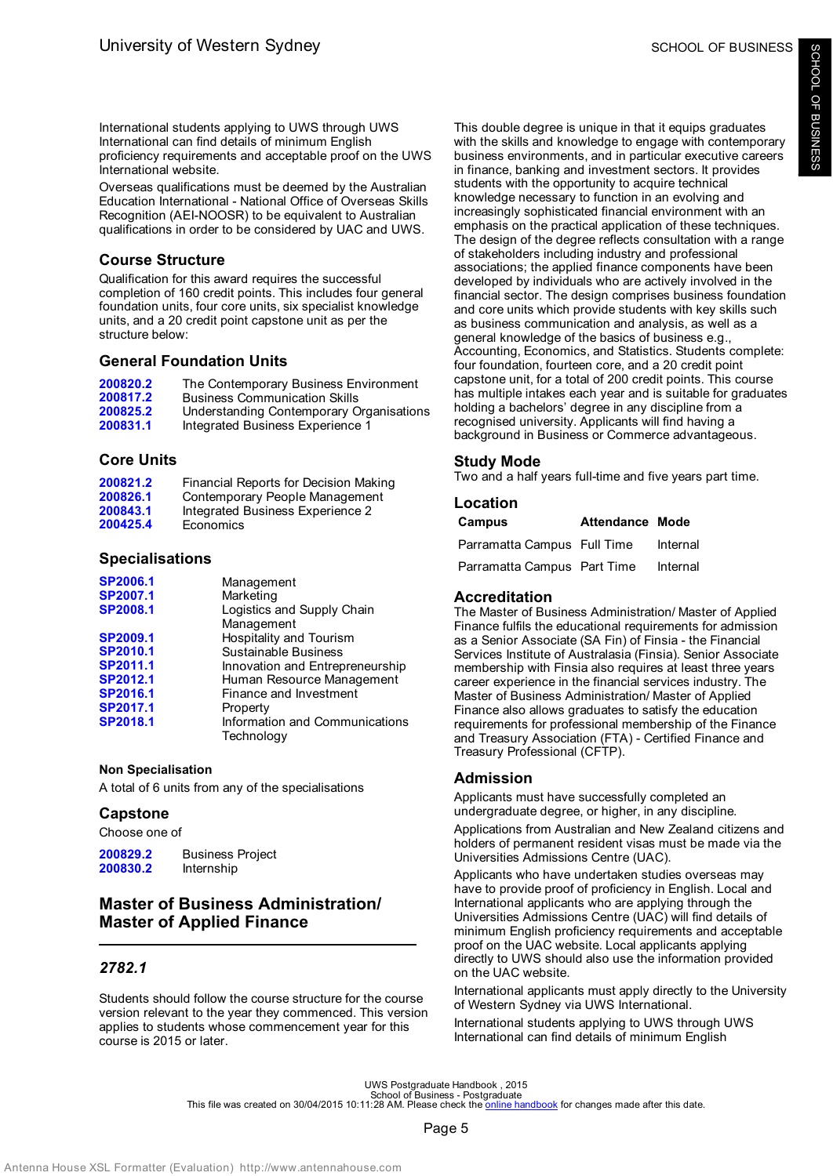<span id="page-8-0"></span>International students applying to UWS through UWS International can find details of minimum English proficiency requirements and acceptable proof on the UWS International website.

Overseas qualifications must be deemed by the Australian Education International - National Office of Overseas Skills Recognition (AEI-NOOSR) to be equivalent to Australian qualifications in order to be considered by UAC and UWS.

# **Course Structure**

Qualification for this award requires the successful completion of 160 credit points. This includes four general foundation units, four core units, six specialist knowledge units, and a 20 credit point capstone unit as per the structure below:

# **General Foundation Units**

| 200820.2 | The Contemporary Business Environment    |
|----------|------------------------------------------|
| 200817.2 | <b>Business Communication Skills</b>     |
| 200825.2 | Understanding Contemporary Organisations |
| 200831.1 | Integrated Business Experience 1         |

# **Core Units**

| 200821.2 | Financial Reports for Decision Making |
|----------|---------------------------------------|
| 200826.1 | Contemporary People Management        |
| 200843.1 | Integrated Business Experience 2      |
| 200425.4 | Economics                             |

# **Specialisations**

| <b>SP2006.1</b> | Management                      |
|-----------------|---------------------------------|
| <b>SP2007.1</b> | Marketing                       |
| <b>SP2008.1</b> | Logistics and Supply Chain      |
|                 | Management                      |
| <b>SP2009.1</b> | <b>Hospitality and Tourism</b>  |
| SP2010.1        | Sustainable Business            |
| SP2011.1        | Innovation and Entrepreneurship |
| SP2012.1        | Human Resource Management       |
| SP2016.1        | Finance and Investment          |
| <b>SP2017.1</b> | Property                        |
| <b>SP2018.1</b> | Information and Communications  |
|                 | Technology                      |

# **Non Specialisation**

A total of 6 units from any of the specialisations

# **Capstone**

Choose one of

| 200829.2 | <b>Business Project</b> |
|----------|-------------------------|
| 200830.2 | Internship              |

### **Master of Business Administration/ Master of Applied Finance**

# *2782.1*

Students should follow the course structure for the course version relevant to the year they commenced. This version applies to students whose commencement year for this course is 2015 or later.

This double degree is unique in that it equips graduates with the skills and knowledge to engage with contemporary business environments, and in particular executive careers in finance, banking and investment sectors. It provides students with the opportunity to acquire technical knowledge necessary to function in an evolving and increasingly sophisticated financial environment with an emphasis on the practical application of these techniques. The design of the degree reflects consultation with a range of stakeholders including industry and professional associations; the applied finance components have been developed by individuals who are actively involved in the financial sector. The design comprises business foundation and core units which provide students with key skills such as business communication and analysis, as well as a general knowledge of the basics of business e.g., Accounting, Economics, and Statistics. Students complete: four foundation, fourteen core, and a 20 credit point capstone unit, for a total of 200 credit points. This course has multiple intakes each year and is suitable for graduates holding a bachelors' degree in any discipline from a recognised university. Applicants will find having a background in Business or Commerce advantageous.

### **Study Mode**

Two and a half years full-time and five years part time.

### **Location**

| Campus                      | Attendance Mode |          |
|-----------------------------|-----------------|----------|
| Parramatta Campus Full Time |                 | Internal |
| Parramatta Campus Part Time |                 | Internal |

### **Accreditation**

The Master of Business Administration/ Master of Applied Finance fulfils the educational requirements for admission as a Senior Associate (SA Fin) of Finsia - the Financial Services Institute of Australasia (Finsia). Senior Associate membership with Finsia also requires at least three years career experience in the financial services industry. The Master of Business Administration/ Master of Applied Finance also allows graduates to satisfy the education requirements for professional membership of the Finance and Treasury Association (FTA) - Certified Finance and Treasury Professional (CFTP).

### **Admission**

Applicants must have successfully completed an undergraduate degree, or higher, in any discipline.

Applications from Australian and New Zealand citizens and holders of permanent resident visas must be made via the Universities Admissions Centre (UAC).

Applicants who have undertaken studies overseas may have to provide proof of proficiency in English. Local and International applicants who are applying through the Universities Admissions Centre (UAC) will find details of minimum English proficiency requirements and acceptable proof on the UAC website. Local applicants applying directly to UWS should also use the information provided on the UAC website.

International applicants must apply directly to the University of Western Sydney via UWS International.

International students applying to UWS through UWS International can find details of minimum English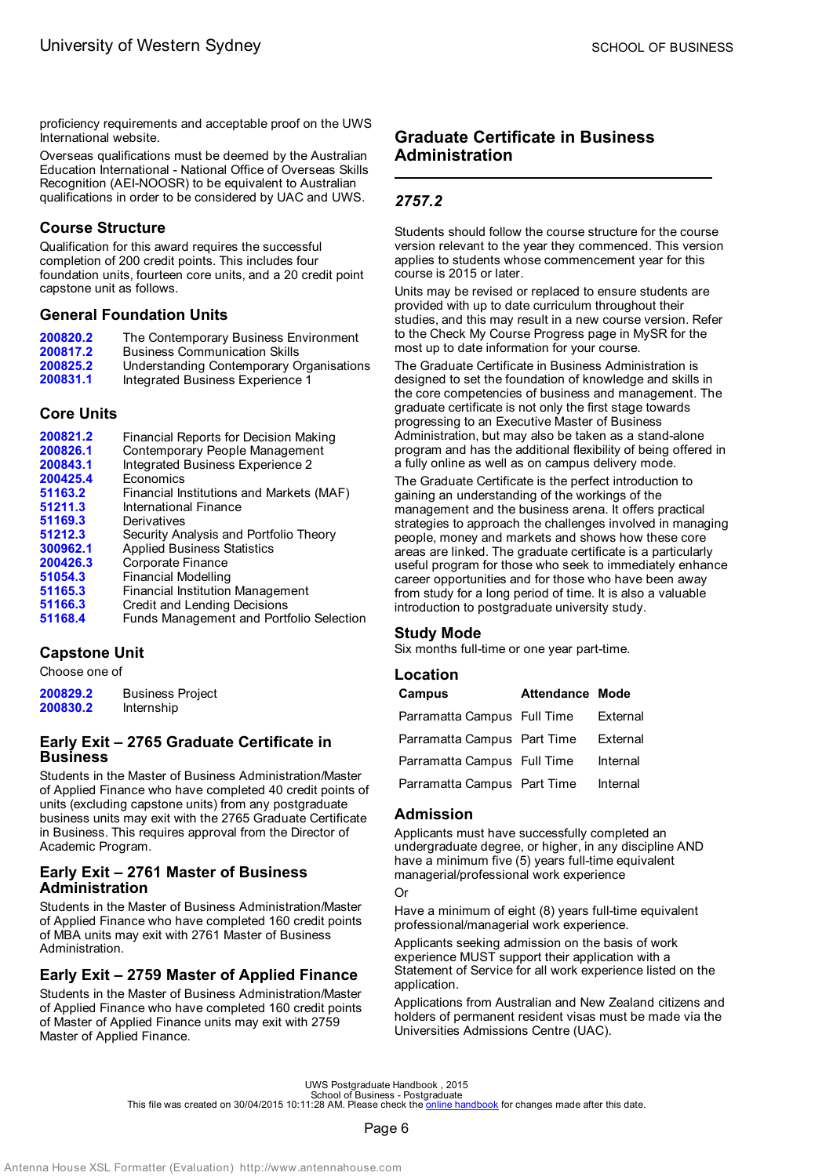<span id="page-9-0"></span>proficiency requirements and acceptable proof on the UWS International website.

Overseas qualifications must be deemed by the Australian Education International - National Office of Overseas Skills Recognition (AEI-NOOSR) to be equivalent to Australian qualifications in order to be considered by UAC and UWS.

### **Course Structure**

Qualification for this award requires the successful completion of 200 credit points. This includes four foundation units, fourteen core units, and a 20 credit point capstone unit as follows.

### **General Foundation Units**

| 200820.2 | The Contemporary Business Environment    |
|----------|------------------------------------------|
| 200817.2 | <b>Business Communication Skills</b>     |
| 200825.2 | Understanding Contemporary Organisations |
| 200831.1 | Integrated Business Experience 1         |

### **Core Units**

| 200821.2 | Financial Reports for Decision Making    |
|----------|------------------------------------------|
| 200826.1 | Contemporary People Management           |
| 200843.1 | Integrated Business Experience 2         |
| 200425.4 | Economics                                |
| 51163.2  | Financial Institutions and Markets (MAF) |
| 51211.3  | International Finance                    |
| 51169.3  | Derivatives                              |
| 51212.3  | Security Analysis and Portfolio Theory   |
| 300962.1 | <b>Applied Business Statistics</b>       |
| 200426.3 | Corporate Finance                        |
| 51054.3  | <b>Financial Modelling</b>               |
| 51165.3  | <b>Financial Institution Management</b>  |
| 51166.3  | Credit and Lending Decisions             |
| 51168.4  | Funds Management and Portfolio Selection |
|          |                                          |

# **Capstone Unit**

Choose one of

| 200829.2 | <b>Business Project</b> |
|----------|-------------------------|
| 200830.2 | Internship              |

### **Early Exit – 2765 Graduate Certificate in Business**

Students in the Master of Business Administration/Master of Applied Finance who have completed 40 credit points of units (excluding capstone units) from any postgraduate business units may exit with the 2765 Graduate Certificate in Business. This requires approval from the Director of Academic Program.

### **Early Exit – 2761 Master of Business Administration**

Students in the Master of Business Administration/Master of Applied Finance who have completed 160 credit points of MBA units may exit with 2761 Master of Business Administration.

# **Early Exit – 2759 Master of Applied Finance**

Students in the Master of Business Administration/Master of Applied Finance who have completed 160 credit points of Master of Applied Finance units may exit with 2759 Master of Applied Finance.

### **Graduate Certificate in Business Administration**

### *2757.2*

Students should follow the course structure for the course version relevant to the year they commenced. This version applies to students whose commencement year for this course is 2015 or later.

Units may be revised or replaced to ensure students are provided with up to date curriculum throughout their studies, and this may result in a new course version. Refer to the Check My Course Progress page in MySR for the most up to date information for your course.

The Graduate Certificate in Business Administration is designed to set the foundation of knowledge and skills in the core competencies of business and management. The graduate certificate is not only the first stage towards progressing to an Executive Master of Business Administration, but may also be taken as a stand-alone program and has the additional flexibility of being offered in a fully online as well as on campus delivery mode.

The Graduate Certificate is the perfect introduction to gaining an understanding of the workings of the management and the business arena. It offers practical strategies to approach the challenges involved in managing people, money and markets and shows how these core areas are linked. The graduate certificate is a particularly useful program for those who seek to immediately enhance career opportunities and for those who have been away from study for a long period of time. It is also a valuable introduction to postgraduate university study.

### **Study Mode**

Six months full-time or one year part-time.

#### **Location**

| Campus                      | <b>Attendance Mode</b> |          |
|-----------------------------|------------------------|----------|
| Parramatta Campus Full Time |                        | External |
| Parramatta Campus Part Time |                        | External |
| Parramatta Campus Full Time |                        | Internal |
| Parramatta Campus Part Time |                        | Internal |

### **Admission**

Applicants must have successfully completed an undergraduate degree, or higher, in any discipline AND have a minimum five (5) years full-time equivalent managerial/professional work experience

#### Or

Have a minimum of eight (8) years full-time equivalent professional/managerial work experience.

Applicants seeking admission on the basis of work experience MUST support their application with a Statement of Service for all work experience listed on the application.

Applications from Australian and New Zealand citizens and holders of permanent resident visas must be made via the Universities Admissions Centre (UAC).

UWS Postgraduate Handbook , 2015 School of Business - Postgraduate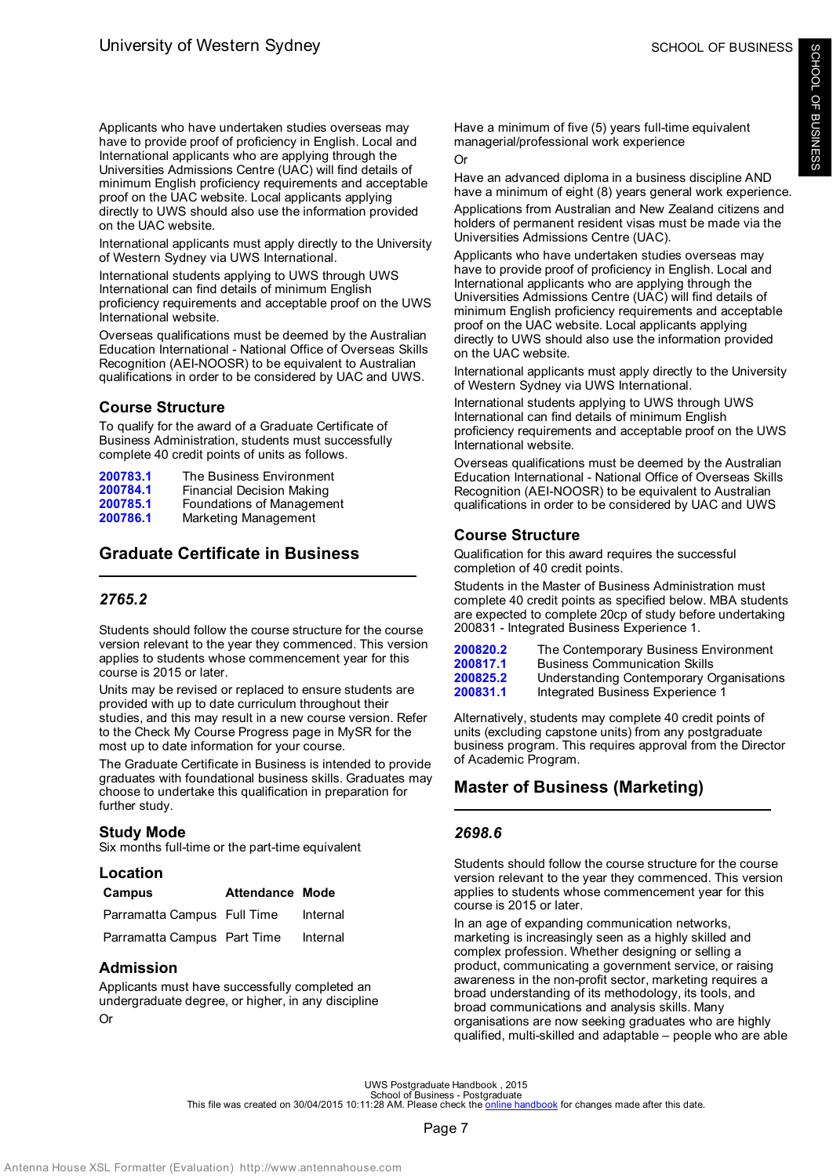<span id="page-10-0"></span>Applicants who have undertaken studies overseas may have to provide proof of proficiency in English. Local and International applicants who are applying through the Universities Admissions Centre (UAC) will find details of minimum English proficiency requirements and acceptable proof on the UAC website. Local applicants applying directly to UWS should also use the information provided on the UAC website.

International applicants must apply directly to the University of Western Sydney via UWS International.

International students applying to UWS through UWS International can find details of minimum English proficiency requirements and acceptable proof on the UWS International website.

Overseas qualifications must be deemed by the Australian Education International - National Office of Overseas Skills Recognition (AEI-NOOSR) to be equivalent to Australian qualifications in order to be considered by UAC and UWS.

### **Course Structure**

To qualify for the award of a Graduate Certificate of Business Administration, students must successfully complete 40 credit points of units as follows.

| 200783.1 | The Business Environment  |
|----------|---------------------------|
| 200784.1 | Financial Decision Making |
| 200785.1 | Foundations of Management |
| 200786.1 | Marketing Management      |

# **Graduate Certificate in Business**

### *2765.2*

Students should follow the course structure for the course version relevant to the year they commenced. This version applies to students whose commencement year for this course is 2015 or later.

Units may be revised or replaced to ensure students are provided with up to date curriculum throughout their studies, and this may result in a new course version. Refer to the Check My Course Progress page in MySR for the most up to date information for your course.

The Graduate Certificate in Business is intended to provide graduates with foundational business skills. Graduates may choose to undertake this qualification in preparation for further study.

### **Study Mode**

Six months full-time or the part-time equivalent

#### **Location**

| Campus                      | Attendance Mode |          |
|-----------------------------|-----------------|----------|
| Parramatta Campus Full Time |                 | Internal |
| Parramatta Campus Part Time |                 | Internal |

### **Admission**

Applicants must have successfully completed an undergraduate degree, or higher, in any discipline Or

Have a minimum of five (5) years full-time equivalent managerial/professional work experience

#### Or

Have an advanced diploma in a business discipline AND have a minimum of eight (8) years general work experience.

Applications from Australian and New Zealand citizens and holders of permanent resident visas must be made via the Universities Admissions Centre (UAC).

Applicants who have undertaken studies overseas may have to provide proof of proficiency in English. Local and International applicants who are applying through the Universities Admissions Centre (UAC) will find details of minimum English proficiency requirements and acceptable proof on the UAC website. Local applicants applying directly to UWS should also use the information provided on the UAC website.

International applicants must apply directly to the University of Western Sydney via UWS International.

International students applying to UWS through UWS International can find details of minimum English proficiency requirements and acceptable proof on the UWS International website.

Overseas qualifications must be deemed by the Australian Education International - National Office of Overseas Skills Recognition (AEI-NOOSR) to be equivalent to Australian qualifications in order to be considered by UAC and UWS

### **Course Structure**

Qualification for this award requires the successful completion of 40 credit points.

Students in the Master of Business Administration must complete 40 credit points as specified below. MBA students are expected to complete 20cp of study before undertaking 200831 - Integrated Business Experience 1.

| 200820.2 | The Contemporary Business Environment    |
|----------|------------------------------------------|
| 200817.1 | <b>Business Communication Skills</b>     |
| 200825.2 | Understanding Contemporary Organisations |
| 200831.1 | Integrated Business Experience 1         |

Alternatively, students may complete 40 credit points of units (excluding capstone units) from any postgraduate business program. This requires approval from the Director of Academic Program.

# **Master of Business (Marketing)**

### *2698.6*

Students should follow the course structure for the course version relevant to the year they commenced. This version applies to students whose commencement year for this course is 2015 or later.

In an age of expanding communication networks, marketing is increasingly seen as a highly skilled and complex profession. Whether designing or selling a product, communicating a government service, or raising awareness in the non-profit sector, marketing requires a broad understanding of its methodology, its tools, and broad communications and analysis skills. Many organisations are now seeking graduates who are highly qualified, multi-skilled and adaptable – people who are able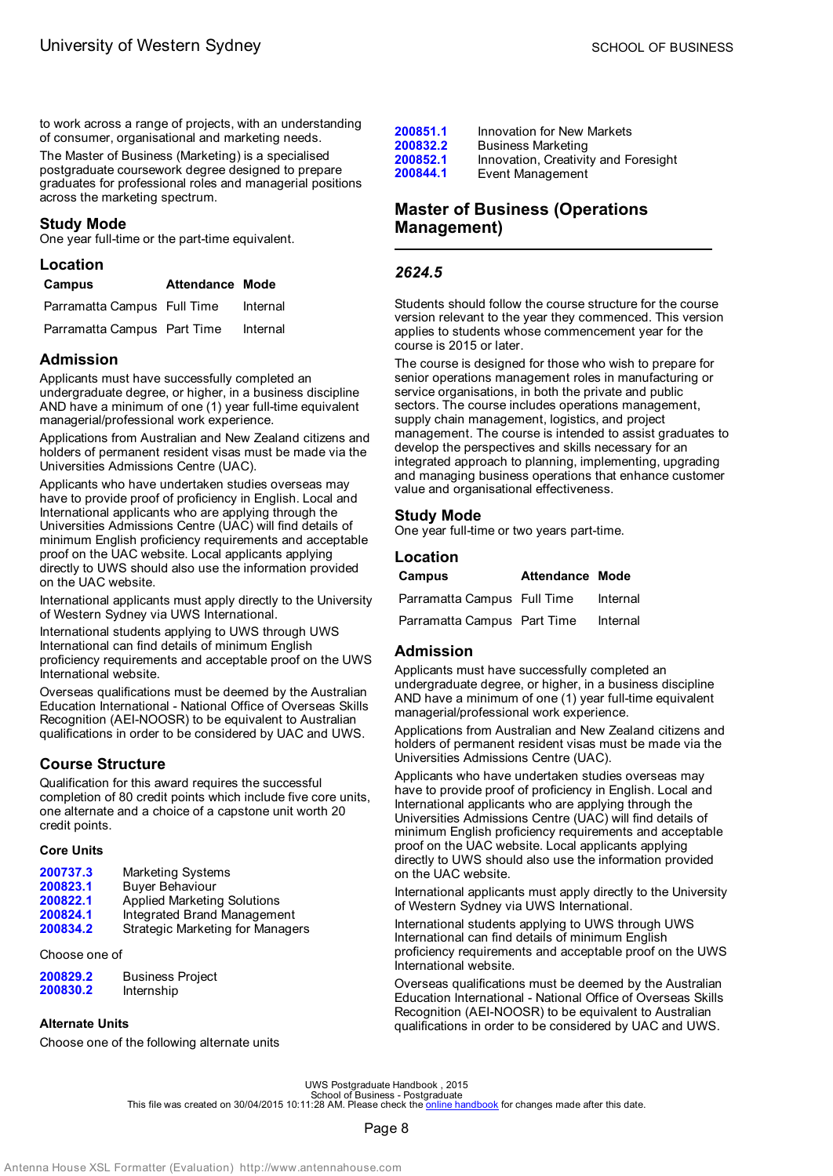<span id="page-11-0"></span>to work across a range of projects, with an understanding of consumer, organisational and marketing needs.

The Master of Business (Marketing) is a specialised postgraduate coursework degree designed to prepare graduates for professional roles and managerial positions across the marketing spectrum.

### **Study Mode**

One year full-time or the part-time equivalent.

#### **Location**

| <b>Campus</b>               | Attendance Mode |          |
|-----------------------------|-----------------|----------|
| Parramatta Campus Full Time |                 | Internal |
| Parramatta Campus Part Time |                 | Internal |

### **Admission**

Applicants must have successfully completed an undergraduate degree, or higher, in a business discipline AND have a minimum of one (1) year full-time equivalent managerial/professional work experience.

Applications from Australian and New Zealand citizens and holders of permanent resident visas must be made via the Universities Admissions Centre (UAC).

Applicants who have undertaken studies overseas may have to provide proof of proficiency in English. Local and International applicants who are applying through the Universities Admissions Centre (UAC) will find details of minimum English proficiency requirements and acceptable proof on the UAC website. Local applicants applying directly to UWS should also use the information provided on the UAC website.

International applicants must apply directly to the University of Western Sydney via UWS International.

International students applying to UWS through UWS International can find details of minimum English proficiency requirements and acceptable proof on the UWS International website.

Overseas qualifications must be deemed by the Australian Education International - National Office of Overseas Skills Recognition (AEI-NOOSR) to be equivalent to Australian qualifications in order to be considered by UAC and UWS.

### **Course Structure**

Qualification for this award requires the successful completion of 80 credit points which include five core units, one alternate and a choice of a capstone unit worth 20 credit points.

#### **Core Units**

| 200737.3 | Marketing Systems                       |
|----------|-----------------------------------------|
|          |                                         |
| 200823.1 | <b>Buyer Behaviour</b>                  |
| 200822.1 | <b>Applied Marketing Solutions</b>      |
| 200824.1 | Integrated Brand Management             |
| 200834.2 | <b>Strategic Marketing for Managers</b> |
|          |                                         |

#### Choose one of

| 200829.2 | <b>Business Project</b> |
|----------|-------------------------|
| 200830.2 | Internship              |

#### **Alternate Units**

Choose one of the following alternate units

| 200851.1 | Innovation for New Markets           |
|----------|--------------------------------------|
| 200832.2 | <b>Business Marketing</b>            |
| 200852.1 | Innovation, Creativity and Foresight |
| 200844.1 | Event Management                     |

### **Master of Business (Operations Management)**

### *2624.5*

Students should follow the course structure for the course version relevant to the year they commenced. This version applies to students whose commencement year for the course is 2015 or later.

The course is designed for those who wish to prepare for senior operations management roles in manufacturing or service organisations, in both the private and public sectors. The course includes operations management, supply chain management, logistics, and project management. The course is intended to assist graduates to develop the perspectives and skills necessary for an integrated approach to planning, implementing, upgrading and managing business operations that enhance customer value and organisational effectiveness.

#### **Study Mode**

One year full-time or two years part-time.

#### **Location**

| Campus                      | <b>Attendance Mode</b> |          |
|-----------------------------|------------------------|----------|
| Parramatta Campus Full Time |                        | Internal |
| Parramatta Campus Part Time |                        | Internal |

#### **Admission**

Applicants must have successfully completed an undergraduate degree, or higher, in a business discipline AND have a minimum of one (1) year full-time equivalent managerial/professional work experience.

Applications from Australian and New Zealand citizens and holders of permanent resident visas must be made via the Universities Admissions Centre (UAC).

Applicants who have undertaken studies overseas may have to provide proof of proficiency in English. Local and International applicants who are applying through the Universities Admissions Centre (UAC) will find details of minimum English proficiency requirements and acceptable proof on the UAC website. Local applicants applying directly to UWS should also use the information provided on the UAC website.

International applicants must apply directly to the University of Western Sydney via UWS International.

International students applying to UWS through UWS International can find details of minimum English proficiency requirements and acceptable proof on the UWS International website.

Overseas qualifications must be deemed by the Australian Education International - National Office of Overseas Skills Recognition (AEI-NOOSR) to be equivalent to Australian qualifications in order to be considered by UAC and UWS.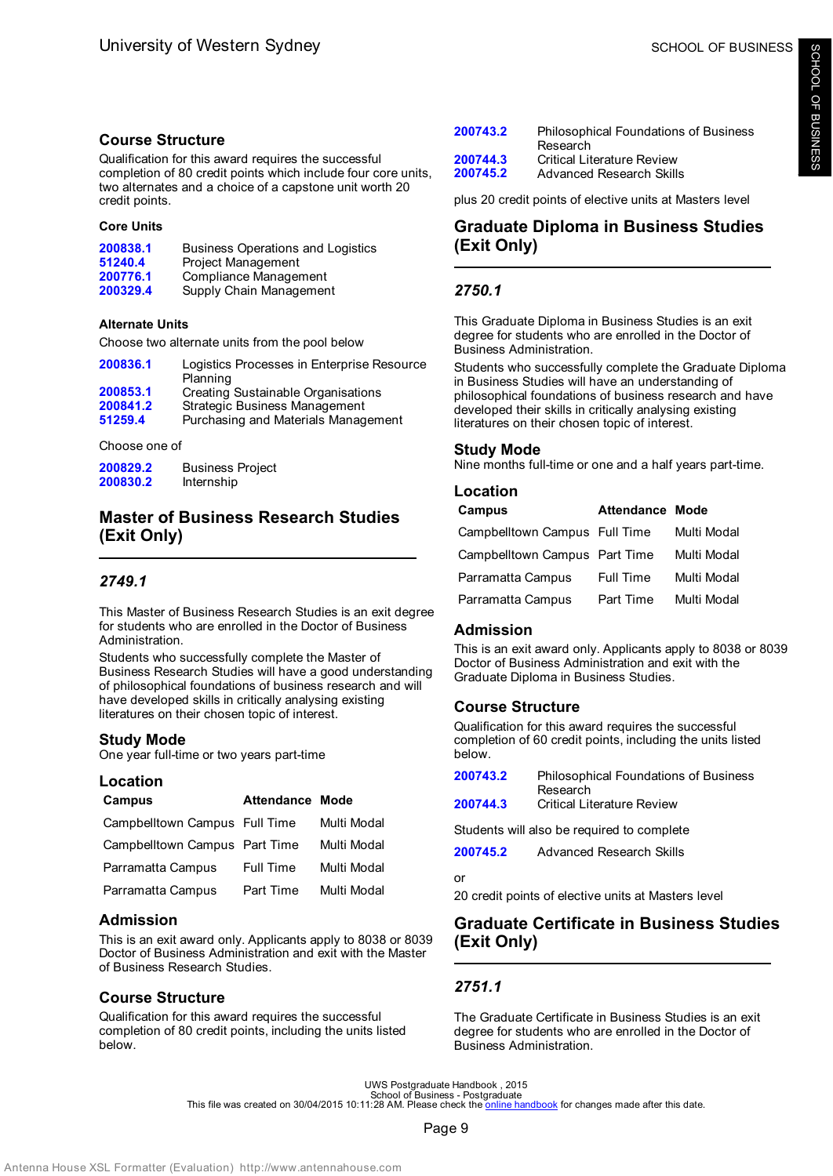### <span id="page-12-0"></span>**Course Structure**

Qualification for this award requires the successful completion of 80 credit points which include four core units, two alternates and a choice of a capstone unit worth 20 credit points.

#### **Core Units**

| 200838.1 | <b>Business Operations and Logistics</b> |
|----------|------------------------------------------|
| 51240.4  | Project Management                       |
| 200776.1 | Compliance Management                    |
| 200329.4 | Supply Chain Management                  |

#### **Alternate Units**

Choose two alternate units from the pool below

| 200836.1 | Logistics Processes in Enterprise Resource<br>Planning |
|----------|--------------------------------------------------------|
| 200853.1 | Creating Sustainable Organisations                     |
| 200841.2 | <b>Strategic Business Management</b>                   |
| 51259.4  | Purchasing and Materials Management                    |

Choose one of

| 200829.2 | <b>Business Project</b> |
|----------|-------------------------|
| 200830.2 | Internship              |

### **Master of Business Research Studies (Exit Only)**

### *2749.1*

This Master of Business Research Studies is an exit degree for students who are enrolled in the Doctor of Business Administration.

Students who successfully complete the Master of Business Research Studies will have a good understanding of philosophical foundations of business research and will have developed skills in critically analysing existing literatures on their chosen topic of interest.

### **Study Mode**

One year full-time or two years part-time

### **Location**

| Campus                        | <b>Attendance Mode</b> |             |
|-------------------------------|------------------------|-------------|
| Campbelltown Campus Full Time |                        | Multi Modal |
| Campbelltown Campus Part Time |                        | Multi Modal |
| Parramatta Campus             | Full Time              | Multi Modal |
| Parramatta Campus             | Part Time              | Multi Modal |

### **Admission**

This is an exit award only. Applicants apply to 8038 or 8039 Doctor of Business Administration and exit with the Master of Business Research Studies.

### **Course Structure**

Qualification for this award requires the successful completion of 80 credit points, including the units listed below.

| 200743.2 | <b>Philosophical Foundations of Business</b><br>Research |
|----------|----------------------------------------------------------|
| 200744.3 | Critical Literature Review                               |
| 200745.2 | Advanced Research Skills                                 |

plus 20 credit points of elective units at Masters level

### **Graduate Diploma in Business Studies (Exit Only)**

### *2750.1*

This Graduate Diploma in Business Studies is an exit degree for students who are enrolled in the Doctor of Business Administration.

Students who successfully complete the Graduate Diploma in Business Studies will have an understanding of philosophical foundations of business research and have developed their skills in critically analysing existing literatures on their chosen topic of interest.

### **Study Mode**

Nine months full-time or one and a half years part-time.

### **Location**

| Campus                        | <b>Attendance Mode</b> |             |
|-------------------------------|------------------------|-------------|
| Campbelltown Campus Full Time |                        | Multi Modal |
| Campbelltown Campus Part Time |                        | Multi Modal |
| Parramatta Campus             | <b>Full Time</b>       | Multi Modal |
| Parramatta Campus             | Part Time              | Multi Modal |

### **Admission**

This is an exit award only. Applicants apply to 8038 or 8039 Doctor of Business Administration and exit with the Graduate Diploma in Business Studies.

### **Course Structure**

Qualification for this award requires the successful completion of 60 credit points, including the units listed below.

| 200743.2 | <b>Philosophical Foundations of Business</b> |
|----------|----------------------------------------------|
|          | Research                                     |
| 200744.3 | <b>Critical Literature Review</b>            |

Students will also be required to complete

**[200745.2](#page-22-0)** Advanced Research Skills

or

20 credit points of elective units at Masters level

# **Graduate Certificate in Business Studies (Exit Only)**

### *2751.1*

The Graduate Certificate in Business Studies is an exit degree for students who are enrolled in the Doctor of Business Administration.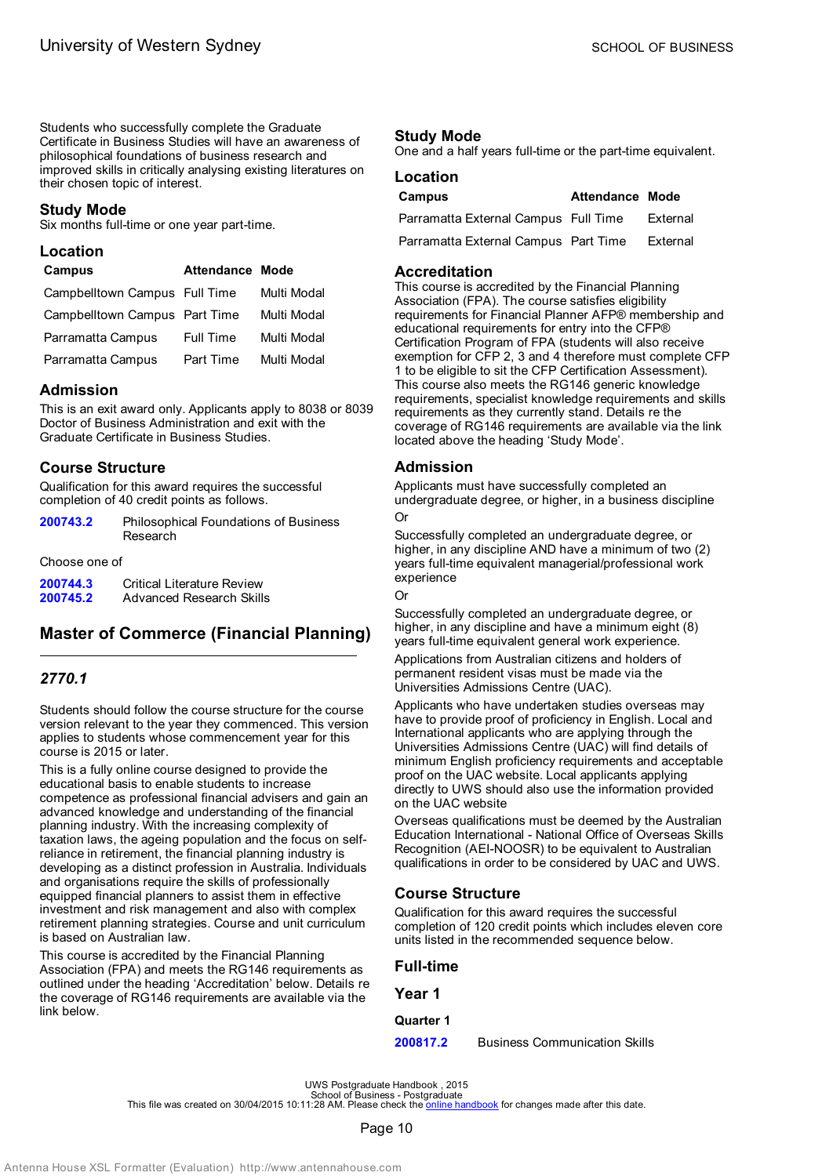<span id="page-13-0"></span>Students who successfully complete the Graduate Certificate in Business Studies will have an awareness of philosophical foundations of business research and improved skills in critically analysing existing literatures on their chosen topic of interest.

### **Study Mode**

Six months full-time or one year part-time.

#### **Location**

| Campus                        | <b>Attendance Mode</b> |             |
|-------------------------------|------------------------|-------------|
| Campbelltown Campus Full Time |                        | Multi Modal |
| Campbelltown Campus Part Time |                        | Multi Modal |
| Parramatta Campus             | <b>Full Time</b>       | Multi Modal |
| Parramatta Campus             | Part Time              | Multi Modal |

### **Admission**

This is an exit award only. Applicants apply to 8038 or 8039 Doctor of Business Administration and exit with the Graduate Certificate in Business Studies.

### **Course Structure**

Qualification for this award requires the successful completion of 40 credit points as follows.

| 200743.2 | Philosophical Foundations of Business |
|----------|---------------------------------------|
|          | Research                              |

Choose one of

| 200744.3 | Critical Literature Review |
|----------|----------------------------|
| 200745.2 | Advanced Research Skills   |

# **Master of Commerce (Financial Planning)**

### *2770.1*

Students should follow the course structure for the course version relevant to the year they commenced. This version applies to students whose commencement year for this course is 2015 or later.

This is a fully online course designed to provide the educational basis to enable students to increase competence as professional financial advisers and gain an advanced knowledge and understanding of the financial planning industry. With the increasing complexity of taxation laws, the ageing population and the focus on selfreliance in retirement, the financial planning industry is developing as a distinct profession in Australia. Individuals and organisations require the skills of professionally equipped financial planners to assist them in effective investment and risk management and also with complex retirement planning strategies. Course and unit curriculum is based on Australian law.

This course is accredited by the Financial Planning Association (FPA) and meets the RG146 requirements as outlined under the heading 'Accreditation' below. Details re the coverage of RG146 requirements are available via the link below.

### **Study Mode**

One and a half years full-time or the part-time equivalent.

### **Location**

| Campus                               | Attendance Mode |          |
|--------------------------------------|-----------------|----------|
| Parramatta External Campus Full Time |                 | External |
| Parramatta External Campus Part Time |                 | External |

### **Accreditation**

This course is accredited by the Financial Planning Association (FPA). The course satisfies eligibility requirements for Financial Planner AFP® membership and educational requirements for entry into the CFP® Certification Program of FPA (students will also receive exemption for CFP 2, 3 and 4 therefore must complete CFP 1 to be eligible to sit the CFP Certification Assessment). This course also meets the RG146 generic knowledge requirements, specialist knowledge requirements and skills requirements as they currently stand. Details re the coverage of RG146 requirements are available via the link located above the heading 'Study Mode'.

### **Admission**

Applicants must have successfully completed an undergraduate degree, or higher, in a business discipline Or

Successfully completed an undergraduate degree, or higher, in any discipline AND have a minimum of two (2) years full-time equivalent managerial/professional work experience

Or

Successfully completed an undergraduate degree, or higher, in any discipline and have a minimum eight (8) years full-time equivalent general work experience.

Applications from Australian citizens and holders of permanent resident visas must be made via the Universities Admissions Centre (UAC).

Applicants who have undertaken studies overseas may have to provide proof of proficiency in English. Local and International applicants who are applying through the Universities Admissions Centre (UAC) will find details of minimum English proficiency requirements and acceptable proof on the UAC website. Local applicants applying directly to UWS should also use the information provided on the UAC website

Overseas qualifications must be deemed by the Australian Education International - National Office of Overseas Skills Recognition (AEI-NOOSR) to be equivalent to Australian qualifications in order to be considered by UAC and UWS.

### **Course Structure**

Qualification for this award requires the successful completion of 120 credit points which includes eleven core units listed in the recommended sequence below.

### **Full-time**

**Year 1**

#### **Quarter 1**

**[200817.2](#page-24-0)** Business Communication Skills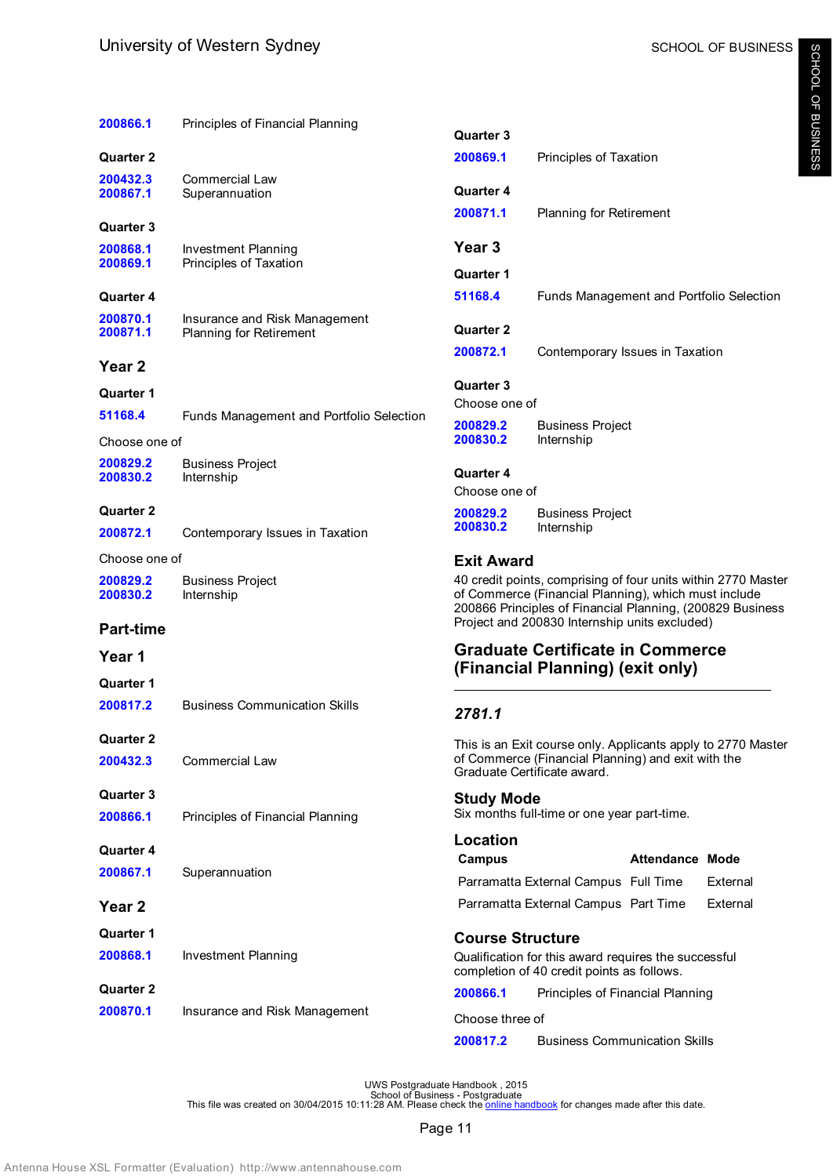<span id="page-14-0"></span>

| 200866.1                     | Principles of Financial Planning                         | <b>Quarter 3</b>                                                                                                                                                                                                                    |                                                                                                                                                   |                        |          |
|------------------------------|----------------------------------------------------------|-------------------------------------------------------------------------------------------------------------------------------------------------------------------------------------------------------------------------------------|---------------------------------------------------------------------------------------------------------------------------------------------------|------------------------|----------|
| <b>Quarter 2</b>             |                                                          | 200869.1                                                                                                                                                                                                                            | Principles of Taxation                                                                                                                            |                        |          |
| 200432.3<br>200867.1         | Commercial Law<br>Superannuation                         | <b>Quarter 4</b>                                                                                                                                                                                                                    |                                                                                                                                                   |                        |          |
| <b>Quarter 3</b>             |                                                          | 200871.1                                                                                                                                                                                                                            | Planning for Retirement                                                                                                                           |                        |          |
| 200868.1<br>200869.1         | Investment Planning<br>Principles of Taxation            | Year 3<br><b>Quarter 1</b>                                                                                                                                                                                                          |                                                                                                                                                   |                        |          |
| <b>Quarter 4</b>             |                                                          | 51168.4                                                                                                                                                                                                                             |                                                                                                                                                   |                        |          |
| 200870.1                     |                                                          |                                                                                                                                                                                                                                     | Funds Management and Portfolio Selection                                                                                                          |                        |          |
| 200871.1                     | Insurance and Risk Management<br>Planning for Retirement | <b>Quarter 2</b>                                                                                                                                                                                                                    |                                                                                                                                                   |                        |          |
|                              |                                                          | 200872.1                                                                                                                                                                                                                            | Contemporary Issues in Taxation                                                                                                                   |                        |          |
| Year <sub>2</sub>            |                                                          |                                                                                                                                                                                                                                     |                                                                                                                                                   |                        |          |
| <b>Quarter 1</b>             |                                                          | <b>Quarter 3</b><br>Choose one of                                                                                                                                                                                                   |                                                                                                                                                   |                        |          |
| 51168.4                      | Funds Management and Portfolio Selection                 | 200829.2                                                                                                                                                                                                                            |                                                                                                                                                   |                        |          |
| Choose one of                |                                                          | 200830.2                                                                                                                                                                                                                            | <b>Business Project</b><br>Internship                                                                                                             |                        |          |
| 200829.2                     | <b>Business Project</b>                                  |                                                                                                                                                                                                                                     |                                                                                                                                                   |                        |          |
| 200830.2                     | Internship                                               | <b>Quarter 4</b>                                                                                                                                                                                                                    |                                                                                                                                                   |                        |          |
| <b>Quarter 2</b>             |                                                          | Choose one of                                                                                                                                                                                                                       |                                                                                                                                                   |                        |          |
| 200872.1                     | Contemporary Issues in Taxation                          | 200829.2<br>200830.2                                                                                                                                                                                                                | <b>Business Project</b><br>Internship                                                                                                             |                        |          |
|                              |                                                          |                                                                                                                                                                                                                                     |                                                                                                                                                   |                        |          |
| Choose one of                |                                                          | <b>Exit Award</b>                                                                                                                                                                                                                   |                                                                                                                                                   |                        |          |
| 200829.2<br>200830.2         | <b>Business Project</b><br>Internship                    | 40 credit points, comprising of four units within 2770 Master<br>of Commerce (Financial Planning), which must include<br>200866 Principles of Financial Planning, (200829 Business<br>Project and 200830 Internship units excluded) |                                                                                                                                                   |                        |          |
| <b>Part-time</b>             |                                                          |                                                                                                                                                                                                                                     |                                                                                                                                                   |                        |          |
| Year 1                       |                                                          | <b>Graduate Certificate in Commerce</b><br>(Financial Planning) (exit only)                                                                                                                                                         |                                                                                                                                                   |                        |          |
| <b>Quarter 1</b>             |                                                          |                                                                                                                                                                                                                                     |                                                                                                                                                   |                        |          |
| 200817.2                     | <b>Business Communication Skills</b>                     | 2781.1                                                                                                                                                                                                                              |                                                                                                                                                   |                        |          |
| <b>Quarter 2</b><br>200432.3 | <b>Commercial Law</b>                                    |                                                                                                                                                                                                                                     | This is an Exit course only. Applicants apply to 2770 Master<br>of Commerce (Financial Planning) and exit with the<br>Graduate Certificate award. |                        |          |
| <b>Quarter 3</b>             |                                                          | <b>Study Mode</b>                                                                                                                                                                                                                   |                                                                                                                                                   |                        |          |
| 200866.1                     | Principles of Financial Planning                         |                                                                                                                                                                                                                                     | Six months full-time or one year part-time.                                                                                                       |                        |          |
| <b>Quarter 4</b>             |                                                          | Location                                                                                                                                                                                                                            |                                                                                                                                                   |                        |          |
| 200867.1                     | Superannuation                                           | <b>Campus</b>                                                                                                                                                                                                                       |                                                                                                                                                   | <b>Attendance Mode</b> |          |
|                              |                                                          |                                                                                                                                                                                                                                     | Parramatta External Campus Full Time                                                                                                              |                        | External |
| Year <sub>2</sub>            |                                                          |                                                                                                                                                                                                                                     | Parramatta External Campus Part Time                                                                                                              |                        | External |
| <b>Quarter 1</b><br>200868.1 | <b>Investment Planning</b>                               | <b>Course Structure</b><br>Qualification for this award requires the successful<br>completion of 40 credit points as follows.                                                                                                       |                                                                                                                                                   |                        |          |
| <b>Quarter 2</b>             |                                                          | 200866.1                                                                                                                                                                                                                            | Principles of Financial Planning                                                                                                                  |                        |          |
| 200870.1                     | Insurance and Risk Management                            | Choose three of                                                                                                                                                                                                                     |                                                                                                                                                   |                        |          |
|                              |                                                          | 200817.2                                                                                                                                                                                                                            | <b>Business Communication Skills</b>                                                                                                              |                        |          |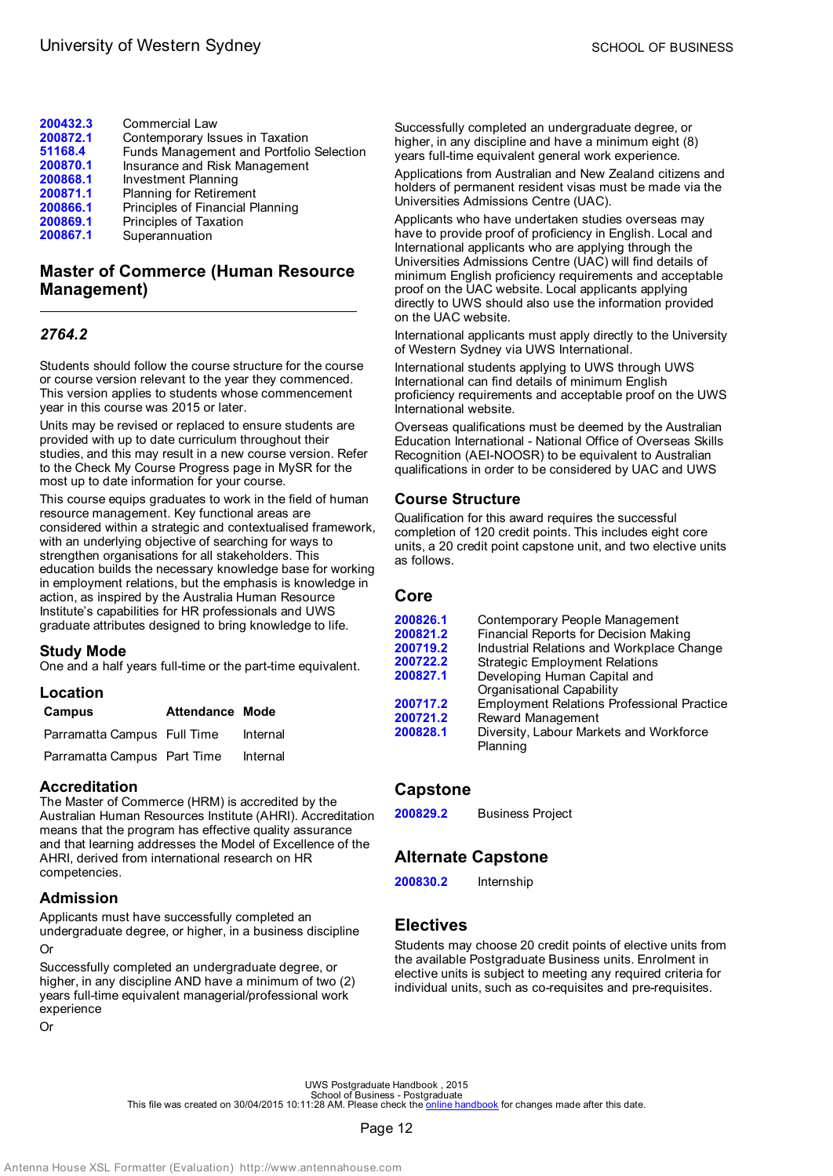<span id="page-15-0"></span>

| 200432.3 | <b>Commercial Law</b>                    |
|----------|------------------------------------------|
| 200872.1 | Contemporary Issues in Taxation          |
| 51168.4  | Funds Management and Portfolio Selection |
| 200870.1 | Insurance and Risk Management            |
| 200868.1 | <b>Investment Planning</b>               |
| 200871.1 | Planning for Retirement                  |
| 200866.1 | Principles of Financial Planning         |
| 200869.1 | Principles of Taxation                   |
| 200867.1 | Superannuation                           |

### **Master of Commerce (Human Resource Management)**

### *2764.2*

Students should follow the course structure for the course or course version relevant to the year they commenced. This version applies to students whose commencement year in this course was 2015 or later.

Units may be revised or replaced to ensure students are provided with up to date curriculum throughout their studies, and this may result in a new course version. Refer to the Check My Course Progress page in MySR for the most up to date information for your course.

This course equips graduates to work in the field of human resource management. Key functional areas are considered within a strategic and contextualised framework, with an underlying objective of searching for ways to strengthen organisations for all stakeholders. This education builds the necessary knowledge base for working in employment relations, but the emphasis is knowledge in action, as inspired by the Australia Human Resource Institute's capabilities for HR professionals and UWS graduate attributes designed to bring knowledge to life.

### **Study Mode**

One and a half years full-time or the part-time equivalent.

| Location |
|----------|
|----------|

| Campus                      | <b>Attendance Mode</b> |          |
|-----------------------------|------------------------|----------|
| Parramatta Campus Full Time |                        | Internal |
| Parramatta Campus Part Time |                        | Internal |

### **Accreditation**

The Master of Commerce (HRM) is accredited by the Australian Human Resources Institute (AHRI). Accreditation means that the program has effective quality assurance and that learning addresses the Model of Excellence of the AHRI, derived from international research on HR competencies.

### **Admission**

Applicants must have successfully completed an undergraduate degree, or higher, in a business discipline  $\Omega$ 

Successfully completed an undergraduate degree, or higher, in any discipline AND have a minimum of two (2) years full-time equivalent managerial/professional work experience

Or

Successfully completed an undergraduate degree, or higher, in any discipline and have a minimum eight (8) years full-time equivalent general work experience.

Applications from Australian and New Zealand citizens and holders of permanent resident visas must be made via the Universities Admissions Centre (UAC).

Applicants who have undertaken studies overseas may have to provide proof of proficiency in English. Local and International applicants who are applying through the Universities Admissions Centre (UAC) will find details of minimum English proficiency requirements and acceptable proof on the UAC website. Local applicants applying directly to UWS should also use the information provided on the UAC website.

International applicants must apply directly to the University of Western Sydney via UWS International.

International students applying to UWS through UWS International can find details of minimum English proficiency requirements and acceptable proof on the UWS International website.

Overseas qualifications must be deemed by the Australian Education International - National Office of Overseas Skills Recognition (AEI-NOOSR) to be equivalent to Australian qualifications in order to be considered by UAC and UWS

### **Course Structure**

Qualification for this award requires the successful completion of 120 credit points. This includes eight core units, a 20 credit point capstone unit, and two elective units as follows.

### **Core**

| 200826.1 | Contemporary People Management                    |
|----------|---------------------------------------------------|
| 200821.2 | Financial Reports for Decision Making             |
| 200719.2 | Industrial Relations and Workplace Change         |
| 200722.2 | <b>Strategic Employment Relations</b>             |
| 200827.1 | Developing Human Capital and                      |
|          | Organisational Capability                         |
| 200717.2 | <b>Employment Relations Professional Practice</b> |
| 200721.2 | Reward Management                                 |
| 200828.1 | Diversity, Labour Markets and Workforce           |
|          | Planning                                          |
|          |                                                   |

### **Capstone**

**[200829.2](#page-25-0)** Business Project

### **Alternate Capstone**

**[200830.2](#page-35-0)** Internship

### **Electives**

Students may choose 20 credit points of elective units from the available Postgraduate Business units. Enrolment in elective units is subject to meeting any required criteria for individual units, such as co-requisites and pre-requisites.

UWS Postgraduate Handbook , 2015 School of Business - Postgraduate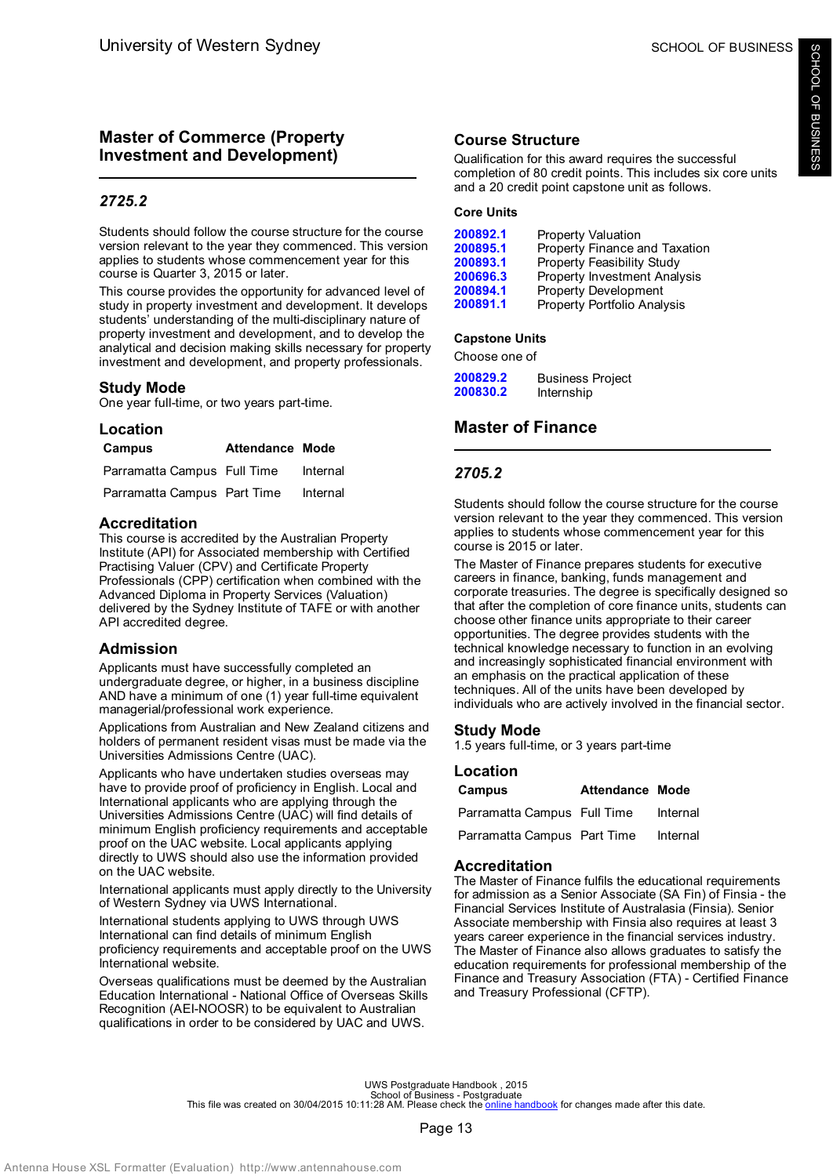# <span id="page-16-0"></span>**Master of Commerce (Property Investment and Development)**

# *2725.2*

Students should follow the course structure for the course version relevant to the year they commenced. This version applies to students whose commencement year for this course is Quarter 3, 2015 or later.

This course provides the opportunity for advanced level of study in property investment and development. It develops students' understanding of the multi-disciplinary nature of property investment and development, and to develop the analytical and decision making skills necessary for property investment and development, and property professionals.

# **Study Mode**

One year full-time, or two years part-time.

### **Location**

| Campus                      | <b>Attendance Mode</b> |          |
|-----------------------------|------------------------|----------|
| Parramatta Campus Full Time |                        | Internal |
| Parramatta Campus Part Time |                        | Internal |

# **Accreditation**

This course is accredited by the Australian Property Institute (API) for Associated membership with Certified Practising Valuer (CPV) and Certificate Property Professionals (CPP) certification when combined with the Advanced Diploma in Property Services (Valuation) delivered by the Sydney Institute of TAFE or with another API accredited degree.

# **Admission**

Applicants must have successfully completed an undergraduate degree, or higher, in a business discipline AND have a minimum of one (1) year full-time equivalent managerial/professional work experience.

Applications from Australian and New Zealand citizens and holders of permanent resident visas must be made via the Universities Admissions Centre (UAC).

Applicants who have undertaken studies overseas may have to provide proof of proficiency in English. Local and International applicants who are applying through the Universities Admissions Centre (UAC) will find details of minimum English proficiency requirements and acceptable proof on the UAC website. Local applicants applying directly to UWS should also use the information provided on the UAC website.

International applicants must apply directly to the University of Western Sydney via UWS International.

International students applying to UWS through UWS International can find details of minimum English proficiency requirements and acceptable proof on the UWS International website.

Overseas qualifications must be deemed by the Australian Education International - National Office of Overseas Skills Recognition (AEI-NOOSR) to be equivalent to Australian qualifications in order to be considered by UAC and UWS.

# **Course Structure**

Qualification for this award requires the successful completion of 80 credit points. This includes six core units and a 20 credit point capstone unit as follows.

### **Core Units**

| 200892.1 | <b>Property Valuation</b>           |
|----------|-------------------------------------|
| 200895.1 | Property Finance and Taxation       |
| 200893.1 | Property Feasibility Study          |
| 200696.3 | <b>Property Investment Analysis</b> |
| 200894.1 | <b>Property Development</b>         |
| 200891.1 | Property Portfolio Analysis         |
|          |                                     |

### **Capstone Units**

Choose one of

| 200829.2 | <b>Business Project</b> |
|----------|-------------------------|
| 200830.2 | Internship              |

# **Master of Finance**

### *2705.2*

Students should follow the course structure for the course version relevant to the year they commenced. This version applies to students whose commencement year for this course is 2015 or later.

The Master of Finance prepares students for executive careers in finance, banking, funds management and corporate treasuries. The degree is specifically designed so that after the completion of core finance units, students can choose other finance units appropriate to their career opportunities. The degree provides students with the technical knowledge necessary to function in an evolving and increasingly sophisticated financial environment with an emphasis on the practical application of these techniques. All of the units have been developed by individuals who are actively involved in the financial sector.

### **Study Mode**

1.5 years full-time, or 3 years part-time

### **Location**

| <b>Campus</b>               | Attendance Mode |          |
|-----------------------------|-----------------|----------|
| Parramatta Campus Full Time |                 | Internal |
| Parramatta Campus Part Time |                 | Internal |

### **Accreditation**

The Master of Finance fulfils the educational requirements for admission as a Senior Associate (SA Fin) of Finsia - the Financial Services Institute of Australasia (Finsia). Senior Associate membership with Finsia also requires at least 3 years career experience in the financial services industry. The Master of Finance also allows graduates to satisfy the education requirements for professional membership of the Finance and Treasury Association (FTA) - Certified Finance and Treasury Professional (CFTP).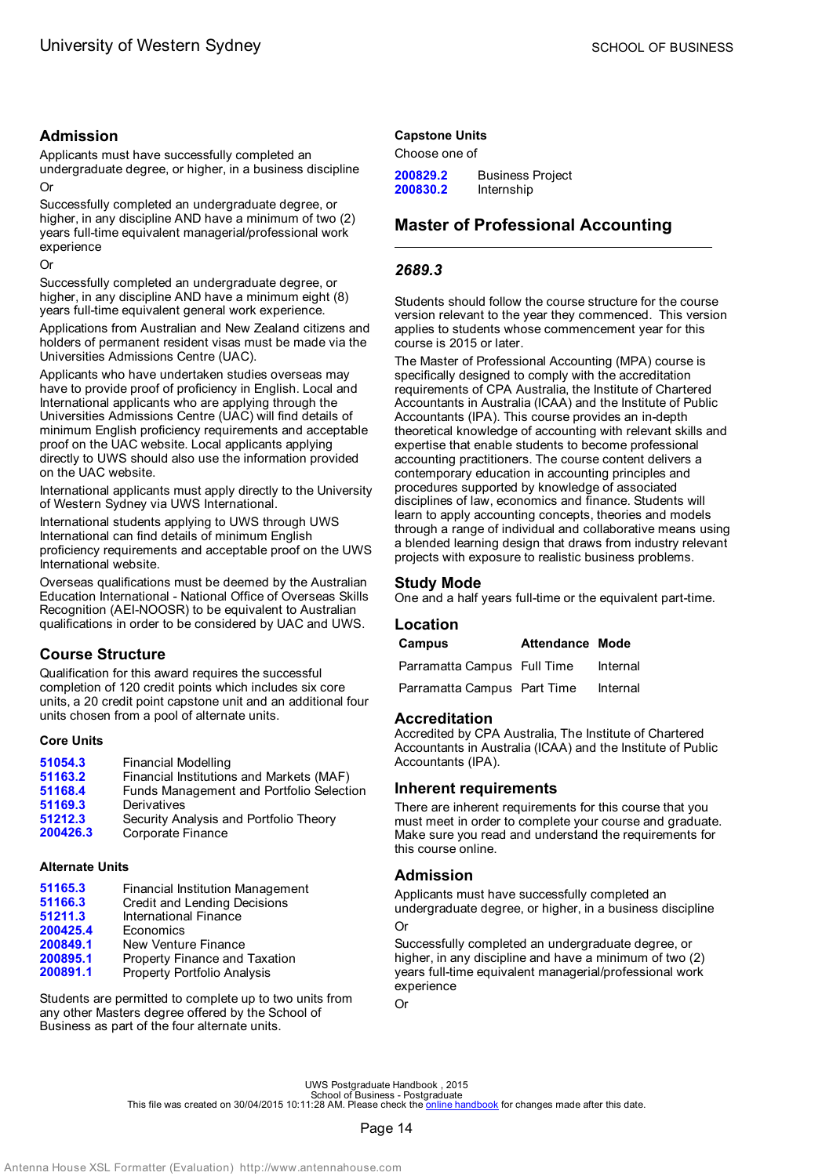### <span id="page-17-0"></span>**Admission**

Applicants must have successfully completed an undergraduate degree, or higher, in a business discipline Or

Successfully completed an undergraduate degree, or higher, in any discipline AND have a minimum of two (2) years full-time equivalent managerial/professional work experience

Or

Successfully completed an undergraduate degree, or higher, in any discipline AND have a minimum eight (8) years full-time equivalent general work experience.

Applications from Australian and New Zealand citizens and holders of permanent resident visas must be made via the Universities Admissions Centre (UAC).

Applicants who have undertaken studies overseas may have to provide proof of proficiency in English. Local and International applicants who are applying through the Universities Admissions Centre (UAC) will find details of minimum English proficiency requirements and acceptable proof on the UAC website. Local applicants applying directly to UWS should also use the information provided on the UAC website.

International applicants must apply directly to the University of Western Sydney via UWS International.

International students applying to UWS through UWS International can find details of minimum English proficiency requirements and acceptable proof on the UWS International website.

Overseas qualifications must be deemed by the Australian Education International - National Office of Overseas Skills Recognition (AEI-NOOSR) to be equivalent to Australian qualifications in order to be considered by UAC and UWS.

### **Course Structure**

Qualification for this award requires the successful completion of 120 credit points which includes six core units, a 20 credit point capstone unit and an additional four units chosen from a pool of alternate units.

#### **Core Units**

| 51054.3<br>51163.2 | Financial Modelling                                                                  |
|--------------------|--------------------------------------------------------------------------------------|
| 51168.4            | Financial Institutions and Markets (MAF)<br>Funds Management and Portfolio Selection |
| 51169.3            | Derivatives                                                                          |
| 51212.3            | Security Analysis and Portfolio Theory                                               |
| 200426.3           | Corporate Finance                                                                    |

#### **Alternate Units**

| Financial Institution Management<br>Credit and Lending Decisions<br>International Finance<br>Economics<br>New Venture Finance<br>Property Finance and Taxation |
|----------------------------------------------------------------------------------------------------------------------------------------------------------------|
| <b>Property Portfolio Analysis</b>                                                                                                                             |
|                                                                                                                                                                |

Students are permitted to complete up to two units from any other Masters degree offered by the School of Business as part of the four alternate units.

### **Capstone Units**

Choose one of

**[200829.2](#page-25-0)** Business Project **[200830.2](#page-35-0)** Internship

# **Master of Professional Accounting**

### *2689.3*

Students should follow the course structure for the course version relevant to the year they commenced. This version applies to students whose commencement year for this course is 2015 or later.

The Master of Professional Accounting (MPA) course is specifically designed to comply with the accreditation requirements of CPA Australia, the Institute of Chartered Accountants in Australia (ICAA) and the Institute of Public Accountants (IPA). This course provides an in-depth theoretical knowledge of accounting with relevant skills and expertise that enable students to become professional accounting practitioners. The course content delivers a contemporary education in accounting principles and procedures supported by knowledge of associated disciplines of law, economics and finance. Students will learn to apply accounting concepts, theories and models through a range of individual and collaborative means using a blended learning design that draws from industry relevant projects with exposure to realistic business problems.

### **Study Mode**

One and a half years full-time or the equivalent part-time.

### **Location**

| <b>Campus</b>               | <b>Attendance Mode</b> |          |
|-----------------------------|------------------------|----------|
| Parramatta Campus Full Time |                        | Internal |
| Parramatta Campus Part Time |                        | Internal |

### **Accreditation**

Accredited by CPA Australia, The Institute of Chartered Accountants in Australia (ICAA) and the Institute of Public Accountants (IPA).

### **Inherent requirements**

There are inherent requirements for this course that you must meet in order to complete your course and graduate. Make sure you read and understand the requirements for this course online.

### **Admission**

Applicants must have successfully completed an undergraduate degree, or higher, in a business discipline Or

Successfully completed an undergraduate degree, or higher, in any discipline and have a minimum of two (2) years full-time equivalent managerial/professional work experience

Or

UWS Postgraduate Handbook , 2015 School of Business - Postgraduate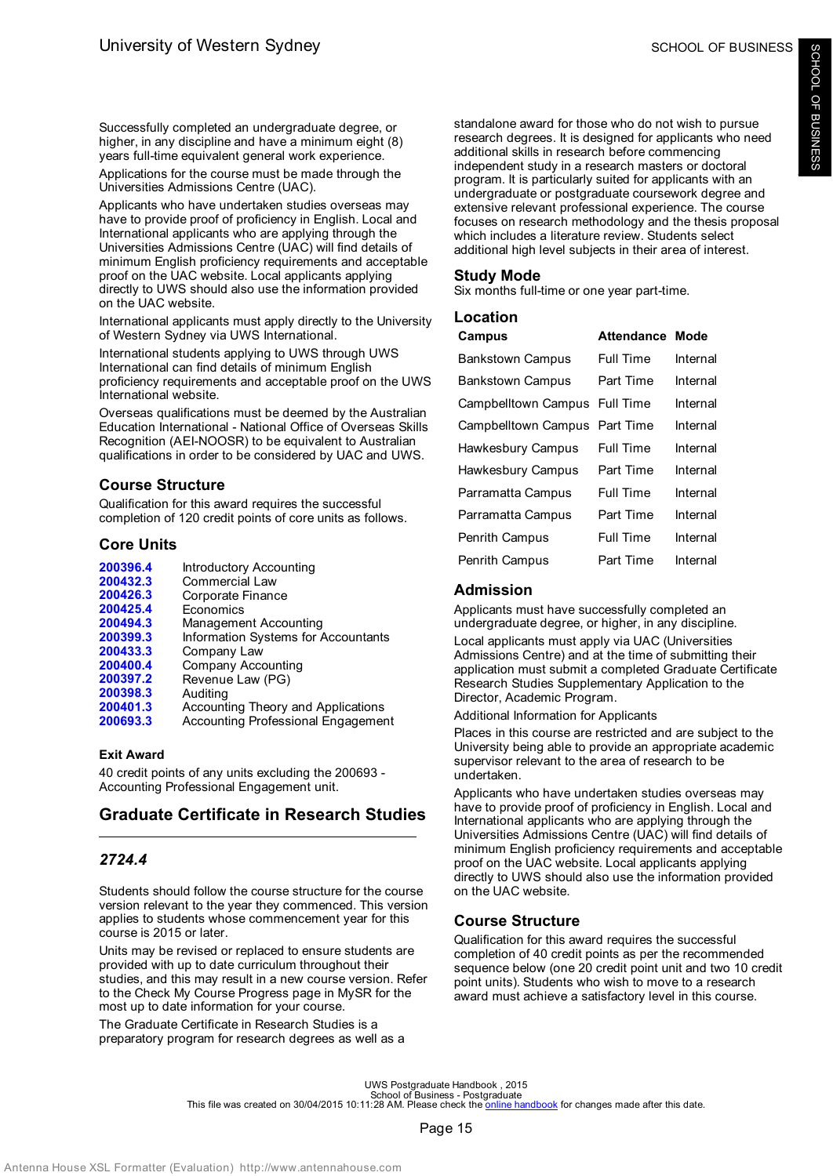<span id="page-18-0"></span>Successfully completed an undergraduate degree, or higher, in any discipline and have a minimum eight (8) years full-time equivalent general work experience.

Applications for the course must be made through the Universities Admissions Centre (UAC).

Applicants who have undertaken studies overseas may have to provide proof of proficiency in English. Local and International applicants who are applying through the Universities Admissions Centre (UAC) will find details of minimum English proficiency requirements and acceptable proof on the UAC website. Local applicants applying directly to UWS should also use the information provided on the UAC website.

International applicants must apply directly to the University of Western Sydney via UWS International.

International students applying to UWS through UWS International can find details of minimum English proficiency requirements and acceptable proof on the UWS International website.

Overseas qualifications must be deemed by the Australian Education International - National Office of Overseas Skills Recognition (AEI-NOOSR) to be equivalent to Australian qualifications in order to be considered by UAC and UWS.

### **Course Structure**

Qualification for this award requires the successful completion of 120 credit points of core units as follows.

### **Core Units**

| 200396.4 | Introductory Accounting                   |
|----------|-------------------------------------------|
| 200432.3 | Commercial Law                            |
| 200426.3 | Corporate Finance                         |
| 200425.4 | Economics                                 |
| 200494.3 | Management Accounting                     |
| 200399.3 | Information Systems for Accountants       |
| 200433.3 | Company Law                               |
| 200400.4 | Company Accounting                        |
| 200397.2 | Revenue Law (PG)                          |
| 200398.3 | Auditing                                  |
| 200401.3 | Accounting Theory and Applications        |
| 200693.3 | <b>Accounting Professional Engagement</b> |

### **Exit Award**

40 credit points of any units excluding the 200693 - Accounting Professional Engagement unit.

# **Graduate Certificate in Research Studies**

### *2724.4*

Students should follow the course structure for the course version relevant to the year they commenced. This version applies to students whose commencement year for this course is 2015 or later.

Units may be revised or replaced to ensure students are provided with up to date curriculum throughout their studies, and this may result in a new course version. Refer to the Check My Course Progress page in MySR for the most up to date information for your course.

The Graduate Certificate in Research Studies is a preparatory program for research degrees as well as a

standalone award for those who do not wish to pursue research degrees. It is designed for applicants who need additional skills in research before commencing independent study in a research masters or doctoral program. It is particularly suited for applicants with an undergraduate or postgraduate coursework degree and extensive relevant professional experience. The course focuses on research methodology and the thesis proposal which includes a literature review. Students select additional high level subjects in their area of interest.

### **Study Mode**

Six months full-time or one year part-time.

| Location |
|----------|
|----------|

| Campus                        | Attendance Mode |          |
|-------------------------------|-----------------|----------|
| <b>Bankstown Campus</b>       | Full Time       | Internal |
| <b>Bankstown Campus</b>       | Part Time       | Internal |
| Campbelltown Campus Full Time |                 | Internal |
| Campbelltown Campus Part Time |                 | Internal |
| Hawkesbury Campus             | Full Time       | Internal |
| Hawkesbury Campus             | Part Time       | Internal |
| Parramatta Campus             | Full Time       | Internal |
| Parramatta Campus             | Part Time       | Internal |
| <b>Penrith Campus</b>         | Full Time       | Internal |
| <b>Penrith Campus</b>         | Part Time       | Internal |

### **Admission**

Applicants must have successfully completed an undergraduate degree, or higher, in any discipline.

Local applicants must apply via UAC (Universities Admissions Centre) and at the time of submitting their application must submit a completed Graduate Certificate Research Studies Supplementary Application to the Director, Academic Program.

Additional Information for Applicants

Places in this course are restricted and are subject to the University being able to provide an appropriate academic supervisor relevant to the area of research to be undertaken.

Applicants who have undertaken studies overseas may have to provide proof of proficiency in English. Local and International applicants who are applying through the Universities Admissions Centre (UAC) will find details of minimum English proficiency requirements and acceptable proof on the UAC website. Local applicants applying directly to UWS should also use the information provided on the UAC website.

# **Course Structure**

Qualification for this award requires the successful completion of 40 credit points as per the recommended sequence below (one 20 credit point unit and two 10 credit point units). Students who wish to move to a research award must achieve a satisfactory level in this course.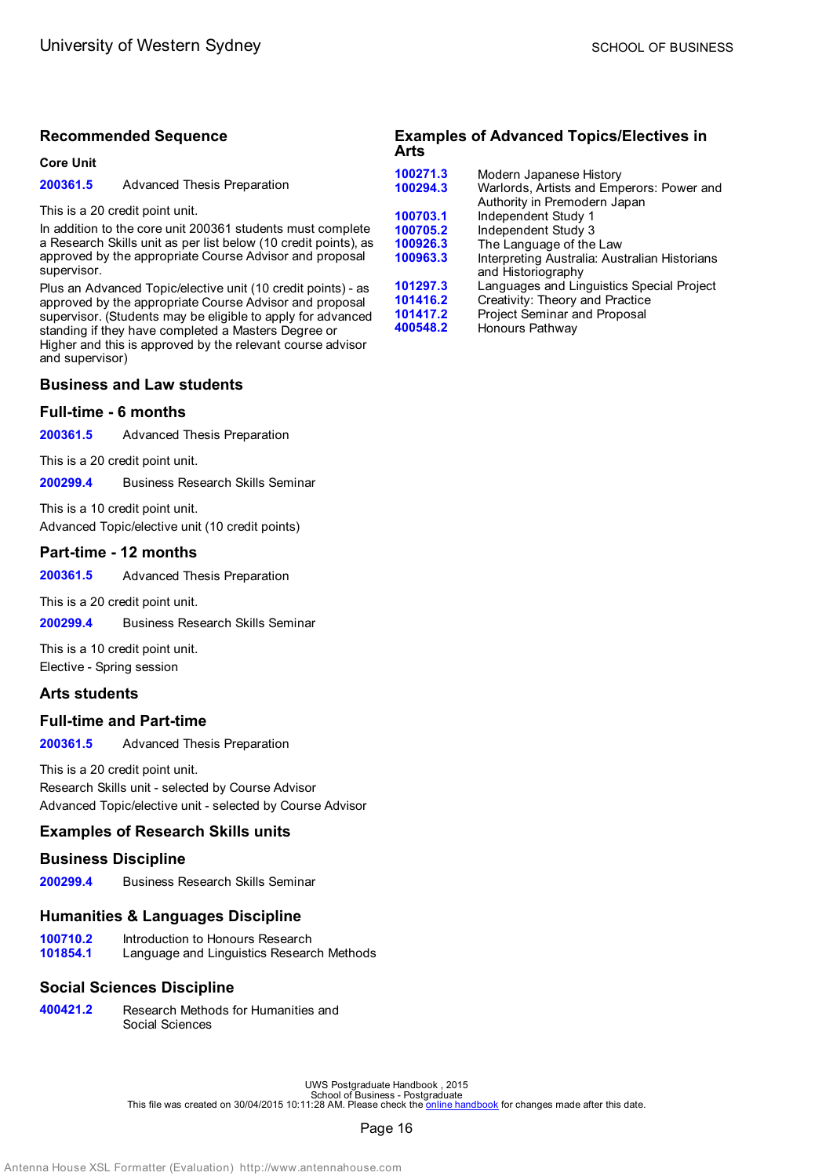### **Recommended Sequence**

### **Core Unit**

#### **[200361.5](#page-22-0)** Advanced Thesis Preparation

This is a 20 credit point unit.

In addition to the core unit 200361 students must complete a Research Skills unit as per list below (10 credit points), as approved by the appropriate Course Advisor and proposal supervisor.

Plus an Advanced Topic/elective unit (10 credit points) - as approved by the appropriate Course Advisor and proposal supervisor. (Students may be eligible to apply for advanced standing if they have completed a Masters Degree or Higher and this is approved by the relevant course advisor and supervisor)

### **Business and Law students**

#### **Full-time - 6 months**

**[200361.5](#page-22-0)** Advanced Thesis Preparation

This is a 20 credit point unit.

**[200299.4](#page-25-0)** Business Research Skills Seminar

This is a 10 credit point unit. Advanced Topic/elective unit (10 credit points)

### **Part-time - 12 months**

**[200361.5](#page-22-0)** Advanced Thesis Preparation

This is a 20 credit point unit.

**[200299.4](#page-25-0)** Business Research Skills Seminar

This is a 10 credit point unit. Elective - Spring session

### **Arts students**

#### **Full-time and Part-time**

**[200361.5](#page-22-0)** Advanced Thesis Preparation

This is a 20 credit point unit. Research Skills unit - selected by Course Advisor Advanced Topic/elective unit - selected by Course Advisor

### **Examples of Research Skills units**

#### **Business Discipline**

**[200299.4](#page-25-0)** Business Research Skills Seminar

### **Humanities & Languages Discipline**

**[100710.2](#page-36-0)** Introduction to Honours Research<br>**101854.1** Language and Linguistics Research Language and Linguistics Research Methods

### **Social Sciences Discipline**

**[400421.2](#page-42-0)** Research Methods for Humanities and Social Sciences

UWS Postgraduate Handbook , 2015<br>School of Business - Postgraduate<br>This file was created on 30/04/2015 10:11:28 AM. Please check the <u>online [handbook](http://handbook.uws.edu.au/hbook/)</u> for changes made after this date.

### **Examples of Advanced Topics/Electives in Arts**

|   | 100271.3 | Modern Japanese History                       |
|---|----------|-----------------------------------------------|
|   | 100294.3 | Warlords, Artists and Emperors: Power and     |
|   |          | Authority in Premodern Japan                  |
|   | 100703.1 | Independent Study 1                           |
|   | 100705.2 | Independent Study 3                           |
| s | 100926.3 | The Language of the Law                       |
|   | 100963.3 | Interpreting Australia: Australian Historians |
|   |          | and Historiography                            |
|   | 101297.3 | Languages and Linguistics Special Project     |
|   | 101416.2 | Creativity: Theory and Practice               |
|   | 101417.2 | Project Seminar and Proposal                  |
|   | 400548.2 | Honours Pathway                               |
|   |          |                                               |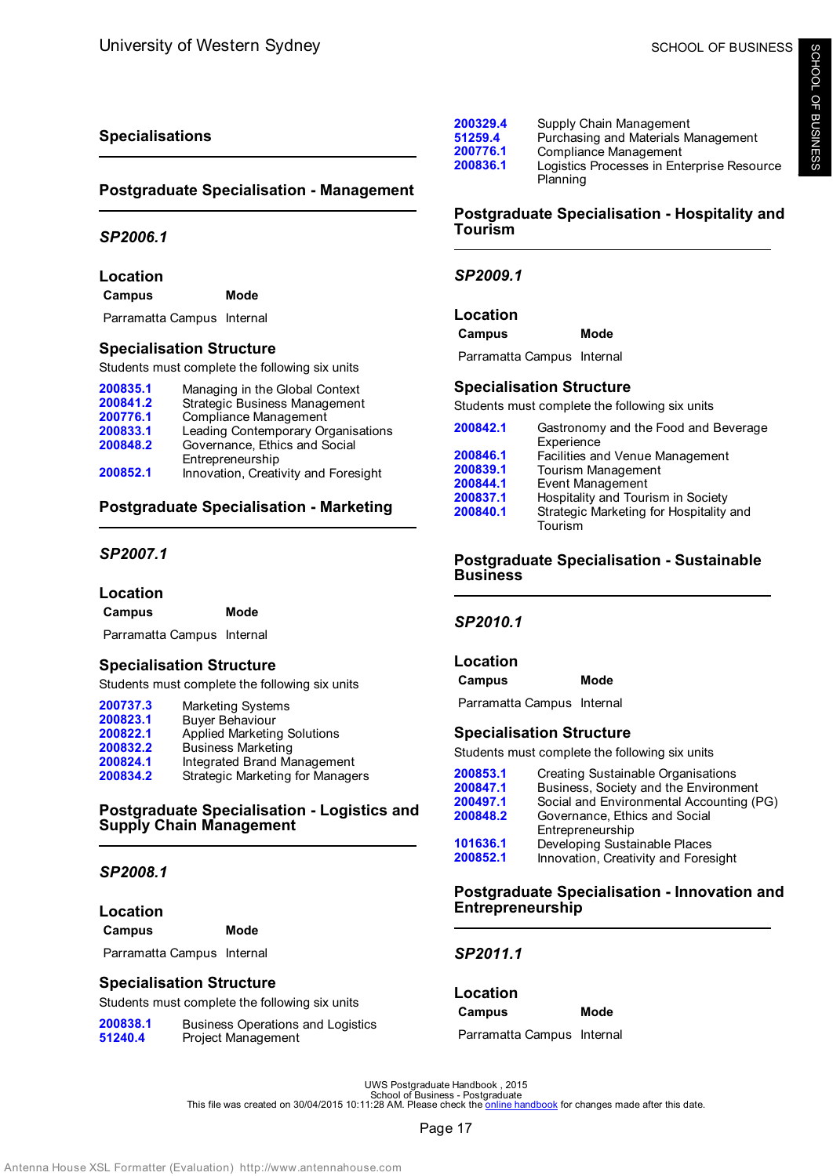### <span id="page-20-0"></span>**Specialisations**

### **Postgraduate Specialisation - Management**

#### *SP2006.1*

#### **Location**

**Campus Mode**

Parramatta Campus Internal

### **Specialisation Structure**

Students must complete the following six units

| 200835.1 | Managing in the Global Context       |
|----------|--------------------------------------|
| 200841.2 | <b>Strategic Business Management</b> |
| 200776.1 | <b>Compliance Management</b>         |
| 200833.1 | Leading Contemporary Organisations   |
| 200848.2 | Governance, Ethics and Social        |
|          | Entrepreneurship                     |
| 200852.1 | Innovation, Creativity and Foresight |

### **Postgraduate Specialisation - Marketing**

### *SP2007.1*

### **Location**

**Campus Mode**

Parramatta Campus Internal

### **Specialisation Structure**

Students must complete the following six units

| 200737.3 | <b>Marketing Systems</b>           |
|----------|------------------------------------|
| 200823.1 | <b>Buver Behaviour</b>             |
| 200822.1 | <b>Applied Marketing Solutions</b> |
| 200832.2 | <b>Business Marketing</b>          |
| 200824.1 | Integrated Brand Management        |
| 200834.2 | Strategic Marketing for Managers   |
|          |                                    |

### **Postgraduate Specialisation - Logistics and Supply Chain Management**

### *SP2008.1*

#### **Location**

**Campus Mode**

Parramatta Campus Internal

### **Specialisation Structure**

Students must complete the following six units

| 200838.1 | Business Operations and Logistics |
|----------|-----------------------------------|
| 51240.4  | Project Management                |

| 200329.4 | Supply Chain Management                    |
|----------|--------------------------------------------|
| 51259.4  | Purchasing and Materials Management        |
| 200776.1 | Compliance Management                      |
| 200836.1 | Logistics Processes in Enterprise Resource |
|          | Planning                                   |

### **Postgraduate Specialisation - Hospitality and Tourism**

### *SP2009.1*

**Location**

**Campus Mode**

Parramatta Campus Internal

### **Specialisation Structure**

Students must complete the following six units

| 200842.1 | Gastronomy and the Food and Beverage<br>Experience |
|----------|----------------------------------------------------|
| 200846.1 | Facilities and Venue Management                    |
| 200839.1 | <b>Tourism Management</b>                          |
| 200844.1 | Event Management                                   |
| 200837.1 | Hospitality and Tourism in Society                 |
| 200840.1 | Strategic Marketing for Hospitality and<br>Tourism |
|          |                                                    |

### **Postgraduate Specialisation - Sustainable Business**

### *SP2010.1*

#### **Location**

**Campus Mode**

Parramatta Campus Internal

### **Specialisation Structure**

Students must complete the following six units

| 200853.1 | Creating Sustainable Organisations       |
|----------|------------------------------------------|
| 200847.1 | Business, Society and the Environment    |
| 200497.1 | Social and Environmental Accounting (PG) |
| 200848.2 | Governance, Ethics and Social            |
|          | Entrepreneurship                         |
| 101636.1 | Developing Sustainable Places            |
| 200852.1 | Innovation, Creativity and Foresight     |

### **Postgraduate Specialisation - Innovation and Entrepreneurship**

*SP2011.1*

| Location                   |      |  |
|----------------------------|------|--|
| Campus                     | Mode |  |
| Parramatta Campus Internal |      |  |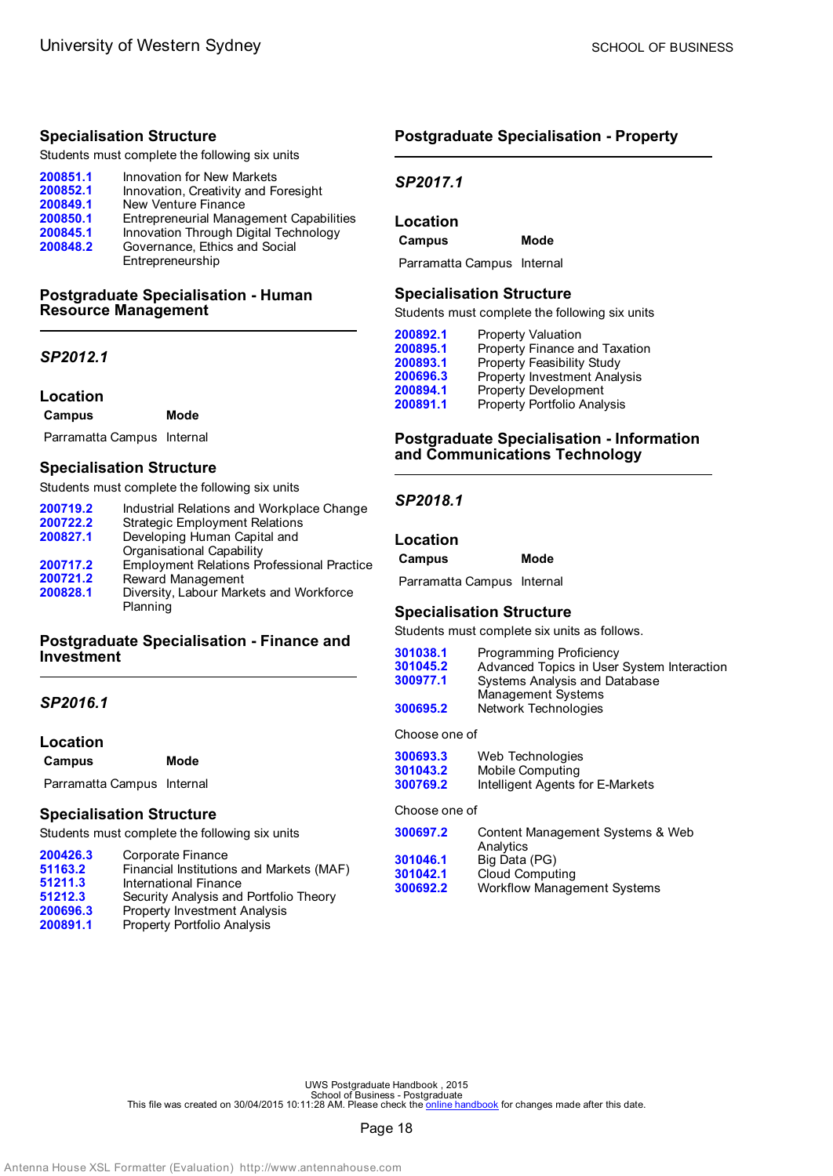### <span id="page-21-0"></span>**Specialisation Structure**

Students must complete the following six units

| 200851.1 | <b>Innovation for New Markets</b>       |
|----------|-----------------------------------------|
| 200852.1 | Innovation, Creativity and Foresight    |
| 200849.1 | New Venture Finance                     |
| 200850.1 | Entrepreneurial Management Capabilities |
| 200845.1 | Innovation Through Digital Technology   |
| 200848.2 | Governance, Ethics and Social           |
|          | Entrepreneurship                        |

#### **Postgraduate Specialisation - Human Resource Management**

### *SP2012.1*

| Location      |      |
|---------------|------|
| <b>Campus</b> | Mode |

Parramatta Campus Internal

### **Specialisation Structure**

Students must complete the following six units

| 200719.2 | Industrial Relations and Workplace Change         |
|----------|---------------------------------------------------|
| 200722.2 | <b>Strategic Employment Relations</b>             |
| 200827.1 | Developing Human Capital and                      |
|          | Organisational Capability                         |
| 200717.2 | <b>Employment Relations Professional Practice</b> |
| 200721.2 | Reward Management                                 |
| 200828.1 | Diversity, Labour Markets and Workforce           |
|          | Planning                                          |

### **Postgraduate Specialisation - Finance and Investment**

### *SP2016.1*

### **Location**

| Campus                     | Mode |
|----------------------------|------|
| Parramatta Campus Internal |      |

### **Specialisation Structure**

Students must complete the following six units

| 200426.3 | Corporate Finance                        |
|----------|------------------------------------------|
|          |                                          |
| 51163.2  | Financial Institutions and Markets (MAF) |
| 51211.3  | International Finance                    |
| 51212.3  | Security Analysis and Portfolio Theory   |
| 200696.3 | Property Investment Analysis             |
| 200891.1 | Property Portfolio Analysis              |

### **Postgraduate Specialisation - Property**

### *SP2017.1*

# **Location**

**Campus Mode**

Parramatta Campus Internal

### **Specialisation Structure**

Students must complete the following six units

| 200892.1 | <b>Property Valuation</b>           |
|----------|-------------------------------------|
| 200895.1 | Property Finance and Taxation       |
| 200893.1 | Property Feasibility Study          |
| 200696.3 | <b>Property Investment Analysis</b> |
| 200894.1 | <b>Property Development</b>         |
| 200891.1 | Property Portfolio Analysis         |
|          |                                     |

### **Postgraduate Specialisation - Information and Communications Technology**

### *SP2018.1*

| Location |      |
|----------|------|
| Campus   | Mode |

Parramatta Campus Internal

### **Specialisation Structure**

Students must complete six units as follows.

| 301038.1<br>301045.2<br>300977.1 | Programming Proficiency<br>Advanced Topics in User System Interaction<br>Systems Analysis and Database<br>Management Systems |
|----------------------------------|------------------------------------------------------------------------------------------------------------------------------|
| 300695.2                         | Network Technologies                                                                                                         |
|                                  |                                                                                                                              |

### Choose one of

| 300693.3 | Web Technologies                 |
|----------|----------------------------------|
| 301043.2 | Mobile Computing                 |
| 300769.2 | Intelligent Agents for E-Markets |

Choose one of

| 300697.2 | Content Management Systems & Web   |
|----------|------------------------------------|
|          | Analytics                          |
| 301046.1 | Big Data (PG)                      |
| 301042.1 | Cloud Computing                    |
| 300692.2 | <b>Workflow Management Systems</b> |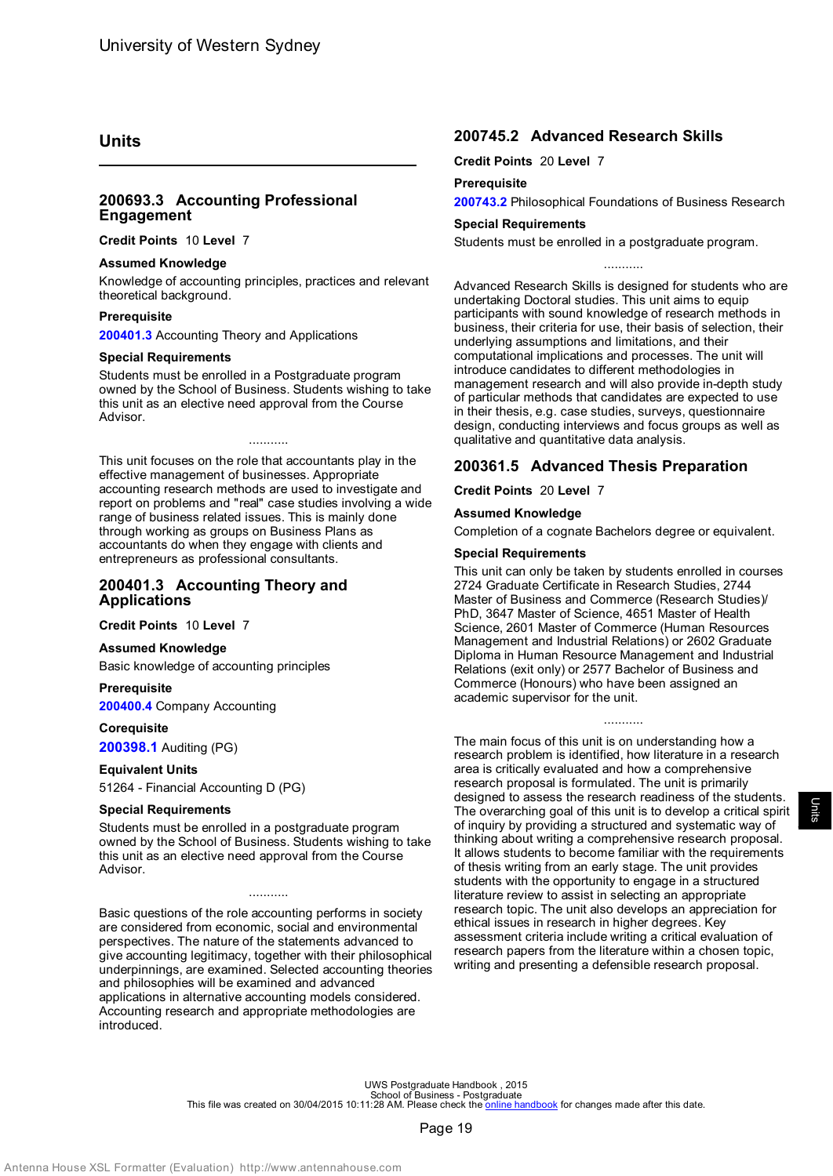### <span id="page-22-0"></span>**Units**

### **200693.3 Accounting Professional Engagement**

**Credit Points** 10 **Level** 7

### **Assumed Knowledge**

Knowledge of accounting principles, practices and relevant theoretical background.

#### **Prerequisite**

**200401.3** Accounting Theory and Applications

#### **Special Requirements**

Students must be enrolled in a Postgraduate program owned by the School of Business. Students wishing to take this unit as an elective need approval from the Course Advisor.

...........

This unit focuses on the role that accountants play in the effective management of businesses. Appropriate accounting research methods are used to investigate and report on problems and "real" case studies involving a wide range of business related issues. This is mainly done through working as groups on Business Plans as accountants do when they engage with clients and entrepreneurs as professional consultants.

### **200401.3 Accounting Theory and Applications**

**Credit Points** 10 **Level** 7

#### **Assumed Knowledge**

Basic knowledge of accounting principles

#### **Prerequisite**

**[200400.4](#page-26-0)** Company Accounting

# **Corequisite**

**200398.1** Auditing (PG)

#### **Equivalent Units**

51264 - Financial Accounting D (PG)

#### **Special Requirements**

Students must be enrolled in a postgraduate program owned by the School of Business. Students wishing to take this unit as an elective need approval from the Course Advisor.

...........

Basic questions of the role accounting performs in society are considered from economic, social and environmental perspectives. The nature of the statements advanced to give accounting legitimacy, together with their philosophical underpinnings, are examined. Selected accounting theories and philosophies will be examined and advanced applications in alternative accounting models considered. Accounting research and appropriate methodologies are introduced.

### **200745.2 Advanced Research Skills**

**Credit Points** 20 **Level** 7

#### **Prerequisite**

**[200743.2](#page-40-0)** Philosophical Foundations of Business Research

#### **Special Requirements**

Students must be enrolled in a postgraduate program.

...........

Advanced Research Skills is designed for students who are undertaking Doctoral studies. This unit aims to equip participants with sound knowledge of research methods in business, their criteria for use, their basis of selection, their underlying assumptions and limitations, and their computational implications and processes. The unit will introduce candidates to different methodologies in management research and will also provide in-depth study of particular methods that candidates are expected to use in their thesis, e.g. case studies, surveys, questionnaire design, conducting interviews and focus groups as well as qualitative and quantitative data analysis.

### **200361.5 Advanced Thesis Preparation**

#### **Credit Points** 20 **Level** 7

#### **Assumed Knowledge**

Completion of a cognate Bachelors degree or equivalent.

#### **Special Requirements**

This unit can only be taken by students enrolled in courses 2724 Graduate Certificate in Research Studies, 2744 Master of Business and Commerce (Research Studies)/ PhD, 3647 Master of Science, 4651 Master of Health Science, 2601 Master of Commerce (Human Resources Management and Industrial Relations) or 2602 Graduate Diploma in Human Resource Management and Industrial Relations (exit only) or 2577 Bachelor of Business and Commerce (Honours) who have been assigned an academic supervisor for the unit.

...........

The main focus of this unit is on understanding how a research problem is identified, how literature in a research area is critically evaluated and how a comprehensive research proposal is formulated. The unit is primarily designed to assess the research readiness of the students. The overarching goal of this unit is to develop a critical spirit of inquiry by providing a structured and systematic way of thinking about writing a comprehensive research proposal. It allows students to become familiar with the requirements of thesis writing from an early stage. The unit provides students with the opportunity to engage in a structured literature review to assist in selecting an appropriate research topic. The unit also develops an appreciation for ethical issues in research in higher degrees. Key assessment criteria include writing a critical evaluation of research papers from the literature within a chosen topic, writing and presenting a defensible research proposal.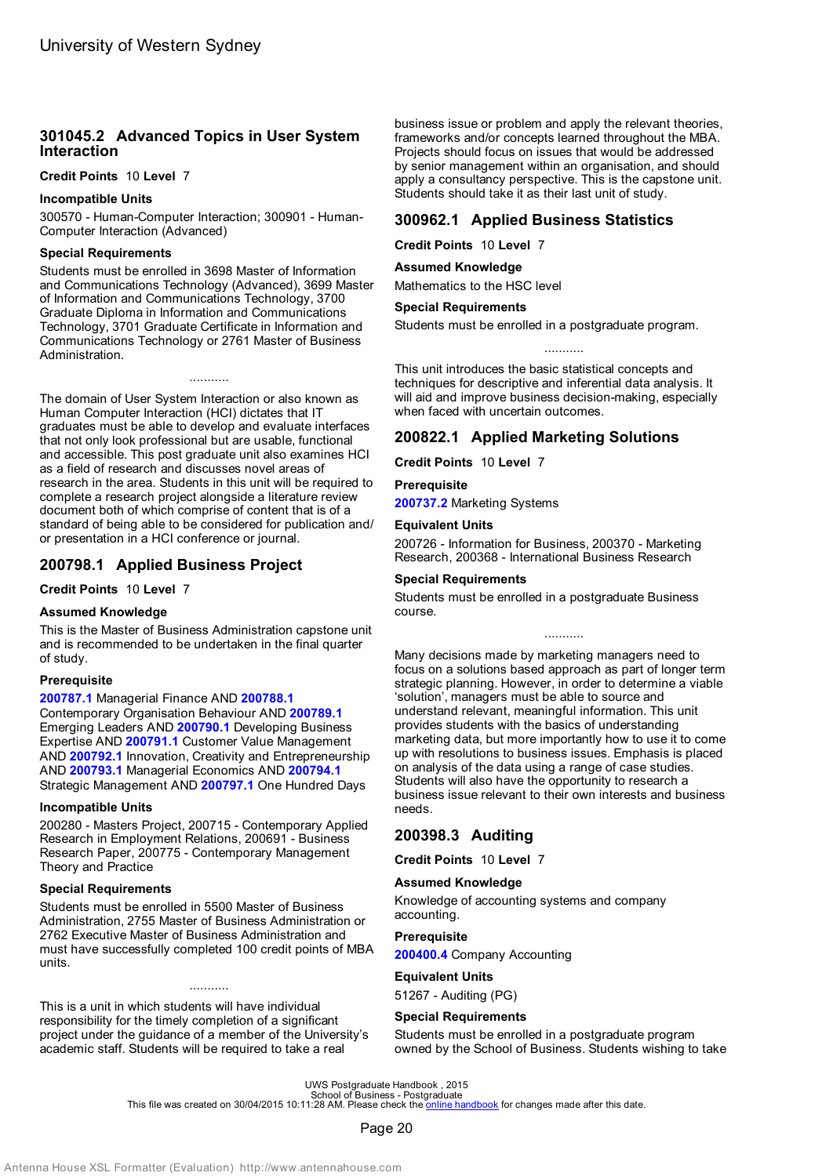### <span id="page-23-0"></span>**301045.2 Advanced Topics in User System Interaction**

#### **Credit Points** 10 **Level** 7

#### **Incompatible Units**

300570 - Human-Computer Interaction; 300901 - Human-Computer Interaction (Advanced)

#### **Special Requirements**

Students must be enrolled in 3698 Master of Information and Communications Technology (Advanced), 3699 Master of Information and Communications Technology, 3700 Graduate Diploma in Information and Communications Technology, 3701 Graduate Certificate in Information and Communications Technology or 2761 Master of Business Administration.

...........

The domain of User System Interaction or also known as Human Computer Interaction (HCI) dictates that IT graduates must be able to develop and evaluate interfaces that not only look professional but are usable, functional and accessible. This post graduate unit also examines HCI as a field of research and discusses novel areas of research in the area. Students in this unit will be required to complete a research project alongside a literature review document both of which comprise of content that is of a standard of being able to be considered for publication and/ or presentation in a HCI conference or journal.

### **200798.1 Applied Business Project**

**Credit Points** 10 **Level** 7

#### **Assumed Knowledge**

This is the Master of Business Administration capstone unit and is recommended to be undertaken in the final quarter of study.

#### **Prerequisite**

**[200787.1](#page-37-0)** Managerial Finance AND **[200788.1](#page-27-0)** Contemporary Organisation Behaviour AND **[200789.1](#page-30-0)** Emerging Leaders AND **[200790.1](#page-29-0)** Developing Business Expertise AND **[200791.1](#page-28-0)** Customer Value Management AND **200792.1** Innovation, Creativity and Entrepreneurship AND **[200793.1](#page-37-0)** Managerial Economics AND **[200794.1](#page-44-0)** Strategic Management AND **[200797.1](#page-39-0)** One Hundred Days

#### **Incompatible Units**

200280 - Masters Project, 200715 - Contemporary Applied Research in Employment Relations, 200691 - Business Research Paper, 200775 - Contemporary Management Theory and Practice

#### **Special Requirements**

Students must be enrolled in 5500 Master of Business Administration, 2755 Master of Business Administration or 2762 Executive Master of Business Administration and must have successfully completed 100 credit points of MBA units.

...........

This is a unit in which students will have individual responsibility for the timely completion of a significant project under the guidance of a member of the University's academic staff. Students will be required to take a real

business issue or problem and apply the relevant theories, frameworks and/or concepts learned throughout the MBA. Projects should focus on issues that would be addressed by senior management within an organisation, and should apply a consultancy perspective. This is the capstone unit. Students should take it as their last unit of study.

### **300962.1 Applied Business Statistics**

**Credit Points** 10 **Level** 7

#### **Assumed Knowledge**

Mathematics to the HSC level

#### **Special Requirements**

Students must be enrolled in a postgraduate program.

...........

This unit introduces the basic statistical concepts and techniques for descriptive and inferential data analysis. It will aid and improve business decision-making, especially when faced with uncertain outcomes.

### **200822.1 Applied Marketing Solutions**

**Credit Points** 10 **Level** 7

### **Prerequisite**

**200737.2** Marketing Systems

#### **Equivalent Units**

200726 - Information for Business, 200370 - Marketing Research, 200368 - International Business Research

#### **Special Requirements**

Students must be enrolled in a postgraduate Business course.

Many decisions made by marketing managers need to focus on a solutions based approach as part of longer term strategic planning. However, in order to determine a viable 'solution', managers must be able to source and understand relevant, meaningful information. This unit provides students with the basics of understanding marketing data, but more importantly how to use it to come up with resolutions to business issues. Emphasis is placed on analysis of the data using a range of case studies. Students will also have the opportunity to research a business issue relevant to their own interests and business needs.

...........

### **200398.3 Auditing**

**Credit Points** 10 **Level** 7

### **Assumed Knowledge**

Knowledge of accounting systems and company accounting.

#### **Prerequisite**

**[200400.4](#page-26-0)** Company Accounting

#### **Equivalent Units**

51267 - Auditing (PG)

### **Special Requirements**

Students must be enrolled in a postgraduate program owned by the School of Business. Students wishing to take

UWS Postgraduate Handbook , 2015 School of Business - Postgraduate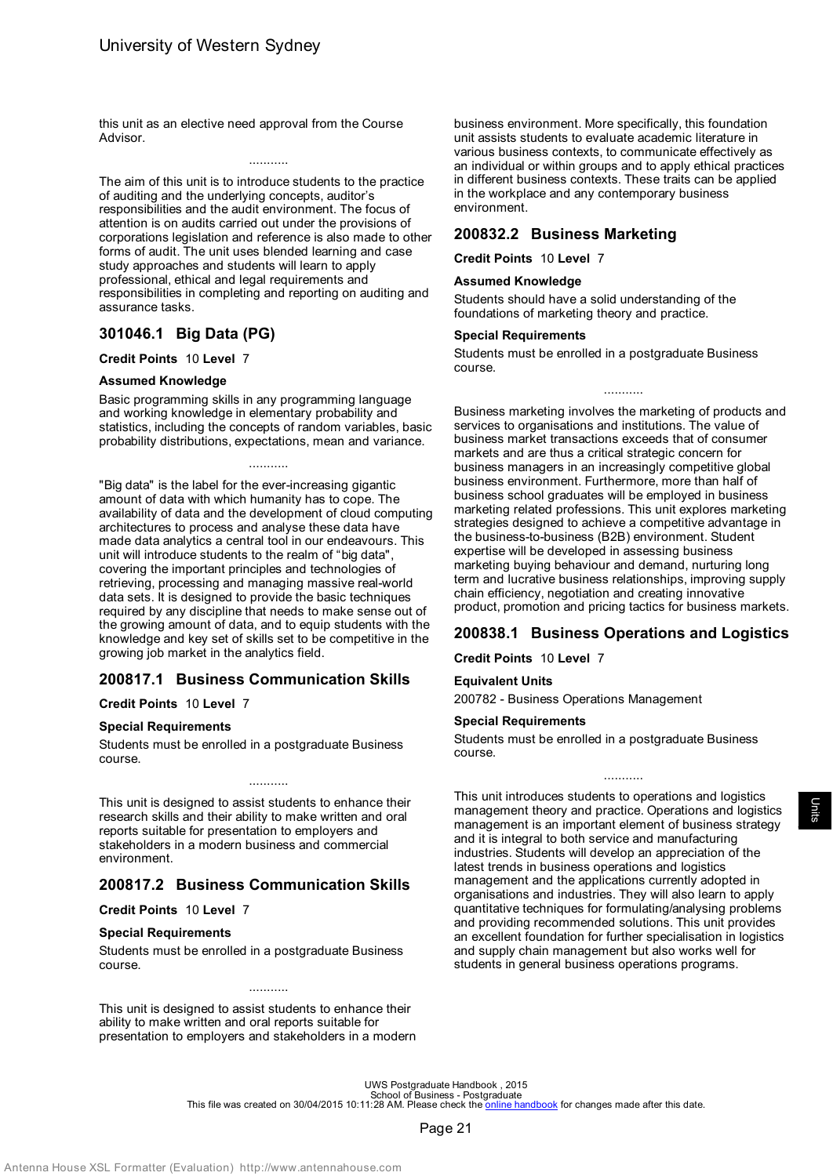<span id="page-24-0"></span>this unit as an elective need approval from the Course Advisor.

#### ...........

The aim of this unit is to introduce students to the practice of auditing and the underlying concepts, auditor's responsibilities and the audit environment. The focus of attention is on audits carried out under the provisions of corporations legislation and reference is also made to other forms of audit. The unit uses blended learning and case study approaches and students will learn to apply professional, ethical and legal requirements and responsibilities in completing and reporting on auditing and assurance tasks.

### **301046.1 Big Data (PG)**

**Credit Points** 10 **Level** 7

#### **Assumed Knowledge**

Basic programming skills in any programming language and working knowledge in elementary probability and statistics, including the concepts of random variables, basic probability distributions, expectations, mean and variance.

...........

"Big data" is the label for the ever-increasing gigantic amount of data with which humanity has to cope. The availability of data and the development of cloud computing architectures to process and analyse these data have made data analytics a central tool in our endeavours. This unit will introduce students to the realm of "big data", covering the important principles and technologies of retrieving, processing and managing massive real-world data sets. It is designed to provide the basic techniques required by any discipline that needs to make sense out of the growing amount of data, and to equip students with the knowledge and key set of skills set to be competitive in the growing job market in the analytics field.

### **200817.1 Business Communication Skills**

#### **Credit Points** 10 **Level** 7

#### **Special Requirements**

Students must be enrolled in a postgraduate Business course.

...........

This unit is designed to assist students to enhance their research skills and their ability to make written and oral reports suitable for presentation to employers and stakeholders in a modern business and commercial environment.

### **200817.2 Business Communication Skills**

#### **Credit Points** 10 **Level** 7

#### **Special Requirements**

Students must be enrolled in a postgraduate Business course.

This unit is designed to assist students to enhance their ability to make written and oral reports suitable for presentation to employers and stakeholders in a modern

...........

business environment. More specifically, this foundation unit assists students to evaluate academic literature in various business contexts, to communicate effectively as an individual or within groups and to apply ethical practices in different business contexts. These traits can be applied in the workplace and any contemporary business environment.

### **200832.2 Business Marketing**

**Credit Points** 10 **Level** 7

#### **Assumed Knowledge**

Students should have a solid understanding of the foundations of marketing theory and practice.

#### **Special Requirements**

Students must be enrolled in a postgraduate Business course.

...........

Business marketing involves the marketing of products and services to organisations and institutions. The value of business market transactions exceeds that of consumer markets and are thus a critical strategic concern for business managers in an increasingly competitive global business environment. Furthermore, more than half of business school graduates will be employed in business marketing related professions. This unit explores marketing strategies designed to achieve a competitive advantage in the business-to-business (B2B) environment. Student expertise will be developed in assessing business marketing buying behaviour and demand, nurturing long term and lucrative business relationships, improving supply chain efficiency, negotiation and creating innovative product, promotion and pricing tactics for business markets.

### **200838.1 Business Operations and Logistics**

**Credit Points** 10 **Level** 7

#### **Equivalent Units**

200782 - Business Operations Management

#### **Special Requirements**

Students must be enrolled in a postgraduate Business course.

...........

This unit introduces students to operations and logistics management theory and practice. Operations and logistics management is an important element of business strategy and it is integral to both service and manufacturing industries. Students will develop an appreciation of the latest trends in business operations and logistics management and the applications currently adopted in organisations and industries. They will also learn to apply quantitative techniques for formulating/analysing problems and providing recommended solutions. This unit provides an excellent foundation for further specialisation in logistics and supply chain management but also works well for students in general business operations programs.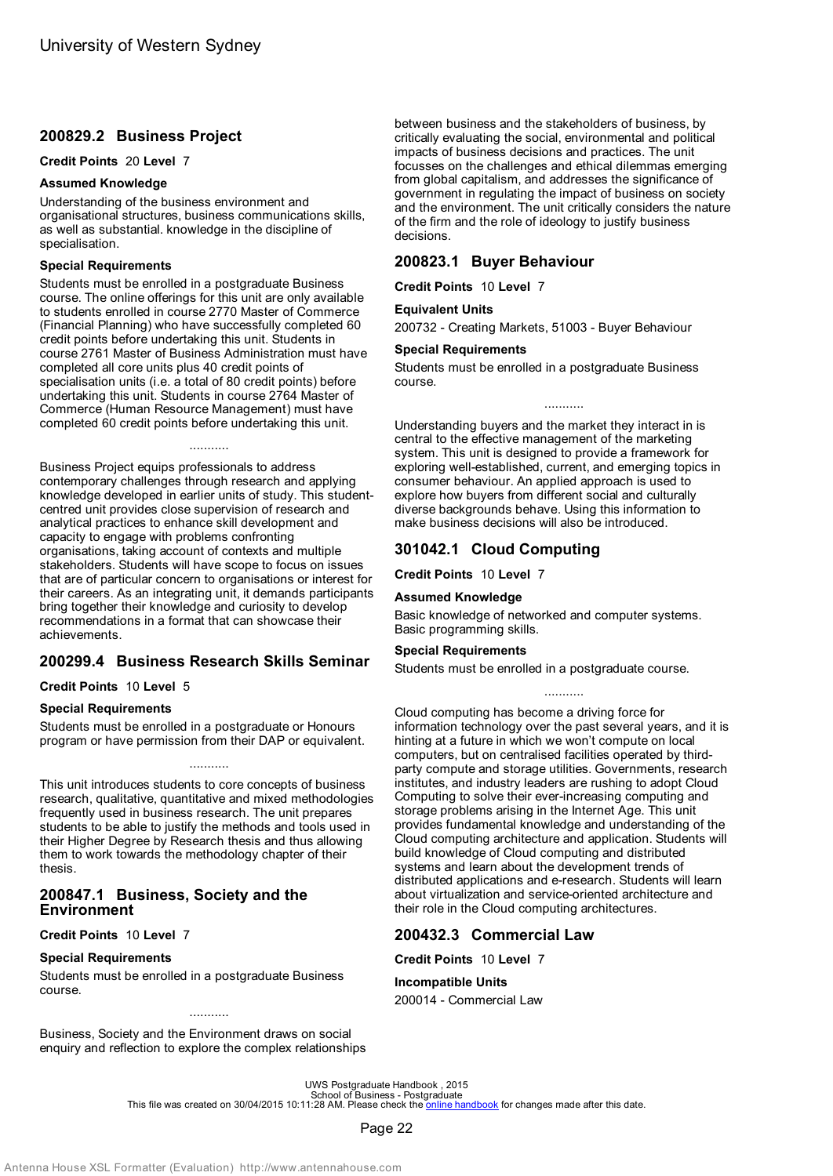### <span id="page-25-0"></span>**200829.2 Business Project**

**Credit Points** 20 **Level** 7

#### **Assumed Knowledge**

Understanding of the business environment and organisational structures, business communications skills, as well as substantial. knowledge in the discipline of specialisation.

#### **Special Requirements**

Students must be enrolled in a postgraduate Business course. The online offerings for this unit are only available to students enrolled in course 2770 Master of Commerce (Financial Planning) who have successfully completed 60 credit points before undertaking this unit. Students in course 2761 Master of Business Administration must have completed all core units plus 40 credit points of specialisation units (i.e. a total of 80 credit points) before undertaking this unit. Students in course 2764 Master of Commerce (Human Resource Management) must have completed 60 credit points before undertaking this unit.

Business Project equips professionals to address contemporary challenges through research and applying knowledge developed in earlier units of study. This studentcentred unit provides close supervision of research and analytical practices to enhance skill development and capacity to engage with problems confronting organisations, taking account of contexts and multiple stakeholders. Students will have scope to focus on issues that are of particular concern to organisations or interest for their careers. As an integrating unit, it demands participants bring together their knowledge and curiosity to develop recommendations in a format that can showcase their achievements.

...........

### **200299.4 Business Research Skills Seminar**

**Credit Points** 10 **Level** 5

#### **Special Requirements**

Students must be enrolled in a postgraduate or Honours program or have permission from their DAP or equivalent.

...........

This unit introduces students to core concepts of business research, qualitative, quantitative and mixed methodologies frequently used in business research. The unit prepares students to be able to justify the methods and tools used in their Higher Degree by Research thesis and thus allowing them to work towards the methodology chapter of their thesis.

### **200847.1 Business, Society and the Environment**

**Credit Points** 10 **Level** 7

#### **Special Requirements**

Students must be enrolled in a postgraduate Business course.

Business, Society and the Environment draws on social enquiry and reflection to explore the complex relationships

...........

between business and the stakeholders of business, by critically evaluating the social, environmental and political impacts of business decisions and practices. The unit focusses on the challenges and ethical dilemmas emerging from global capitalism, and addresses the significance of government in regulating the impact of business on society and the environment. The unit critically considers the nature of the firm and the role of ideology to justify business decisions.

### **200823.1 Buyer Behaviour**

**Credit Points** 10 **Level** 7

#### **Equivalent Units**

200732 - Creating Markets, 51003 - Buyer Behaviour

#### **Special Requirements**

Students must be enrolled in a postgraduate Business course.

Understanding buyers and the market they interact in is central to the effective management of the marketing system. This unit is designed to provide a framework for exploring well-established, current, and emerging topics in consumer behaviour. An applied approach is used to explore how buyers from different social and culturally diverse backgrounds behave. Using this information to make business decisions will also be introduced.

...........

### **301042.1 Cloud Computing**

**Credit Points** 10 **Level** 7

#### **Assumed Knowledge**

Basic knowledge of networked and computer systems. Basic programming skills.

#### **Special Requirements**

Students must be enrolled in a postgraduate course.

Cloud computing has become a driving force for information technology over the past several years, and it is hinting at a future in which we won't compute on local computers, but on centralised facilities operated by thirdparty compute and storage utilities. Governments, research institutes, and industry leaders are rushing to adopt Cloud Computing to solve their ever-increasing computing and storage problems arising in the Internet Age. This unit provides fundamental knowledge and understanding of the Cloud computing architecture and application. Students will build knowledge of Cloud computing and distributed systems and learn about the development trends of distributed applications and e-research. Students will learn about virtualization and service-oriented architecture and their role in the Cloud computing architectures.

...........

### **200432.3 Commercial Law**

**Credit Points** 10 **Level** 7

#### **Incompatible Units**

200014 - Commercial Law

UWS Postgraduate Handbook , 2015 School of Business - Postgraduate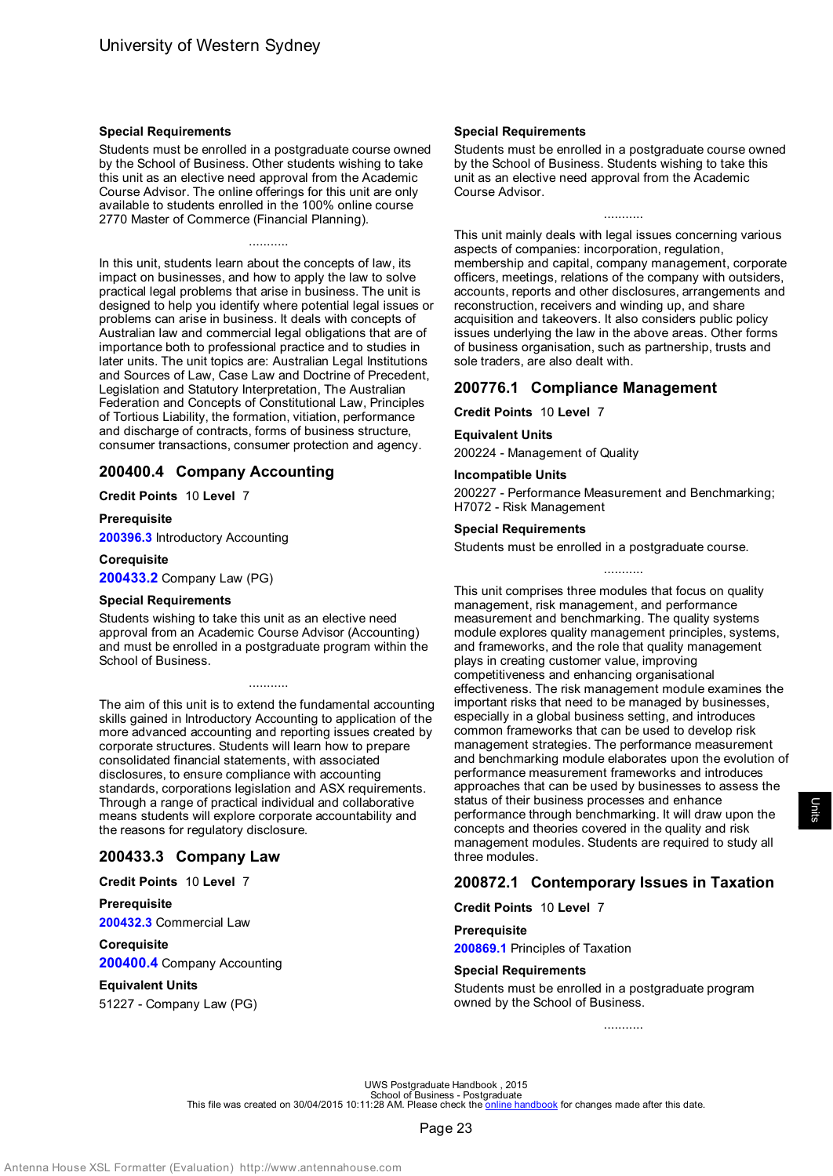#### <span id="page-26-0"></span>**Special Requirements**

Students must be enrolled in a postgraduate course owned by the School of Business. Other students wishing to take this unit as an elective need approval from the Academic Course Advisor. The online offerings for this unit are only available to students enrolled in the 100% online course 2770 Master of Commerce (Financial Planning).

...........

In this unit, students learn about the concepts of law, its impact on businesses, and how to apply the law to solve practical legal problems that arise in business. The unit is designed to help you identify where potential legal issues or problems can arise in business. It deals with concepts of Australian law and commercial legal obligations that are of importance both to professional practice and to studies in later units. The unit topics are: Australian Legal Institutions and Sources of Law, Case Law and Doctrine of Precedent, Legislation and Statutory Interpretation, The Australian Federation and Concepts of Constitutional Law, Principles of Tortious Liability, the formation, vitiation, performance and discharge of contracts, forms of business structure, consumer transactions, consumer protection and agency.

### **200400.4 Company Accounting**

**Credit Points** 10 **Level** 7

#### **Prerequisite**

**200396.3** Introductory Accounting

#### **Corequisite**

**200433.2** Company Law (PG)

#### **Special Requirements**

Students wishing to take this unit as an elective need approval from an Academic Course Advisor (Accounting) and must be enrolled in a postgraduate program within the School of Business.

...........

The aim of this unit is to extend the fundamental accounting skills gained in Introductory Accounting to application of the more advanced accounting and reporting issues created by corporate structures. Students will learn how to prepare consolidated financial statements, with associated disclosures, to ensure compliance with accounting standards, corporations legislation and ASX requirements. Through a range of practical individual and collaborative means students will explore corporate accountability and the reasons for regulatory disclosure.

#### **200433.3 Company Law**

**Credit Points** 10 **Level** 7

# **Prerequisite**

**[200432.3](#page-25-0)** Commercial Law

**Corequisite 200400.4** Company Accounting

#### **Equivalent Units**

51227 - Company Law (PG)

#### **Special Requirements**

Students must be enrolled in a postgraduate course owned by the School of Business. Students wishing to take this unit as an elective need approval from the Academic Course Advisor.

#### ...........

This unit mainly deals with legal issues concerning various aspects of companies: incorporation, regulation, membership and capital, company management, corporate officers, meetings, relations of the company with outsiders, accounts, reports and other disclosures, arrangements and reconstruction, receivers and winding up, and share acquisition and takeovers. It also considers public policy issues underlying the law in the above areas. Other forms of business organisation, such as partnership, trusts and sole traders, are also dealt with.

### **200776.1 Compliance Management**

**Credit Points** 10 **Level** 7

#### **Equivalent Units**

200224 - Management of Quality

#### **Incompatible Units**

200227 - Performance Measurement and Benchmarking; H7072 - Risk Management

...........

#### **Special Requirements**

Students must be enrolled in a postgraduate course.

This unit comprises three modules that focus on quality management, risk management, and performance measurement and benchmarking. The quality systems module explores quality management principles, systems, and frameworks, and the role that quality management plays in creating customer value, improving competitiveness and enhancing organisational effectiveness. The risk management module examines the important risks that need to be managed by businesses, especially in a global business setting, and introduces common frameworks that can be used to develop risk management strategies. The performance measurement and benchmarking module elaborates upon the evolution of performance measurement frameworks and introduces approaches that can be used by businesses to assess the status of their business processes and enhance performance through benchmarking. It will draw upon the concepts and theories covered in the quality and risk management modules. Students are required to study all three modules.

### **200872.1 Contemporary Issues in Taxation**

**Credit Points** 10 **Level** 7

#### **Prerequisite**

**[200869.1](#page-40-0)** Principles of Taxation

#### **Special Requirements**

Students must be enrolled in a postgraduate program owned by the School of Business.

...........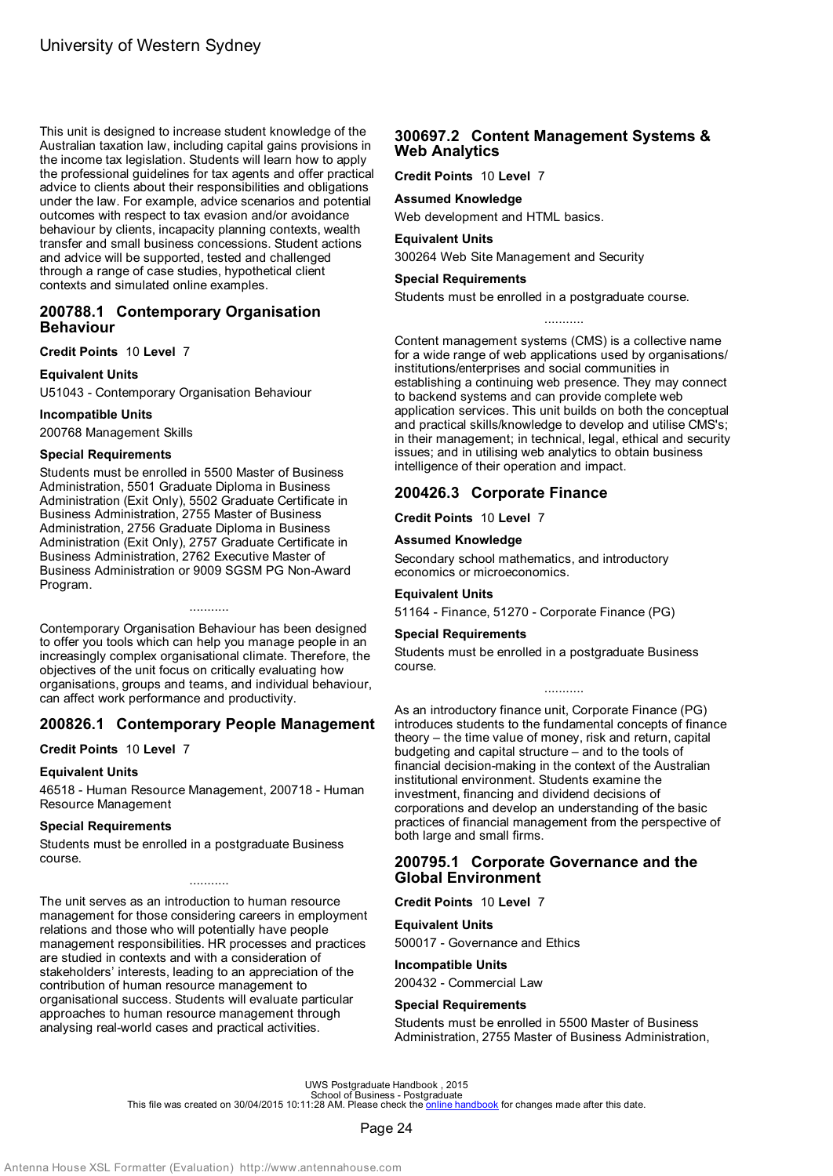<span id="page-27-0"></span>This unit is designed to increase student knowledge of the Australian taxation law, including capital gains provisions in the income tax legislation. Students will learn how to apply the professional guidelines for tax agents and offer practical advice to clients about their responsibilities and obligations under the law. For example, advice scenarios and potential outcomes with respect to tax evasion and/or avoidance behaviour by clients, incapacity planning contexts, wealth transfer and small business concessions. Student actions and advice will be supported, tested and challenged through a range of case studies, hypothetical client contexts and simulated online examples.

#### **200788.1 Contemporary Organisation Behaviour**

**Credit Points** 10 **Level** 7

#### **Equivalent Units**

U51043 - Contemporary Organisation Behaviour

#### **Incompatible Units**

200768 Management Skills

#### **Special Requirements**

Students must be enrolled in 5500 Master of Business Administration, 5501 Graduate Diploma in Business Administration (Exit Only), 5502 Graduate Certificate in Business Administration, 2755 Master of Business Administration, 2756 Graduate Diploma in Business Administration (Exit Only), 2757 Graduate Certificate in Business Administration, 2762 Executive Master of Business Administration or 9009 SGSM PG Non-Award Program.

Contemporary Organisation Behaviour has been designed to offer you tools which can help you manage people in an increasingly complex organisational climate. Therefore, the objectives of the unit focus on critically evaluating how organisations, groups and teams, and individual behaviour, can affect work performance and productivity.

...........

#### **200826.1 Contemporary People Management**

**Credit Points** 10 **Level** 7

#### **Equivalent Units**

46518 - Human Resource Management, 200718 - Human Resource Management

#### **Special Requirements**

Students must be enrolled in a postgraduate Business course.

The unit serves as an introduction to human resource management for those considering careers in employment relations and those who will potentially have people management responsibilities. HR processes and practices are studied in contexts and with a consideration of stakeholders' interests, leading to an appreciation of the contribution of human resource management to organisational success. Students will evaluate particular approaches to human resource management through analysing real-world cases and practical activities.

...........

### **300697.2 Content Management Systems & Web Analytics**

**Credit Points** 10 **Level** 7

#### **Assumed Knowledge**

Web development and HTML basics.

#### **Equivalent Units**

300264 Web Site Management and Security

#### **Special Requirements**

Students must be enrolled in a postgraduate course.

Content management systems (CMS) is a collective name for a wide range of web applications used by organisations/ institutions/enterprises and social communities in establishing a continuing web presence. They may connect to backend systems and can provide complete web application services. This unit builds on both the conceptual and practical skills/knowledge to develop and utilise CMS's; in their management; in technical, legal, ethical and security issues; and in utilising web analytics to obtain business intelligence of their operation and impact.

...........

### **200426.3 Corporate Finance**

**Credit Points** 10 **Level** 7

#### **Assumed Knowledge**

Secondary school mathematics, and introductory economics or microeconomics.

#### **Equivalent Units**

51164 - Finance, 51270 - Corporate Finance (PG)

#### **Special Requirements**

Students must be enrolled in a postgraduate Business course.

As an introductory finance unit, Corporate Finance (PG) introduces students to the fundamental concepts of finance theory – the time value of money, risk and return, capital budgeting and capital structure – and to the tools of financial decision-making in the context of the Australian institutional environment. Students examine the investment, financing and dividend decisions of corporations and develop an understanding of the basic practices of financial management from the perspective of both large and small firms.

...........

#### **200795.1 Corporate Governance and the Global Environment**

**Credit Points** 10 **Level** 7

#### **Equivalent Units**

500017 - Governance and Ethics

#### **Incompatible Units**

200432 - Commercial Law

#### **Special Requirements**

Students must be enrolled in 5500 Master of Business Administration, 2755 Master of Business Administration,

UWS Postgraduate Handbook , 2015 School of Business - Postgraduate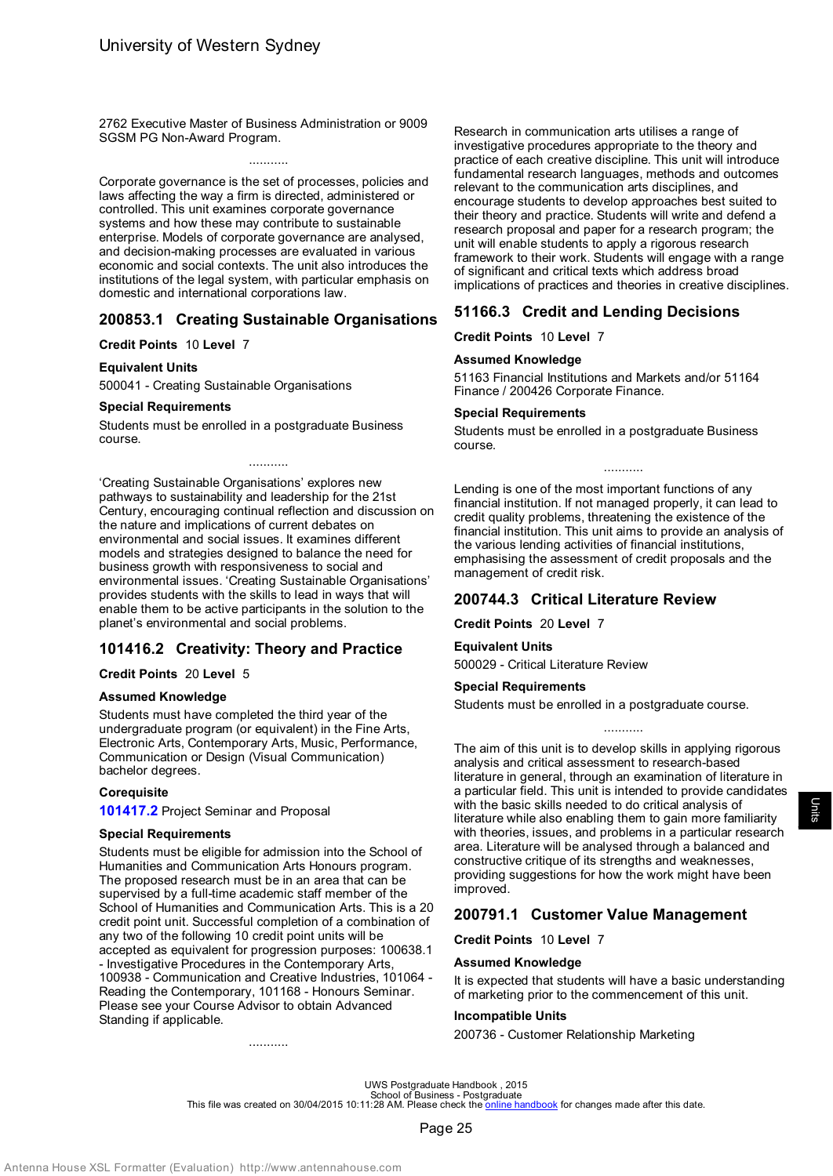<span id="page-28-0"></span>2762 Executive Master of Business Administration or 9009 SGSM PG Non-Award Program.

#### ...........

Corporate governance is the set of processes, policies and laws affecting the way a firm is directed, administered or controlled. This unit examines corporate governance systems and how these may contribute to sustainable enterprise. Models of corporate governance are analysed, and decision-making processes are evaluated in various economic and social contexts. The unit also introduces the institutions of the legal system, with particular emphasis on domestic and international corporations law.

### **200853.1 Creating Sustainable Organisations**

**Credit Points** 10 **Level** 7

#### **Equivalent Units**

500041 - Creating Sustainable Organisations

#### **Special Requirements**

Students must be enrolled in a postgraduate Business course.

'Creating Sustainable Organisations' explores new pathways to sustainability and leadership for the 21st Century, encouraging continual reflection and discussion on the nature and implications of current debates on environmental and social issues. It examines different models and strategies designed to balance the need for business growth with responsiveness to social and environmental issues. 'Creating Sustainable Organisations' provides students with the skills to lead in ways that will enable them to be active participants in the solution to the planet's environmental and social problems.

...........

### **101416.2 Creativity: Theory and Practice**

#### **Credit Points** 20 **Level** 5

#### **Assumed Knowledge**

Students must have completed the third year of the undergraduate program (or equivalent) in the Fine Arts, Electronic Arts, Contemporary Arts, Music, Performance, Communication or Design (Visual Communication) bachelor degrees.

#### **Corequisite**

**[101417.2](#page-41-0)** Project Seminar and Proposal

#### **Special Requirements**

Students must be eligible for admission into the School of Humanities and Communication Arts Honours program. The proposed research must be in an area that can be supervised by a full-time academic staff member of the School of Humanities and Communication Arts. This is a 20 credit point unit. Successful completion of a combination of any two of the following 10 credit point units will be accepted as equivalent for progression purposes: 100638.1 - Investigative Procedures in the Contemporary Arts, 100938 - Communication and Creative Industries, 101064 - Reading the Contemporary, 101168 - Honours Seminar. Please see your Course Advisor to obtain Advanced Standing if applicable.

...........

Research in communication arts utilises a range of investigative procedures appropriate to the theory and practice of each creative discipline. This unit will introduce fundamental research languages, methods and outcomes relevant to the communication arts disciplines, and encourage students to develop approaches best suited to their theory and practice. Students will write and defend a research proposal and paper for a research program; the unit will enable students to apply a rigorous research framework to their work. Students will engage with a range of significant and critical texts which address broad implications of practices and theories in creative disciplines.

### **51166.3 Credit and Lending Decisions**

**Credit Points** 10 **Level** 7

#### **Assumed Knowledge**

51163 Financial Institutions and Markets and/or 51164 Finance / 200426 Corporate Finance.

#### **Special Requirements**

Students must be enrolled in a postgraduate Business course.

Lending is one of the most important functions of any financial institution. If not managed properly, it can lead to credit quality problems, threatening the existence of the financial institution. This unit aims to provide an analysis of the various lending activities of financial institutions, emphasising the assessment of credit proposals and the management of credit risk.

...........

### **200744.3 Critical Literature Review**

**Credit Points** 20 **Level** 7

#### **Equivalent Units**

500029 - Critical Literature Review

#### **Special Requirements**

Students must be enrolled in a postgraduate course.

The aim of this unit is to develop skills in applying rigorous analysis and critical assessment to research-based literature in general, through an examination of literature in a particular field. This unit is intended to provide candidates with the basic skills needed to do critical analysis of literature while also enabling them to gain more familiarity with theories, issues, and problems in a particular research area. Literature will be analysed through a balanced and constructive critique of its strengths and weaknesses, providing suggestions for how the work might have been improved.

...........

### **200791.1 Customer Value Management**

**Credit Points** 10 **Level** 7

#### **Assumed Knowledge**

It is expected that students will have a basic understanding of marketing prior to the commencement of this unit.

#### **Incompatible Units**

200736 - Customer Relationship Marketing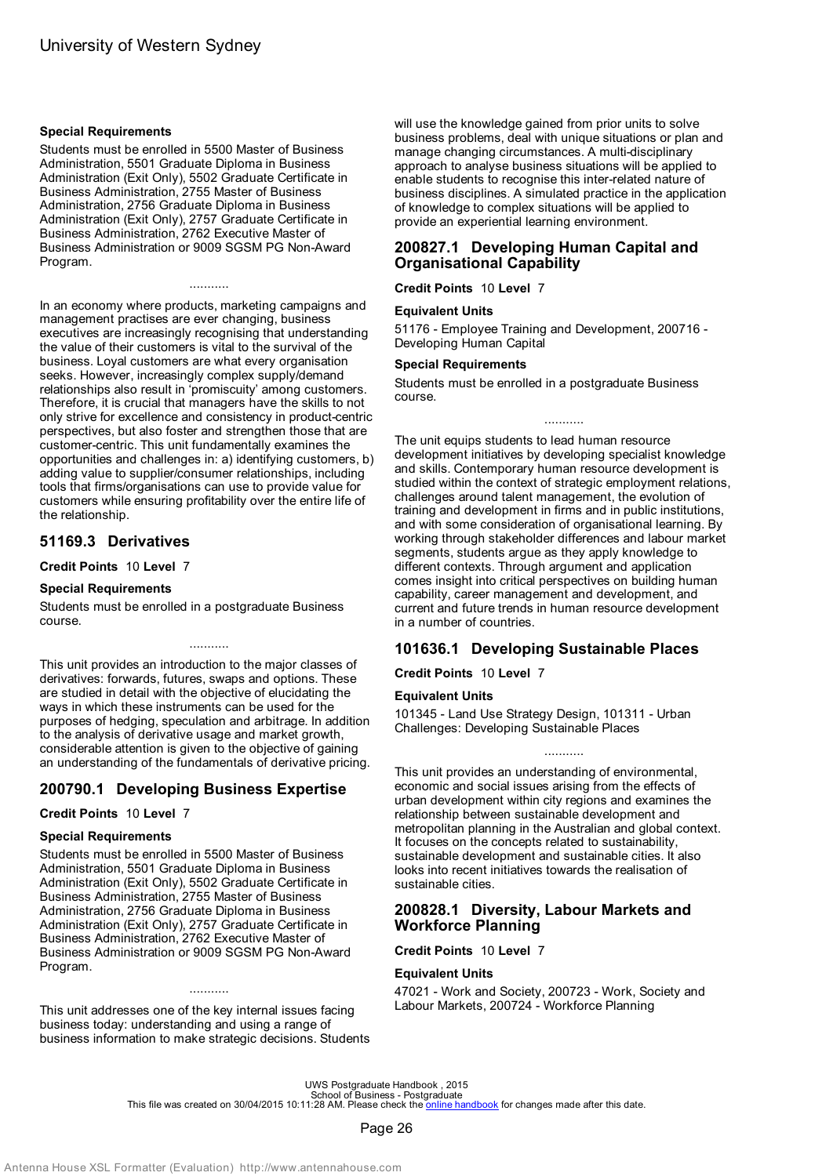#### <span id="page-29-0"></span>**Special Requirements**

Students must be enrolled in 5500 Master of Business Administration, 5501 Graduate Diploma in Business Administration (Exit Only), 5502 Graduate Certificate in Business Administration, 2755 Master of Business Administration, 2756 Graduate Diploma in Business Administration (Exit Only), 2757 Graduate Certificate in Business Administration, 2762 Executive Master of Business Administration or 9009 SGSM PG Non-Award Program.

In an economy where products, marketing campaigns and management practises are ever changing, business executives are increasingly recognising that understanding the value of their customers is vital to the survival of the business. Loyal customers are what every organisation seeks. However, increasingly complex supply/demand relationships also result in 'promiscuity' among customers. Therefore, it is crucial that managers have the skills to not only strive for excellence and consistency in product-centric perspectives, but also foster and strengthen those that are customer-centric. This unit fundamentally examines the opportunities and challenges in: a) identifying customers, b) adding value to supplier/consumer relationships, including tools that firms/organisations can use to provide value for customers while ensuring profitability over the entire life of the relationship.

...........

### **51169.3 Derivatives**

#### **Credit Points** 10 **Level** 7

#### **Special Requirements**

Students must be enrolled in a postgraduate Business course.

This unit provides an introduction to the major classes of derivatives: forwards, futures, swaps and options. These are studied in detail with the objective of elucidating the ways in which these instruments can be used for the purposes of hedging, speculation and arbitrage. In addition to the analysis of derivative usage and market growth, considerable attention is given to the objective of gaining an understanding of the fundamentals of derivative pricing.

...........

### **200790.1 Developing Business Expertise**

#### **Credit Points** 10 **Level** 7

#### **Special Requirements**

Students must be enrolled in 5500 Master of Business Administration, 5501 Graduate Diploma in Business Administration (Exit Only), 5502 Graduate Certificate in Business Administration, 2755 Master of Business Administration, 2756 Graduate Diploma in Business Administration (Exit Only), 2757 Graduate Certificate in Business Administration, 2762 Executive Master of Business Administration or 9009 SGSM PG Non-Award Program.

This unit addresses one of the key internal issues facing business today: understanding and using a range of business information to make strategic decisions. Students

...........

will use the knowledge gained from prior units to solve business problems, deal with unique situations or plan and manage changing circumstances. A multi-disciplinary approach to analyse business situations will be applied to enable students to recognise this inter-related nature of business disciplines. A simulated practice in the application of knowledge to complex situations will be applied to provide an experiential learning environment.

### **200827.1 Developing Human Capital and Organisational Capability**

#### **Credit Points** 10 **Level** 7

#### **Equivalent Units**

51176 - Employee Training and Development, 200716 - Developing Human Capital

#### **Special Requirements**

Students must be enrolled in a postgraduate Business course.

...........

The unit equips students to lead human resource development initiatives by developing specialist knowledge and skills. Contemporary human resource development is studied within the context of strategic employment relations, challenges around talent management, the evolution of training and development in firms and in public institutions, and with some consideration of organisational learning. By working through stakeholder differences and labour market segments, students argue as they apply knowledge to different contexts. Through argument and application comes insight into critical perspectives on building human capability, career management and development, and current and future trends in human resource development in a number of countries.

### **101636.1 Developing Sustainable Places**

#### **Credit Points** 10 **Level** 7

#### **Equivalent Units**

101345 - Land Use Strategy Design, 101311 - Urban Challenges: Developing Sustainable Places

This unit provides an understanding of environmental, economic and social issues arising from the effects of urban development within city regions and examines the relationship between sustainable development and metropolitan planning in the Australian and global context. It focuses on the concepts related to sustainability, sustainable development and sustainable cities. It also looks into recent initiatives towards the realisation of sustainable cities.

...........

#### **200828.1 Diversity, Labour Markets and Workforce Planning**

**Credit Points** 10 **Level** 7

#### **Equivalent Units**

47021 - Work and Society, 200723 - Work, Society and Labour Markets, 200724 - Workforce Planning

UWS Postgraduate Handbook , 2015 School of Business - Postgraduate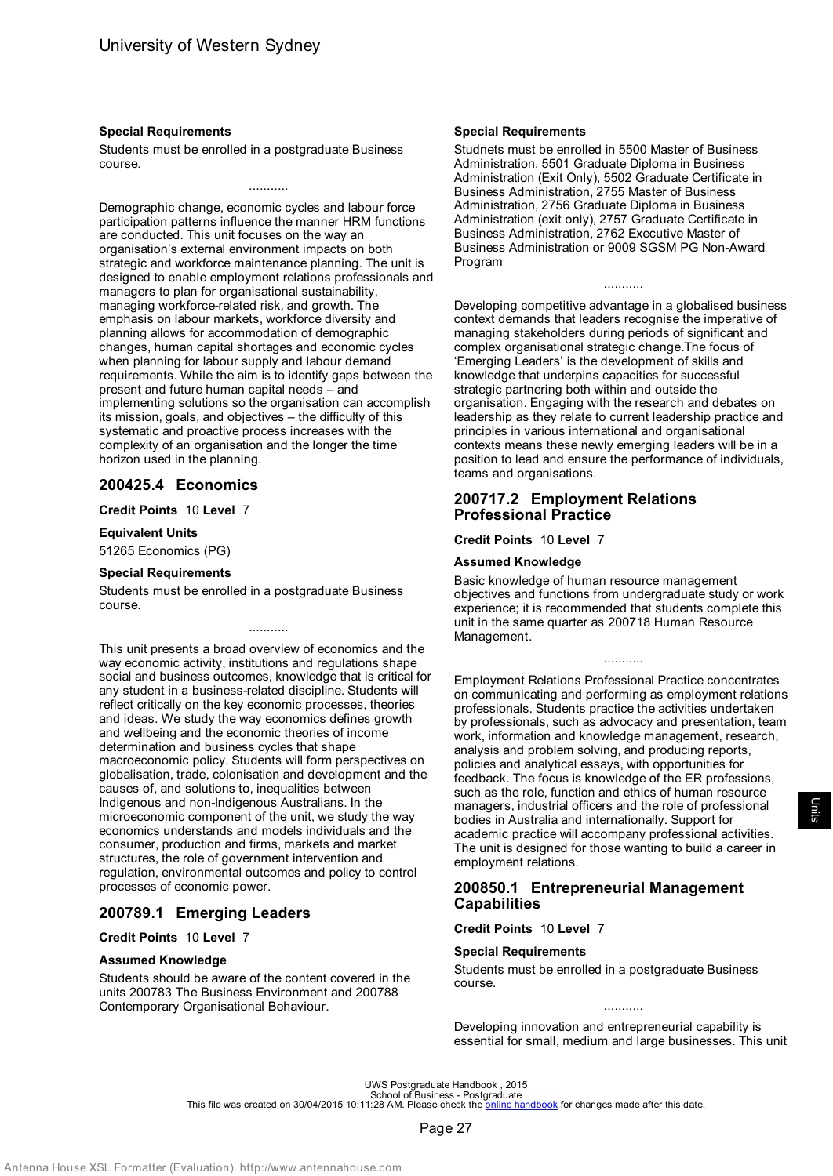#### <span id="page-30-0"></span>**Special Requirements**

Students must be enrolled in a postgraduate Business course.

...........

Demographic change, economic cycles and labour force participation patterns influence the manner HRM functions are conducted. This unit focuses on the way an organisation's external environment impacts on both strategic and workforce maintenance planning. The unit is designed to enable employment relations professionals and managers to plan for organisational sustainability, managing workforce-related risk, and growth. The emphasis on labour markets, workforce diversity and planning allows for accommodation of demographic changes, human capital shortages and economic cycles when planning for labour supply and labour demand requirements. While the aim is to identify gaps between the present and future human capital needs – and implementing solutions so the organisation can accomplish its mission, goals, and objectives – the difficulty of this systematic and proactive process increases with the complexity of an organisation and the longer the time horizon used in the planning.

### **200425.4 Economics**

**Credit Points** 10 **Level** 7

#### **Equivalent Units**

51265 Economics (PG)

#### **Special Requirements**

Students must be enrolled in a postgraduate Business course.

...........

This unit presents a broad overview of economics and the way economic activity, institutions and regulations shape social and business outcomes, knowledge that is critical for any student in a business-related discipline. Students will reflect critically on the key economic processes, theories and ideas. We study the way economics defines growth and wellbeing and the economic theories of income determination and business cycles that shape macroeconomic policy. Students will form perspectives on globalisation, trade, colonisation and development and the causes of, and solutions to, inequalities between Indigenous and non-Indigenous Australians. In the microeconomic component of the unit, we study the way economics understands and models individuals and the consumer, production and firms, markets and market structures, the role of government intervention and regulation, environmental outcomes and policy to control processes of economic power.

### **200789.1 Emerging Leaders**

**Credit Points** 10 **Level** 7

#### **Assumed Knowledge**

Students should be aware of the content covered in the units 200783 The Business Environment and 200788 Contemporary Organisational Behaviour.

#### **Special Requirements**

Studnets must be enrolled in 5500 Master of Business Administration, 5501 Graduate Diploma in Business Administration (Exit Only), 5502 Graduate Certificate in Business Administration, 2755 Master of Business Administration, 2756 Graduate Diploma in Business Administration (exit only), 2757 Graduate Certificate in Business Administration, 2762 Executive Master of Business Administration or 9009 SGSM PG Non-Award Program

Developing competitive advantage in a globalised business context demands that leaders recognise the imperative of managing stakeholders during periods of significant and complex organisational strategic change.The focus of 'Emerging Leaders' is the development of skills and knowledge that underpins capacities for successful strategic partnering both within and outside the organisation. Engaging with the research and debates on leadership as they relate to current leadership practice and principles in various international and organisational contexts means these newly emerging leaders will be in a position to lead and ensure the performance of individuals, teams and organisations.

...........

#### **200717.2 Employment Relations Professional Practice**

#### **Credit Points** 10 **Level** 7

#### **Assumed Knowledge**

Basic knowledge of human resource management objectives and functions from undergraduate study or work experience; it is recommended that students complete this unit in the same quarter as 200718 Human Resource Management.

...........

Employment Relations Professional Practice concentrates on communicating and performing as employment relations professionals. Students practice the activities undertaken by professionals, such as advocacy and presentation, team work, information and knowledge management, research, analysis and problem solving, and producing reports, policies and analytical essays, with opportunities for feedback. The focus is knowledge of the ER professions, such as the role, function and ethics of human resource managers, industrial officers and the role of professional bodies in Australia and internationally. Support for academic practice will accompany professional activities. The unit is designed for those wanting to build a career in employment relations.

#### **200850.1 Entrepreneurial Management Capabilities**

**Credit Points** 10 **Level** 7

#### **Special Requirements**

Students must be enrolled in a postgraduate Business course.

........... Developing innovation and entrepreneurial capability is essential for small, medium and large businesses. This unit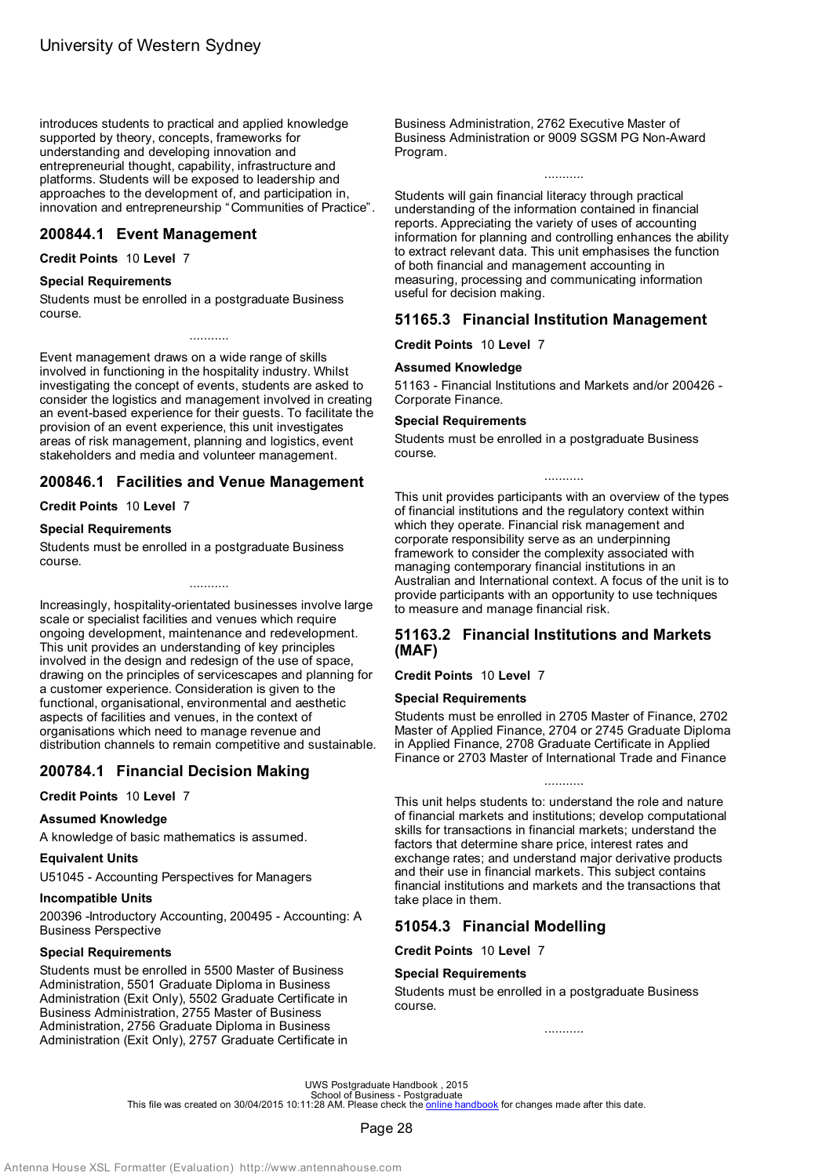<span id="page-31-0"></span>introduces students to practical and applied knowledge supported by theory, concepts, frameworks for understanding and developing innovation and entrepreneurial thought, capability, infrastructure and platforms. Students will be exposed to leadership and approaches to the development of, and participation in, innovation and entrepreneurship "Communities of Practice".

### **200844.1 Event Management**

**Credit Points** 10 **Level** 7

#### **Special Requirements**

Students must be enrolled in a postgraduate Business course.

Event management draws on a wide range of skills involved in functioning in the hospitality industry. Whilst investigating the concept of events, students are asked to consider the logistics and management involved in creating an event-based experience for their guests. To facilitate the provision of an event experience, this unit investigates areas of risk management, planning and logistics, event stakeholders and media and volunteer management.

...........

### **200846.1 Facilities and Venue Management**

**Credit Points** 10 **Level** 7

#### **Special Requirements**

Students must be enrolled in a postgraduate Business course.

Increasingly, hospitality-orientated businesses involve large scale or specialist facilities and venues which require ongoing development, maintenance and redevelopment. This unit provides an understanding of key principles involved in the design and redesign of the use of space, drawing on the principles of servicescapes and planning for a customer experience. Consideration is given to the functional, organisational, environmental and aesthetic aspects of facilities and venues, in the context of organisations which need to manage revenue and distribution channels to remain competitive and sustainable.

...........

### **200784.1 Financial Decision Making**

#### **Credit Points** 10 **Level** 7

#### **Assumed Knowledge**

A knowledge of basic mathematics is assumed.

#### **Equivalent Units**

U51045 - Accounting Perspectives for Managers

#### **Incompatible Units**

200396 -Introductory Accounting, 200495 - Accounting: A Business Perspective

#### **Special Requirements**

Students must be enrolled in 5500 Master of Business Administration, 5501 Graduate Diploma in Business Administration (Exit Only), 5502 Graduate Certificate in Business Administration, 2755 Master of Business Administration, 2756 Graduate Diploma in Business Administration (Exit Only), 2757 Graduate Certificate in Business Administration, 2762 Executive Master of Business Administration or 9009 SGSM PG Non-Award Program.

Students will gain financial literacy through practical understanding of the information contained in financial reports. Appreciating the variety of uses of accounting information for planning and controlling enhances the ability to extract relevant data. This unit emphasises the function of both financial and management accounting in measuring, processing and communicating information useful for decision making.

...........

#### **51165.3 Financial Institution Management**

**Credit Points** 10 **Level** 7

#### **Assumed Knowledge**

51163 - Financial Institutions and Markets and/or 200426 - Corporate Finance.

#### **Special Requirements**

Students must be enrolled in a postgraduate Business course.

...........

This unit provides participants with an overview of the types of financial institutions and the regulatory context within which they operate. Financial risk management and corporate responsibility serve as an underpinning framework to consider the complexity associated with managing contemporary financial institutions in an Australian and International context. A focus of the unit is to provide participants with an opportunity to use techniques to measure and manage financial risk.

### **51163.2 Financial Institutions and Markets (MAF)**

#### **Credit Points** 10 **Level** 7

#### **Special Requirements**

Students must be enrolled in 2705 Master of Finance, 2702 Master of Applied Finance, 2704 or 2745 Graduate Diploma in Applied Finance, 2708 Graduate Certificate in Applied Finance or 2703 Master of International Trade and Finance

...........

This unit helps students to: understand the role and nature of financial markets and institutions; develop computational skills for transactions in financial markets; understand the factors that determine share price, interest rates and exchange rates; and understand major derivative products and their use in financial markets. This subject contains financial institutions and markets and the transactions that take place in them.

### **51054.3 Financial Modelling**

**Credit Points** 10 **Level** 7

#### **Special Requirements**

Students must be enrolled in a postgraduate Business course.

...........

UWS Postgraduate Handbook , 2015 School of Business - Postgraduate

This file was created on 30/04/2015 10:11:28 AM. Please check the online [handbook](http://handbook.uws.edu.au/hbook/) for changes made after this date.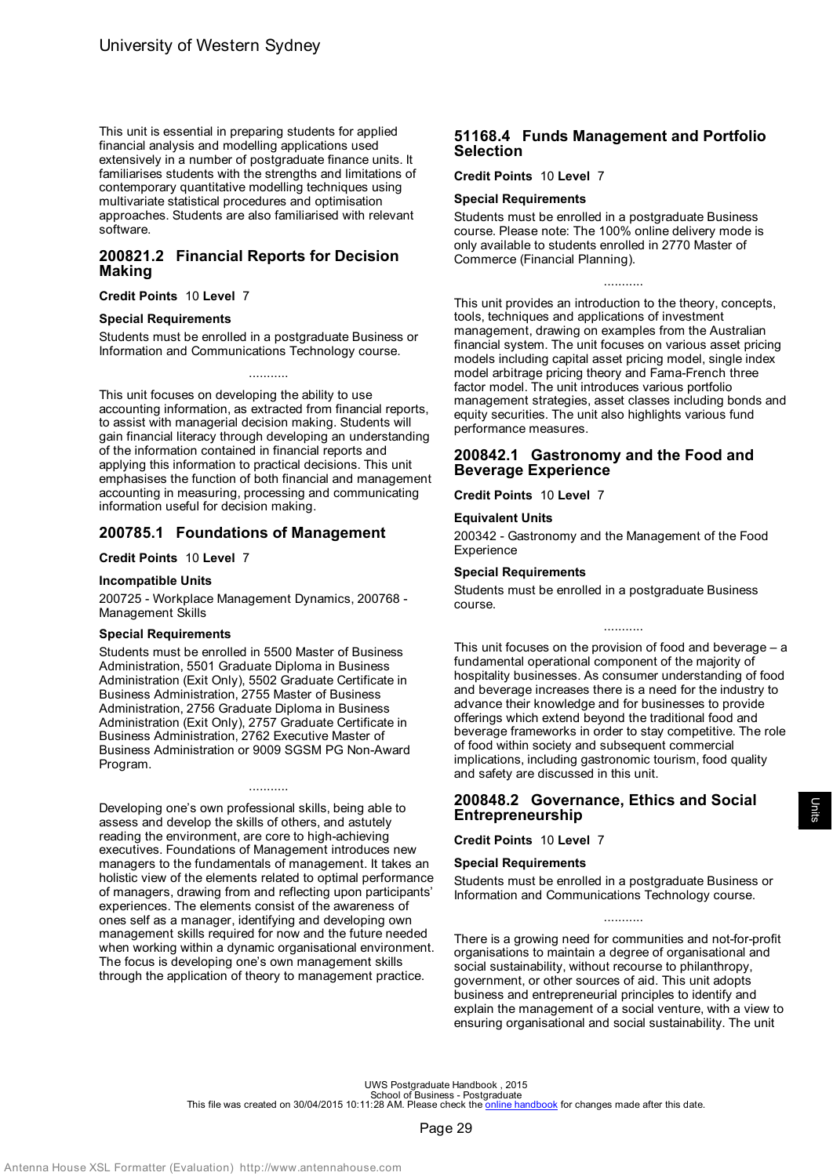<span id="page-32-0"></span>This unit is essential in preparing students for applied financial analysis and modelling applications used extensively in a number of postgraduate finance units. It familiarises students with the strengths and limitations of contemporary quantitative modelling techniques using multivariate statistical procedures and optimisation approaches. Students are also familiarised with relevant software.

### **200821.2 Financial Reports for Decision Making**

#### **Credit Points** 10 **Level** 7

#### **Special Requirements**

Students must be enrolled in a postgraduate Business or Information and Communications Technology course.

...........

This unit focuses on developing the ability to use accounting information, as extracted from financial reports, to assist with managerial decision making. Students will gain financial literacy through developing an understanding of the information contained in financial reports and applying this information to practical decisions. This unit emphasises the function of both financial and management accounting in measuring, processing and communicating information useful for decision making.

### **200785.1 Foundations of Management**

**Credit Points** 10 **Level** 7

#### **Incompatible Units**

200725 - Workplace Management Dynamics, 200768 - Management Skills

#### **Special Requirements**

Students must be enrolled in 5500 Master of Business Administration, 5501 Graduate Diploma in Business Administration (Exit Only), 5502 Graduate Certificate in Business Administration, 2755 Master of Business Administration, 2756 Graduate Diploma in Business Administration (Exit Only), 2757 Graduate Certificate in Business Administration, 2762 Executive Master of Business Administration or 9009 SGSM PG Non-Award Program.

Developing one's own professional skills, being able to assess and develop the skills of others, and astutely reading the environment, are core to high-achieving executives. Foundations of Management introduces new managers to the fundamentals of management. It takes an holistic view of the elements related to optimal performance of managers, drawing from and reflecting upon participants' experiences. The elements consist of the awareness of ones self as a manager, identifying and developing own management skills required for now and the future needed when working within a dynamic organisational environment. The focus is developing one's own management skills through the application of theory to management practice.

...........

### **51168.4 Funds Management and Portfolio Selection**

**Credit Points** 10 **Level** 7

#### **Special Requirements**

Students must be enrolled in a postgraduate Business course. Please note: The 100% online delivery mode is only available to students enrolled in 2770 Master of Commerce (Financial Planning).

This unit provides an introduction to the theory, concepts, tools, techniques and applications of investment management, drawing on examples from the Australian financial system. The unit focuses on various asset pricing models including capital asset pricing model, single index model arbitrage pricing theory and Fama-French three factor model. The unit introduces various portfolio management strategies, asset classes including bonds and equity securities. The unit also highlights various fund performance measures.

...........

### **200842.1 Gastronomy and the Food and Beverage Experience**

**Credit Points** 10 **Level** 7

#### **Equivalent Units**

200342 - Gastronomy and the Management of the Food Experience

#### **Special Requirements**

Students must be enrolled in a postgraduate Business course.

This unit focuses on the provision of food and beverage – a fundamental operational component of the majority of hospitality businesses. As consumer understanding of food and beverage increases there is a need for the industry to advance their knowledge and for businesses to provide offerings which extend beyond the traditional food and beverage frameworks in order to stay competitive. The role of food within society and subsequent commercial implications, including gastronomic tourism, food quality and safety are discussed in this unit.

...........

#### **200848.2 Governance, Ethics and Social Entrepreneurship**

**Credit Points** 10 **Level** 7

#### **Special Requirements**

Students must be enrolled in a postgraduate Business or Information and Communications Technology course.

...........

There is a growing need for communities and not-for-profit organisations to maintain a degree of organisational and social sustainability, without recourse to philanthropy, government, or other sources of aid. This unit adopts business and entrepreneurial principles to identify and explain the management of a social venture, with a view to ensuring organisational and social sustainability. The unit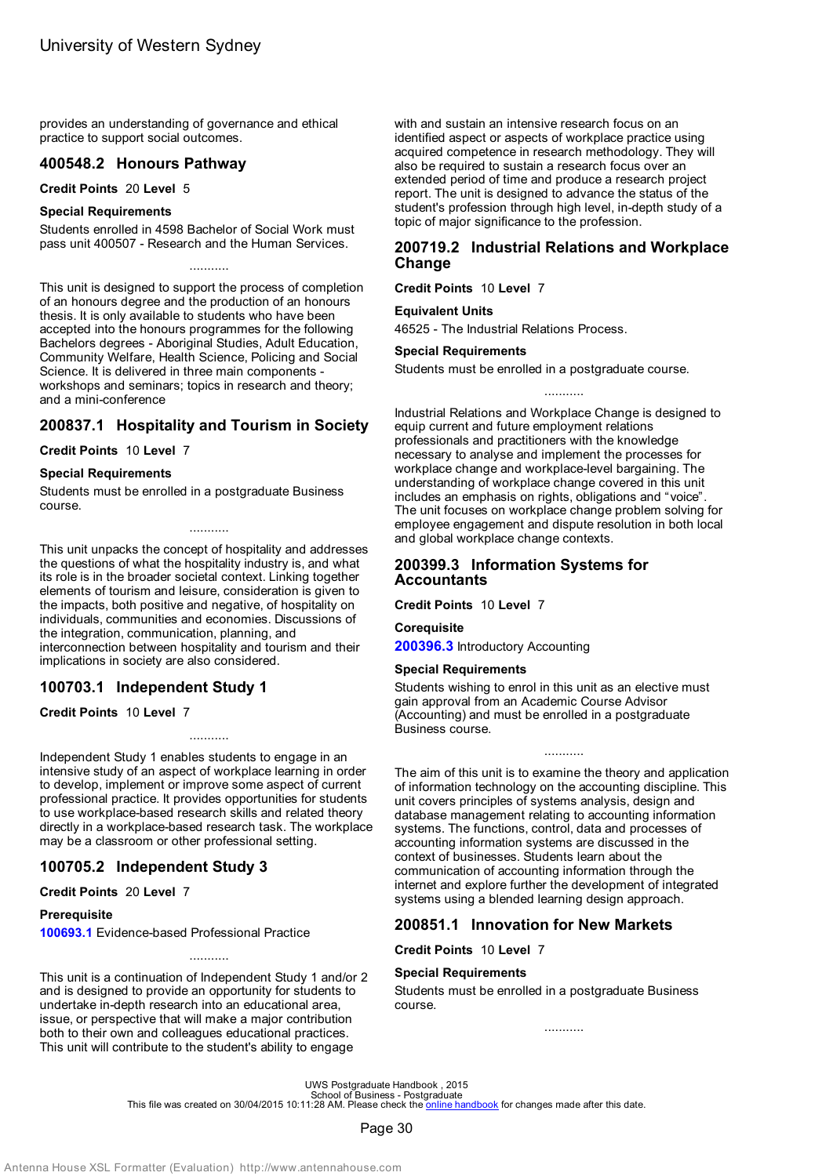<span id="page-33-0"></span>provides an understanding of governance and ethical practice to support social outcomes.

### **400548.2 Honours Pathway**

#### **Credit Points** 20 **Level** 5

#### **Special Requirements**

Students enrolled in 4598 Bachelor of Social Work must pass unit 400507 - Research and the Human Services.

...........

This unit is designed to support the process of completion of an honours degree and the production of an honours thesis. It is only available to students who have been accepted into the honours programmes for the following Bachelors degrees - Aboriginal Studies, Adult Education, Community Welfare, Health Science, Policing and Social Science. It is delivered in three main components workshops and seminars; topics in research and theory; and a mini-conference

### **200837.1 Hospitality and Tourism in Society**

**Credit Points** 10 **Level** 7

#### **Special Requirements**

Students must be enrolled in a postgraduate Business course.

This unit unpacks the concept of hospitality and addresses the questions of what the hospitality industry is, and what its role is in the broader societal context. Linking together elements of tourism and leisure, consideration is given to the impacts, both positive and negative, of hospitality on individuals, communities and economies. Discussions of the integration, communication, planning, and interconnection between hospitality and tourism and their implications in society are also considered.

...........

### **100703.1 Independent Study 1**

**Credit Points** 10 **Level** 7

Independent Study 1 enables students to engage in an intensive study of an aspect of workplace learning in order to develop, implement or improve some aspect of current professional practice. It provides opportunities for students to use workplace-based research skills and related theory directly in a workplace-based research task. The workplace may be a classroom or other professional setting.

...........

### **100705.2 Independent Study 3**

**Credit Points** 20 **Level** 7

#### **Prerequisite**

**100693.1** Evidence-based Professional Practice

This unit is a continuation of Independent Study 1 and/or 2 and is designed to provide an opportunity for students to undertake in-depth research into an educational area, issue, or perspective that will make a major contribution both to their own and colleagues educational practices. This unit will contribute to the student's ability to engage

...........

with and sustain an intensive research focus on an identified aspect or aspects of workplace practice using acquired competence in research methodology. They will also be required to sustain a research focus over an extended period of time and produce a research project report. The unit is designed to advance the status of the student's profession through high level, in-depth study of a topic of major significance to the profession.

#### **200719.2 Industrial Relations and Workplace Change**

**Credit Points** 10 **Level** 7

#### **Equivalent Units**

46525 - The Industrial Relations Process.

#### **Special Requirements**

Students must be enrolled in a postgraduate course.

Industrial Relations and Workplace Change is designed to equip current and future employment relations professionals and practitioners with the knowledge necessary to analyse and implement the processes for workplace change and workplace-level bargaining. The understanding of workplace change covered in this unit includes an emphasis on rights, obligations and "voice". The unit focuses on workplace change problem solving for employee engagement and dispute resolution in both local and global workplace change contexts.

...........

#### **200399.3 Information Systems for Accountants**

**Credit Points** 10 **Level** 7

#### **Corequisite**

**200396.3** Introductory Accounting

#### **Special Requirements**

Students wishing to enrol in this unit as an elective must gain approval from an Academic Course Advisor (Accounting) and must be enrolled in a postgraduate Business course.

The aim of this unit is to examine the theory and application of information technology on the accounting discipline. This unit covers principles of systems analysis, design and database management relating to accounting information systems. The functions, control, data and processes of accounting information systems are discussed in the context of businesses. Students learn about the communication of accounting information through the internet and explore further the development of integrated systems using a blended learning design approach.

...........

### **200851.1 Innovation for New Markets**

**Credit Points** 10 **Level** 7

#### **Special Requirements**

Students must be enrolled in a postgraduate Business course.

...........

UWS Postgraduate Handbook , 2015 School of Business - Postgraduate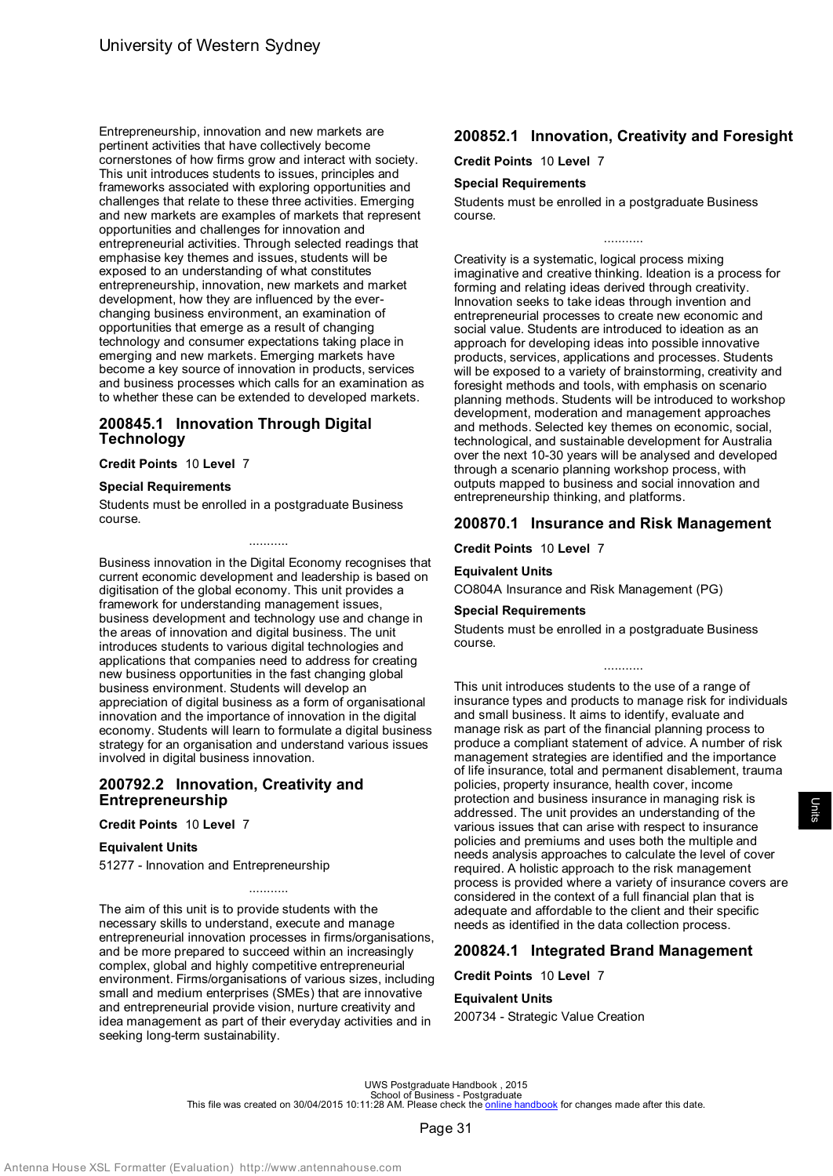<span id="page-34-0"></span>Entrepreneurship, innovation and new markets are pertinent activities that have collectively become cornerstones of how firms grow and interact with society. This unit introduces students to issues, principles and frameworks associated with exploring opportunities and challenges that relate to these three activities. Emerging and new markets are examples of markets that represent opportunities and challenges for innovation and entrepreneurial activities. Through selected readings that emphasise key themes and issues, students will be exposed to an understanding of what constitutes entrepreneurship, innovation, new markets and market development, how they are influenced by the everchanging business environment, an examination of opportunities that emerge as a result of changing technology and consumer expectations taking place in emerging and new markets. Emerging markets have become a key source of innovation in products, services and business processes which calls for an examination as to whether these can be extended to developed markets.

### **200845.1 Innovation Through Digital Technology**

#### **Credit Points** 10 **Level** 7

#### **Special Requirements**

Students must be enrolled in a postgraduate Business course.

...........

Business innovation in the Digital Economy recognises that current economic development and leadership is based on digitisation of the global economy. This unit provides a framework for understanding management issues, business development and technology use and change in the areas of innovation and digital business. The unit introduces students to various digital technologies and applications that companies need to address for creating new business opportunities in the fast changing global business environment. Students will develop an appreciation of digital business as a form of organisational innovation and the importance of innovation in the digital economy. Students will learn to formulate a digital business strategy for an organisation and understand various issues involved in digital business innovation.

### **200792.2 Innovation, Creativity and Entrepreneurship**

#### **Credit Points** 10 **Level** 7

#### **Equivalent Units**

51277 - Innovation and Entrepreneurship

The aim of this unit is to provide students with the necessary skills to understand, execute and manage entrepreneurial innovation processes in firms/organisations, and be more prepared to succeed within an increasingly complex, global and highly competitive entrepreneurial environment. Firms/organisations of various sizes, including small and medium enterprises (SMEs) that are innovative and entrepreneurial provide vision, nurture creativity and idea management as part of their everyday activities and in seeking long-term sustainability.

...........

### **200852.1 Innovation, Creativity and Foresight**

...........

**Credit Points** 10 **Level** 7

#### **Special Requirements**

Students must be enrolled in a postgraduate Business course.

Creativity is a systematic, logical process mixing imaginative and creative thinking. Ideation is a process for forming and relating ideas derived through creativity. Innovation seeks to take ideas through invention and entrepreneurial processes to create new economic and social value. Students are introduced to ideation as an approach for developing ideas into possible innovative products, services, applications and processes. Students will be exposed to a variety of brainstorming, creativity and foresight methods and tools, with emphasis on scenario planning methods. Students will be introduced to workshop development, moderation and management approaches and methods. Selected key themes on economic, social, technological, and sustainable development for Australia over the next 10-30 years will be analysed and developed through a scenario planning workshop process, with outputs mapped to business and social innovation and entrepreneurship thinking, and platforms.

#### **200870.1 Insurance and Risk Management**

**Credit Points** 10 **Level** 7

#### **Equivalent Units**

CO804A Insurance and Risk Management (PG)

#### **Special Requirements**

Students must be enrolled in a postgraduate Business course.

...........

This unit introduces students to the use of a range of insurance types and products to manage risk for individuals and small business. It aims to identify, evaluate and manage risk as part of the financial planning process to produce a compliant statement of advice. A number of risk management strategies are identified and the importance of life insurance, total and permanent disablement, trauma policies, property insurance, health cover, income protection and business insurance in managing risk is addressed. The unit provides an understanding of the various issues that can arise with respect to insurance policies and premiums and uses both the multiple and needs analysis approaches to calculate the level of cover required. A holistic approach to the risk management process is provided where a variety of insurance covers are considered in the context of a full financial plan that is adequate and affordable to the client and their specific needs as identified in the data collection process.

### **200824.1 Integrated Brand Management**

**Credit Points** 10 **Level** 7

#### **Equivalent Units**

200734 - Strategic Value Creation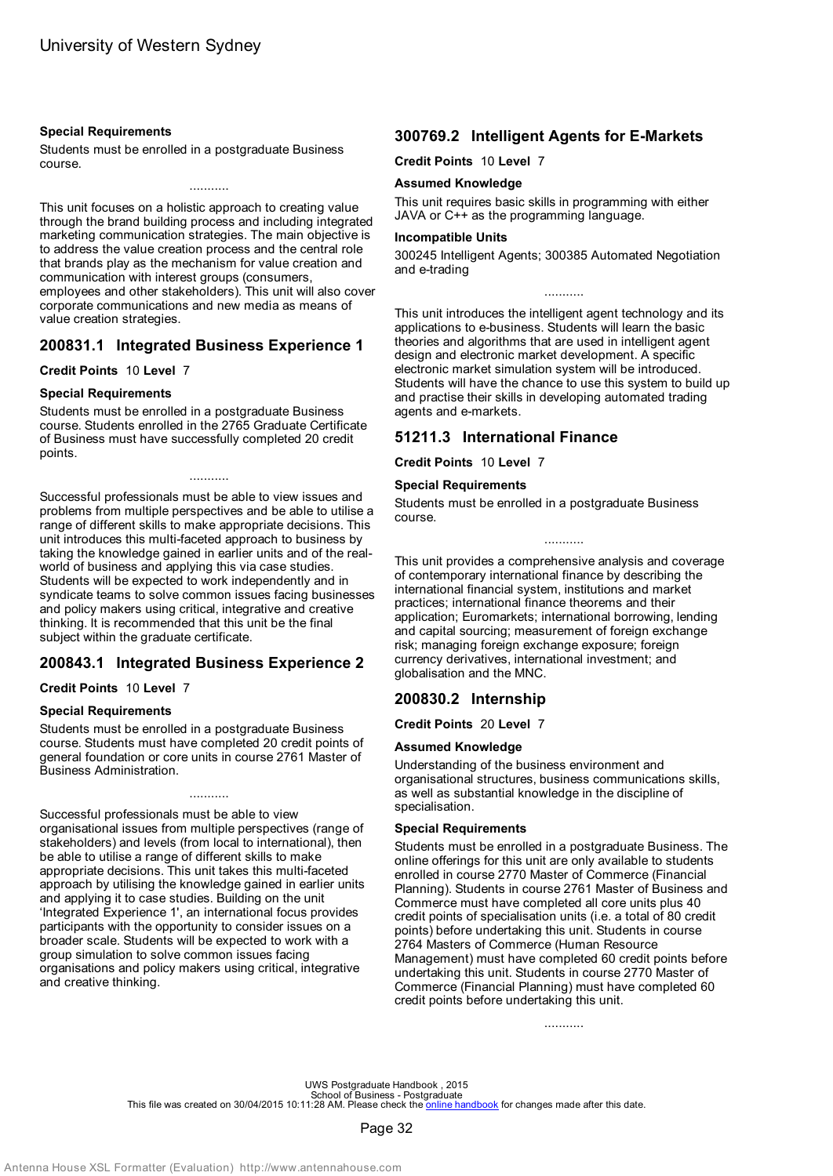#### <span id="page-35-0"></span>**Special Requirements**

Students must be enrolled in a postgraduate Business course.

This unit focuses on a holistic approach to creating value through the brand building process and including integrated marketing communication strategies. The main objective is to address the value creation process and the central role that brands play as the mechanism for value creation and communication with interest groups (consumers, employees and other stakeholders). This unit will also cover corporate communications and new media as means of value creation strategies.

...........

### **200831.1 Integrated Business Experience 1**

#### **Credit Points** 10 **Level** 7

#### **Special Requirements**

Students must be enrolled in a postgraduate Business course. Students enrolled in the 2765 Graduate Certificate of Business must have successfully completed 20 credit points.

...........

Successful professionals must be able to view issues and problems from multiple perspectives and be able to utilise a range of different skills to make appropriate decisions. This unit introduces this multi-faceted approach to business by taking the knowledge gained in earlier units and of the realworld of business and applying this via case studies. Students will be expected to work independently and in syndicate teams to solve common issues facing businesses and policy makers using critical, integrative and creative thinking. It is recommended that this unit be the final subject within the graduate certificate.

### **200843.1 Integrated Business Experience 2**

**Credit Points** 10 **Level** 7

#### **Special Requirements**

Students must be enrolled in a postgraduate Business course. Students must have completed 20 credit points of general foundation or core units in course 2761 Master of Business Administration.

...........

Successful professionals must be able to view organisational issues from multiple perspectives (range of stakeholders) and levels (from local to international), then be able to utilise a range of different skills to make appropriate decisions. This unit takes this multi-faceted approach by utilising the knowledge gained in earlier units and applying it to case studies. Building on the unit 'Integrated Experience 1', an international focus provides participants with the opportunity to consider issues on a broader scale. Students will be expected to work with a group simulation to solve common issues facing organisations and policy makers using critical, integrative and creative thinking.

### **300769.2 Intelligent Agents for E-Markets**

**Credit Points** 10 **Level** 7

#### **Assumed Knowledge**

This unit requires basic skills in programming with either JAVA or C++ as the programming language.

#### **Incompatible Units**

300245 Intelligent Agents; 300385 Automated Negotiation and e-trading

...........

This unit introduces the intelligent agent technology and its applications to e-business. Students will learn the basic theories and algorithms that are used in intelligent agent design and electronic market development. A specific electronic market simulation system will be introduced. Students will have the chance to use this system to build up and practise their skills in developing automated trading agents and e-markets.

### **51211.3 International Finance**

**Credit Points** 10 **Level** 7

#### **Special Requirements**

Students must be enrolled in a postgraduate Business course.

This unit provides a comprehensive analysis and coverage of contemporary international finance by describing the international financial system, institutions and market practices; international finance theorems and their application; Euromarkets; international borrowing, lending and capital sourcing; measurement of foreign exchange risk; managing foreign exchange exposure; foreign currency derivatives, international investment; and globalisation and the MNC.

...........

### **200830.2 Internship**

#### **Credit Points** 20 **Level** 7

#### **Assumed Knowledge**

Understanding of the business environment and organisational structures, business communications skills, as well as substantial knowledge in the discipline of specialisation.

#### **Special Requirements**

Students must be enrolled in a postgraduate Business. The online offerings for this unit are only available to students enrolled in course 2770 Master of Commerce (Financial Planning). Students in course 2761 Master of Business and Commerce must have completed all core units plus 40 credit points of specialisation units (i.e. a total of 80 credit points) before undertaking this unit. Students in course 2764 Masters of Commerce (Human Resource Management) must have completed 60 credit points before undertaking this unit. Students in course 2770 Master of Commerce (Financial Planning) must have completed 60 credit points before undertaking this unit.

...........

UWS Postgraduate Handbook , 2015 School of Business - Postgraduate This file was created on 30/04/2015 10:11:28 AM. Please check the online [handbook](http://handbook.uws.edu.au/hbook/) for changes made after this date.

Page 32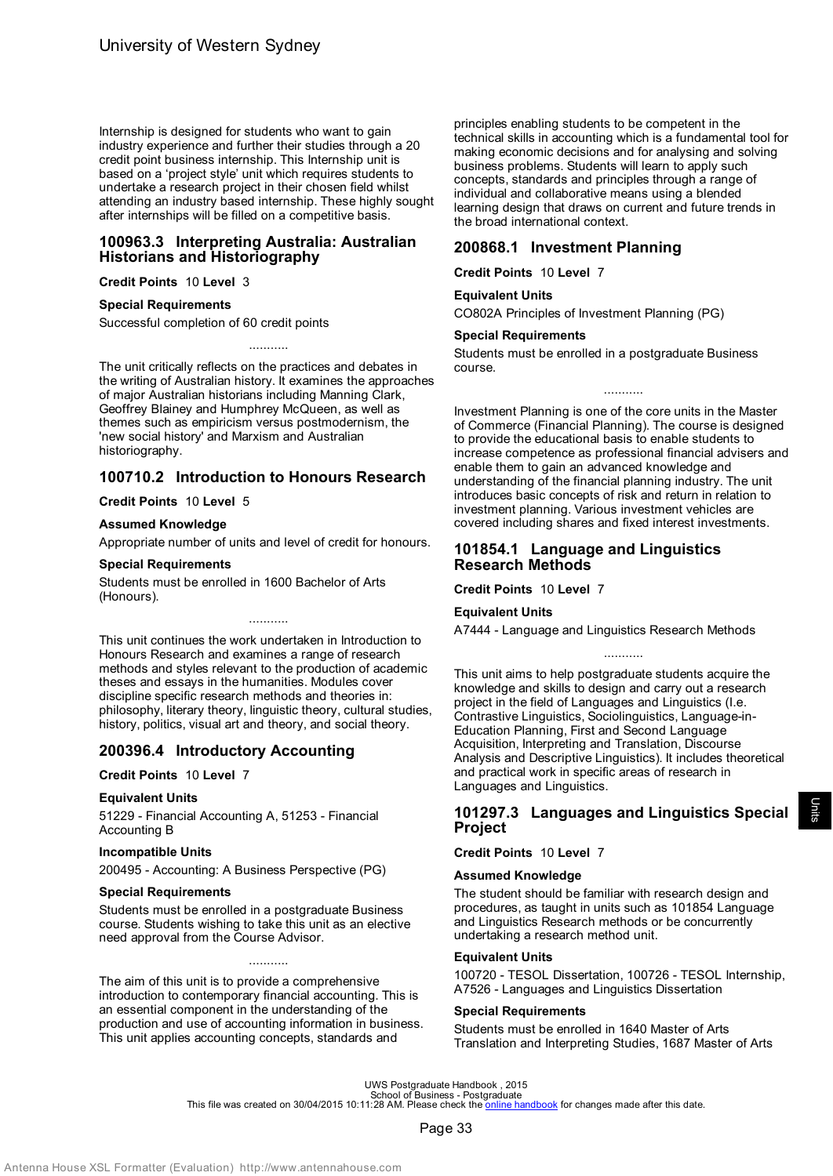<span id="page-36-0"></span>Internship is designed for students who want to gain industry experience and further their studies through a 20 credit point business internship. This Internship unit is based on a 'project style' unit which requires students to undertake a research project in their chosen field whilst attending an industry based internship. These highly sought after internships will be filled on a competitive basis.

#### **100963.3 Interpreting Australia: Australian Historians and Historiography**

#### **Credit Points** 10 **Level** 3

#### **Special Requirements**

Successful completion of 60 credit points

The unit critically reflects on the practices and debates in the writing of Australian history. It examines the approaches of major Australian historians including Manning Clark, Geoffrey Blainey and Humphrey McQueen, as well as themes such as empiricism versus postmodernism, the 'new social history' and Marxism and Australian historiography.

...........

### **100710.2 Introduction to Honours Research**

#### **Credit Points** 10 **Level** 5

#### **Assumed Knowledge**

Appropriate number of units and level of credit for honours.

#### **Special Requirements**

Students must be enrolled in 1600 Bachelor of Arts (Honours).

This unit continues the work undertaken in Introduction to Honours Research and examines a range of research methods and styles relevant to the production of academic theses and essays in the humanities. Modules cover discipline specific research methods and theories in: philosophy, literary theory, linguistic theory, cultural studies, history, politics, visual art and theory, and social theory.

...........

### **200396.4 Introductory Accounting**

#### **Credit Points** 10 **Level** 7

#### **Equivalent Units**

51229 - Financial Accounting A, 51253 - Financial Accounting B

#### **Incompatible Units**

200495 - Accounting: A Business Perspective (PG)

#### **Special Requirements**

Students must be enrolled in a postgraduate Business course. Students wishing to take this unit as an elective need approval from the Course Advisor.

The aim of this unit is to provide a comprehensive introduction to contemporary financial accounting. This is an essential component in the understanding of the production and use of accounting information in business. This unit applies accounting concepts, standards and

...........

principles enabling students to be competent in the technical skills in accounting which is a fundamental tool for making economic decisions and for analysing and solving business problems. Students will learn to apply such concepts, standards and principles through a range of individual and collaborative means using a blended learning design that draws on current and future trends in the broad international context.

#### **200868.1 Investment Planning**

**Credit Points** 10 **Level** 7

#### **Equivalent Units**

CO802A Principles of Investment Planning (PG)

#### **Special Requirements**

Students must be enrolled in a postgraduate Business course.

Investment Planning is one of the core units in the Master of Commerce (Financial Planning). The course is designed to provide the educational basis to enable students to increase competence as professional financial advisers and enable them to gain an advanced knowledge and understanding of the financial planning industry. The unit introduces basic concepts of risk and return in relation to investment planning. Various investment vehicles are covered including shares and fixed interest investments.

...........

#### **101854.1 Language and Linguistics Research Methods**

**Credit Points** 10 **Level** 7

#### **Equivalent Units**

A7444 - Language and Linguistics Research Methods

This unit aims to help postgraduate students acquire the knowledge and skills to design and carry out a research project in the field of Languages and Linguistics (I.e. Contrastive Linguistics, Sociolinguistics, Language-in-Education Planning, First and Second Language Acquisition, Interpreting and Translation, Discourse Analysis and Descriptive Linguistics). It includes theoretical and practical work in specific areas of research in Languages and Linguistics.

...........

#### **101297.3 Languages and Linguistics Special Project**

**Credit Points** 10 **Level** 7

#### **Assumed Knowledge**

The student should be familiar with research design and procedures, as taught in units such as 101854 Language and Linguistics Research methods or be concurrently undertaking a research method unit.

#### **Equivalent Units**

100720 - TESOL Dissertation, 100726 - TESOL Internship, A7526 - Languages and Linguistics Dissertation

#### **Special Requirements**

Students must be enrolled in 1640 Master of Arts Translation and Interpreting Studies, 1687 Master of Arts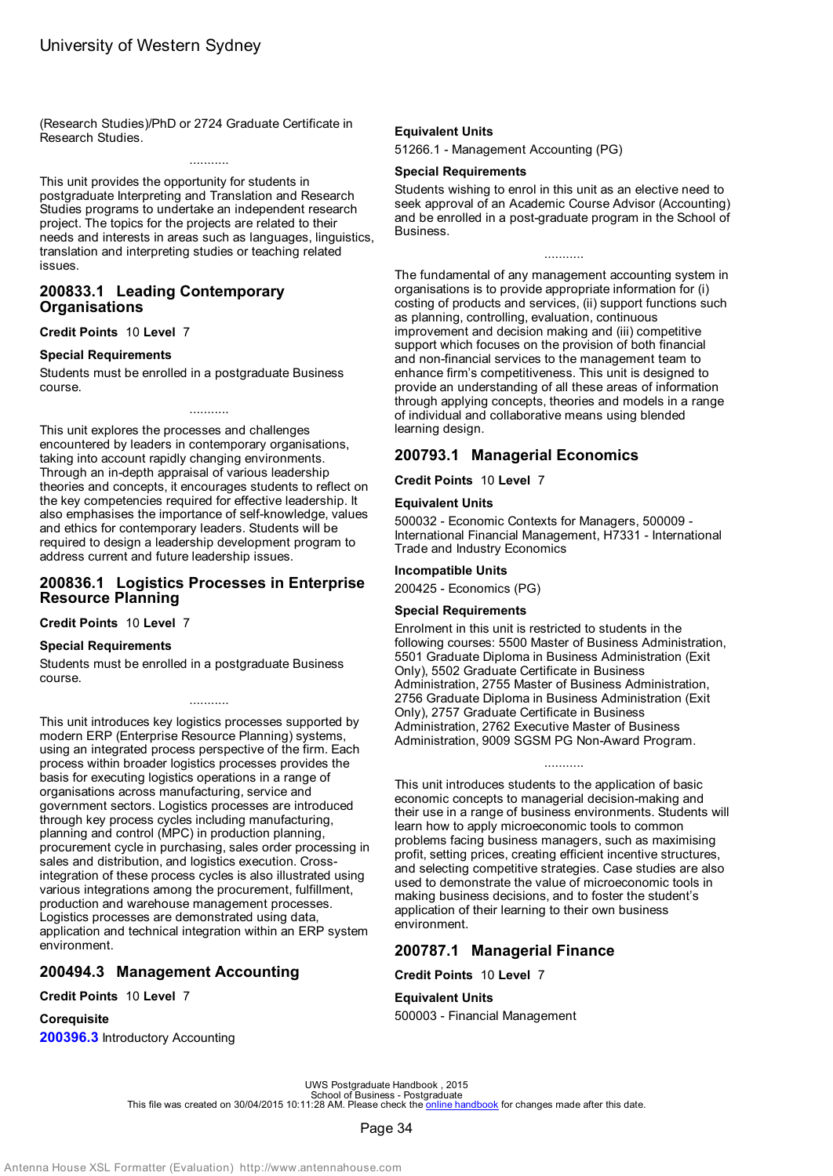<span id="page-37-0"></span>(Research Studies)/PhD or 2724 Graduate Certificate in Research Studies.

This unit provides the opportunity for students in postgraduate Interpreting and Translation and Research Studies programs to undertake an independent research project. The topics for the projects are related to their needs and interests in areas such as languages, linguistics, translation and interpreting studies or teaching related issues.

...........

### **200833.1 Leading Contemporary Organisations**

**Credit Points** 10 **Level** 7

#### **Special Requirements**

Students must be enrolled in a postgraduate Business course.

This unit explores the processes and challenges encountered by leaders in contemporary organisations, taking into account rapidly changing environments. Through an in-depth appraisal of various leadership theories and concepts, it encourages students to reflect on the key competencies required for effective leadership. It also emphasises the importance of self-knowledge, values and ethics for contemporary leaders. Students will be required to design a leadership development program to address current and future leadership issues.

...........

### **200836.1 Logistics Processes in Enterprise Resource Planning**

**Credit Points** 10 **Level** 7

#### **Special Requirements**

Students must be enrolled in a postgraduate Business course.

...........

This unit introduces key logistics processes supported by modern ERP (Enterprise Resource Planning) systems, using an integrated process perspective of the firm. Each process within broader logistics processes provides the basis for executing logistics operations in a range of organisations across manufacturing, service and government sectors. Logistics processes are introduced through key process cycles including manufacturing, planning and control (MPC) in production planning, procurement cycle in purchasing, sales order processing in sales and distribution, and logistics execution. Crossintegration of these process cycles is also illustrated using various integrations among the procurement, fulfillment, production and warehouse management processes. Logistics processes are demonstrated using data, application and technical integration within an ERP system environment.

### **200494.3 Management Accounting**

**Credit Points** 10 **Level** 7

#### **Corequisite**

**200396.3** Introductory Accounting

#### **Equivalent Units**

51266.1 - Management Accounting (PG)

#### **Special Requirements**

Students wishing to enrol in this unit as an elective need to seek approval of an Academic Course Advisor (Accounting) and be enrolled in a post-graduate program in the School of Business.

...........

The fundamental of any management accounting system in organisations is to provide appropriate information for (i) costing of products and services, (ii) support functions such as planning, controlling, evaluation, continuous improvement and decision making and (iii) competitive support which focuses on the provision of both financial and non-financial services to the management team to enhance firm's competitiveness. This unit is designed to provide an understanding of all these areas of information through applying concepts, theories and models in a range of individual and collaborative means using blended learning design.

### **200793.1 Managerial Economics**

#### **Credit Points** 10 **Level** 7

#### **Equivalent Units**

500032 - Economic Contexts for Managers, 500009 - International Financial Management, H7331 - International Trade and Industry Economics

#### **Incompatible Units**

200425 - Economics (PG)

#### **Special Requirements**

Enrolment in this unit is restricted to students in the following courses: 5500 Master of Business Administration, 5501 Graduate Diploma in Business Administration (Exit Only), 5502 Graduate Certificate in Business Administration, 2755 Master of Business Administration, 2756 Graduate Diploma in Business Administration (Exit Only), 2757 Graduate Certificate in Business Administration, 2762 Executive Master of Business Administration, 9009 SGSM PG Non-Award Program.

...........

This unit introduces students to the application of basic economic concepts to managerial decision-making and their use in a range of business environments. Students will learn how to apply microeconomic tools to common problems facing business managers, such as maximising profit, setting prices, creating efficient incentive structures, and selecting competitive strategies. Case studies are also used to demonstrate the value of microeconomic tools in making business decisions, and to foster the student's application of their learning to their own business environment.

### **200787.1 Managerial Finance**

**Credit Points** 10 **Level** 7

#### **Equivalent Units**

500003 - Financial Management

UWS Postgraduate Handbook , 2015 School of Business - Postgraduate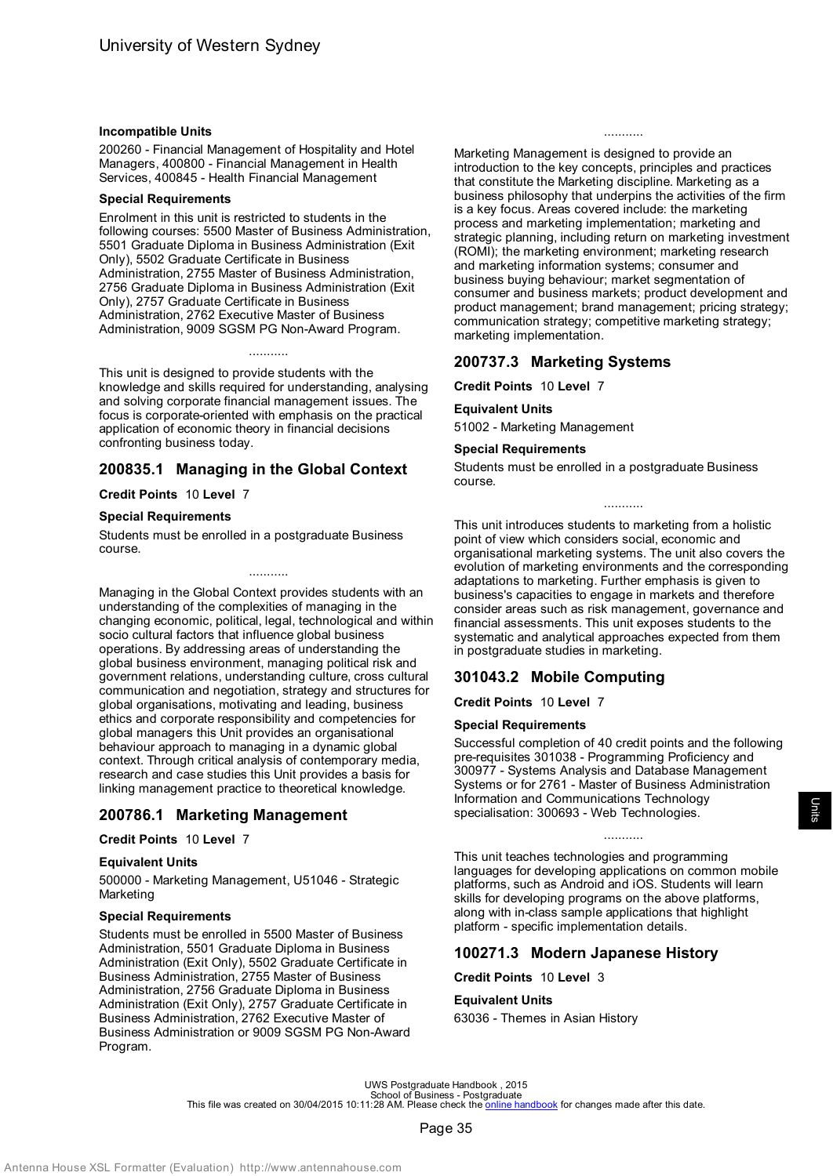#### <span id="page-38-0"></span>**Incompatible Units**

200260 - Financial Management of Hospitality and Hotel Managers, 400800 - Financial Management in Health Services, 400845 - Health Financial Management

#### **Special Requirements**

Enrolment in this unit is restricted to students in the following courses: 5500 Master of Business Administration, 5501 Graduate Diploma in Business Administration (Exit Only), 5502 Graduate Certificate in Business Administration, 2755 Master of Business Administration, 2756 Graduate Diploma in Business Administration (Exit Only), 2757 Graduate Certificate in Business Administration, 2762 Executive Master of Business Administration, 9009 SGSM PG Non-Award Program.

This unit is designed to provide students with the knowledge and skills required for understanding, analysing and solving corporate financial management issues. The focus is corporate-oriented with emphasis on the practical application of economic theory in financial decisions confronting business today.

...........

### **200835.1 Managing in the Global Context**

#### **Credit Points** 10 **Level** 7

#### **Special Requirements**

Students must be enrolled in a postgraduate Business course.

...........

Managing in the Global Context provides students with an understanding of the complexities of managing in the changing economic, political, legal, technological and within socio cultural factors that influence global business operations. By addressing areas of understanding the global business environment, managing political risk and government relations, understanding culture, cross cultural communication and negotiation, strategy and structures for global organisations, motivating and leading, business ethics and corporate responsibility and competencies for global managers this Unit provides an organisational behaviour approach to managing in a dynamic global context. Through critical analysis of contemporary media, research and case studies this Unit provides a basis for linking management practice to theoretical knowledge.

### **200786.1 Marketing Management**

#### **Credit Points** 10 **Level** 7

#### **Equivalent Units**

500000 - Marketing Management, U51046 - Strategic Marketing

#### **Special Requirements**

Students must be enrolled in 5500 Master of Business Administration, 5501 Graduate Diploma in Business Administration (Exit Only), 5502 Graduate Certificate in Business Administration, 2755 Master of Business Administration, 2756 Graduate Diploma in Business Administration (Exit Only), 2757 Graduate Certificate in Business Administration, 2762 Executive Master of Business Administration or 9009 SGSM PG Non-Award Program.

Marketing Management is designed to provide an introduction to the key concepts, principles and practices that constitute the Marketing discipline. Marketing as a business philosophy that underpins the activities of the firm is a key focus. Areas covered include: the marketing process and marketing implementation; marketing and strategic planning, including return on marketing investment (ROMI); the marketing environment; marketing research and marketing information systems; consumer and business buying behaviour; market segmentation of consumer and business markets; product development and product management; brand management; pricing strategy; communication strategy; competitive marketing strategy; marketing implementation.

...........

### **200737.3 Marketing Systems**

**Credit Points** 10 **Level** 7

#### **Equivalent Units**

51002 - Marketing Management

#### **Special Requirements**

Students must be enrolled in a postgraduate Business course.

This unit introduces students to marketing from a holistic point of view which considers social, economic and organisational marketing systems. The unit also covers the evolution of marketing environments and the corresponding adaptations to marketing. Further emphasis is given to business's capacities to engage in markets and therefore consider areas such as risk management, governance and financial assessments. This unit exposes students to the systematic and analytical approaches expected from them in postgraduate studies in marketing.

...........

# **301043.2 Mobile Computing**

**Credit Points** 10 **Level** 7

#### **Special Requirements**

Successful completion of 40 credit points and the following pre-requisites 301038 - Programming Proficiency and 300977 - Systems Analysis and Database Management Systems or for 2761 - Master of Business Administration Information and Communications Technology specialisation: 300693 - Web Technologies.

...........

This unit teaches technologies and programming languages for developing applications on common mobile platforms, such as Android and iOS. Students will learn skills for developing programs on the above platforms, along with in-class sample applications that highlight platform - specific implementation details.

### **100271.3 Modern Japanese History**

**Credit Points** 10 **Level** 3

#### **Equivalent Units**

63036 - Themes in Asian History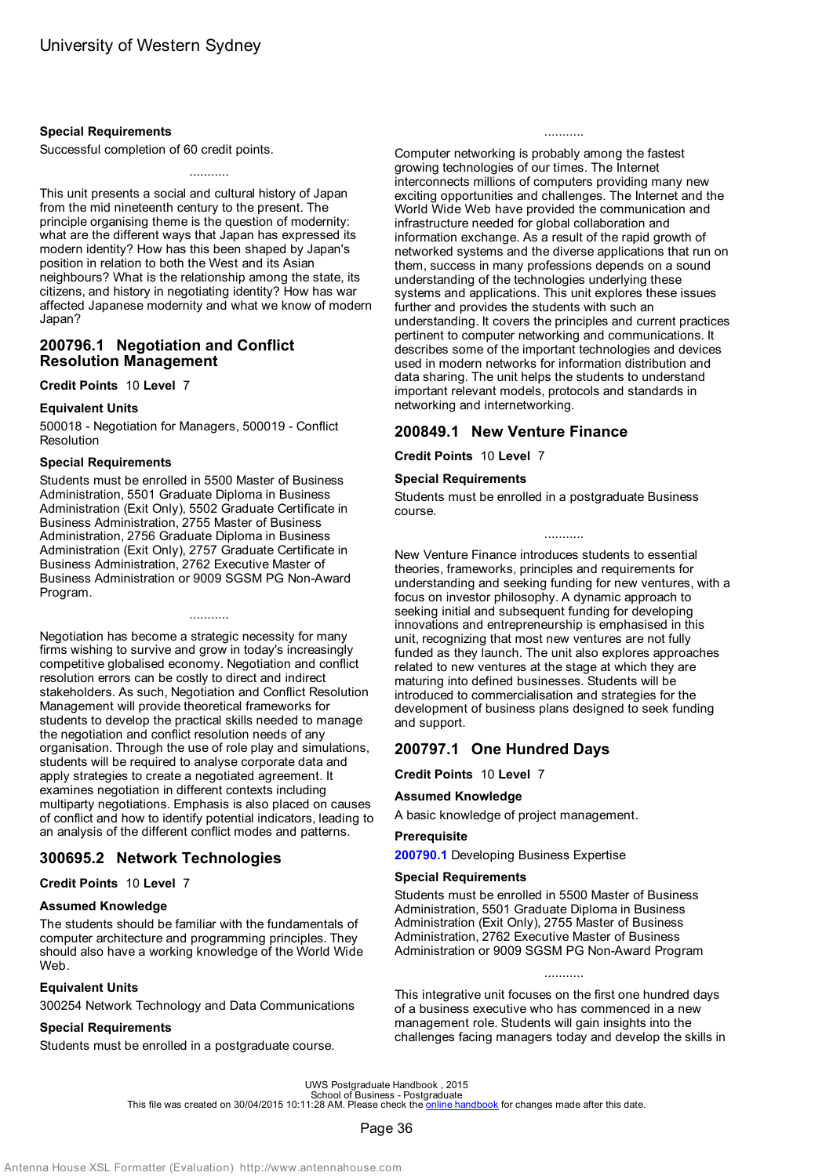#### <span id="page-39-0"></span>**Special Requirements**

Successful completion of 60 credit points.

This unit presents a social and cultural history of Japan from the mid nineteenth century to the present. The principle organising theme is the question of modernity: what are the different ways that Japan has expressed its modern identity? How has this been shaped by Japan's position in relation to both the West and its Asian neighbours? What is the relationship among the state, its citizens, and history in negotiating identity? How has war affected Japanese modernity and what we know of modern Japan?

...........

#### **200796.1 Negotiation and Conflict Resolution Management**

**Credit Points** 10 **Level** 7

#### **Equivalent Units**

500018 - Negotiation for Managers, 500019 - Conflict Resolution

#### **Special Requirements**

Students must be enrolled in 5500 Master of Business Administration, 5501 Graduate Diploma in Business Administration (Exit Only), 5502 Graduate Certificate in Business Administration, 2755 Master of Business Administration, 2756 Graduate Diploma in Business Administration (Exit Only), 2757 Graduate Certificate in Business Administration, 2762 Executive Master of Business Administration or 9009 SGSM PG Non-Award Program.

Negotiation has become a strategic necessity for many firms wishing to survive and grow in today's increasingly competitive globalised economy. Negotiation and conflict resolution errors can be costly to direct and indirect stakeholders. As such, Negotiation and Conflict Resolution Management will provide theoretical frameworks for students to develop the practical skills needed to manage the negotiation and conflict resolution needs of any organisation. Through the use of role play and simulations, students will be required to analyse corporate data and apply strategies to create a negotiated agreement. It examines negotiation in different contexts including multiparty negotiations. Emphasis is also placed on causes of conflict and how to identify potential indicators, leading to an analysis of the different conflict modes and patterns.

...........

### **300695.2 Network Technologies**

#### **Credit Points** 10 **Level** 7

#### **Assumed Knowledge**

The students should be familiar with the fundamentals of computer architecture and programming principles. They should also have a working knowledge of the World Wide Web.

#### **Equivalent Units**

300254 Network Technology and Data Communications

#### **Special Requirements**

Students must be enrolled in a postgraduate course.

Computer networking is probably among the fastest growing technologies of our times. The Internet interconnects millions of computers providing many new exciting opportunities and challenges. The Internet and the World Wide Web have provided the communication and infrastructure needed for global collaboration and information exchange. As a result of the rapid growth of networked systems and the diverse applications that run on them, success in many professions depends on a sound understanding of the technologies underlying these systems and applications. This unit explores these issues further and provides the students with such an understanding. It covers the principles and current practices pertinent to computer networking and communications. It describes some of the important technologies and devices used in modern networks for information distribution and data sharing. The unit helps the students to understand important relevant models, protocols and standards in networking and internetworking.

...........

### **200849.1 New Venture Finance**

**Credit Points** 10 **Level** 7

#### **Special Requirements**

Students must be enrolled in a postgraduate Business course.

...........

New Venture Finance introduces students to essential theories, frameworks, principles and requirements for understanding and seeking funding for new ventures, with a focus on investor philosophy. A dynamic approach to seeking initial and subsequent funding for developing innovations and entrepreneurship is emphasised in this unit, recognizing that most new ventures are not fully funded as they launch. The unit also explores approaches related to new ventures at the stage at which they are maturing into defined businesses. Students will be introduced to commercialisation and strategies for the development of business plans designed to seek funding and support.

### **200797.1 One Hundred Days**

**Credit Points** 10 **Level** 7

#### **Assumed Knowledge**

A basic knowledge of project management.

#### **Prerequisite**

**[200790.1](#page-29-0)** Developing Business Expertise

#### **Special Requirements**

Students must be enrolled in 5500 Master of Business Administration, 5501 Graduate Diploma in Business Administration (Exit Only), 2755 Master of Business Administration, 2762 Executive Master of Business Administration or 9009 SGSM PG Non-Award Program

This integrative unit focuses on the first one hundred days of a business executive who has commenced in a new management role. Students will gain insights into the challenges facing managers today and develop the skills in

...........

UWS Postgraduate Handbook , 2015 School of Business - Postgraduate

This file was created on 30/04/2015 10:11:28 AM. Please check the online [handbook](http://handbook.uws.edu.au/hbook/) for changes made after this date.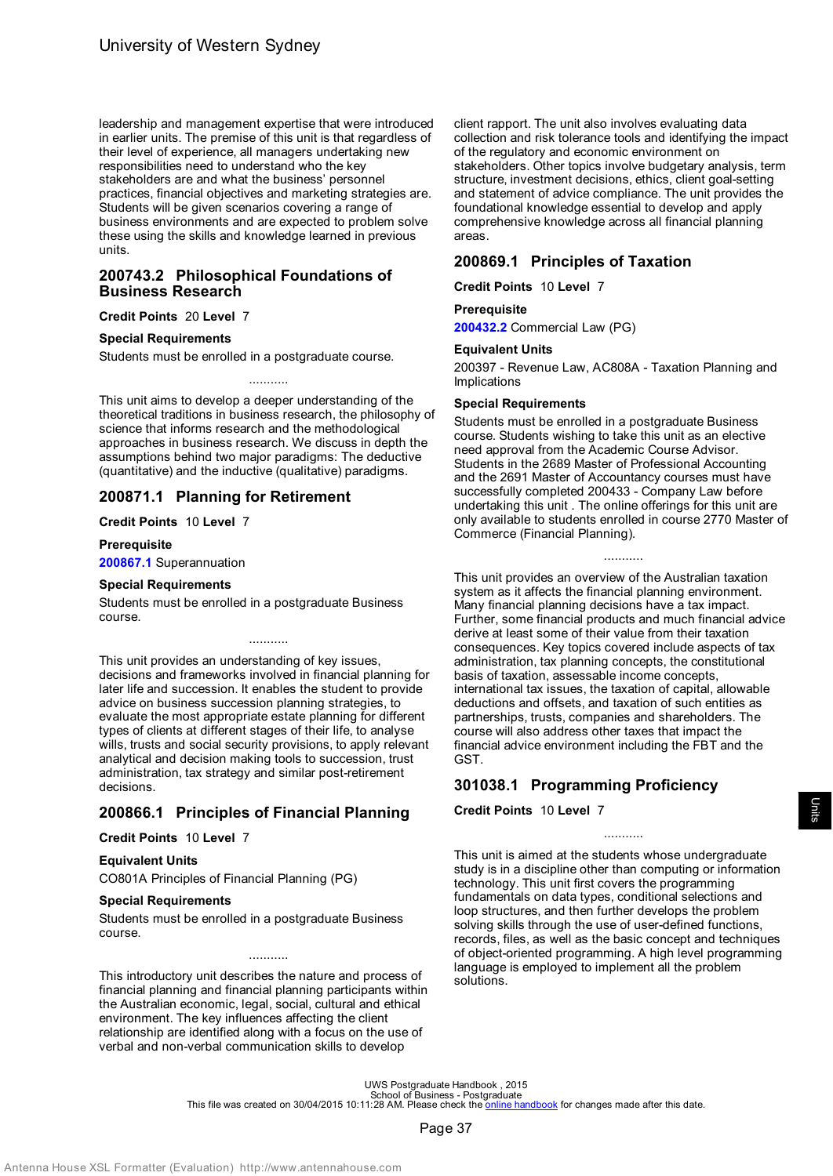<span id="page-40-0"></span>leadership and management expertise that were introduced in earlier units. The premise of this unit is that regardless of their level of experience, all managers undertaking new responsibilities need to understand who the key stakeholders are and what the business' personnel practices, financial objectives and marketing strategies are. Students will be given scenarios covering a range of business environments and are expected to problem solve these using the skills and knowledge learned in previous units.

### **200743.2 Philosophical Foundations of Business Research**

**Credit Points** 20 **Level** 7

#### **Special Requirements**

Students must be enrolled in a postgraduate course.

This unit aims to develop a deeper understanding of the theoretical traditions in business research, the philosophy of science that informs research and the methodological approaches in business research. We discuss in depth the assumptions behind two major paradigms: The deductive (quantitative) and the inductive (qualitative) paradigms.

...........

### **200871.1 Planning for Retirement**

#### **Credit Points** 10 **Level** 7

### **Prerequisite**

**[200867.1](#page-44-0)** Superannuation

#### **Special Requirements**

Students must be enrolled in a postgraduate Business course.

This unit provides an understanding of key issues, decisions and frameworks involved in financial planning for later life and succession. It enables the student to provide advice on business succession planning strategies, to evaluate the most appropriate estate planning for different types of clients at different stages of their life, to analyse wills, trusts and social security provisions, to apply relevant analytical and decision making tools to succession, trust administration, tax strategy and similar post-retirement decisions.

...........

### **200866.1 Principles of Financial Planning**

#### **Credit Points** 10 **Level** 7

#### **Equivalent Units**

CO801A Principles of Financial Planning (PG)

#### **Special Requirements**

Students must be enrolled in a postgraduate Business course.

This introductory unit describes the nature and process of financial planning and financial planning participants within the Australian economic, legal, social, cultural and ethical environment. The key influences affecting the client relationship are identified along with a focus on the use of verbal and non-verbal communication skills to develop

...........

client rapport. The unit also involves evaluating data collection and risk tolerance tools and identifying the impact of the regulatory and economic environment on stakeholders. Other topics involve budgetary analysis, term structure, investment decisions, ethics, client goal-setting and statement of advice compliance. The unit provides the foundational knowledge essential to develop and apply comprehensive knowledge across all financial planning areas.

### **200869.1 Principles of Taxation**

**Credit Points** 10 **Level** 7

#### **Prerequisite**

**200432.2** Commercial Law (PG)

#### **Equivalent Units**

200397 - Revenue Law, AC808A - Taxation Planning and Implications

#### **Special Requirements**

Students must be enrolled in a postgraduate Business course. Students wishing to take this unit as an elective need approval from the Academic Course Advisor. Students in the 2689 Master of Professional Accounting and the 2691 Master of Accountancy courses must have successfully completed 200433 - Company Law before undertaking this unit . The online offerings for this unit are only available to students enrolled in course 2770 Master of Commerce (Financial Planning).

...........

This unit provides an overview of the Australian taxation system as it affects the financial planning environment. Many financial planning decisions have a tax impact. Further, some financial products and much financial advice derive at least some of their value from their taxation consequences. Key topics covered include aspects of tax administration, tax planning concepts, the constitutional basis of taxation, assessable income concepts, international tax issues, the taxation of capital, allowable deductions and offsets, and taxation of such entities as partnerships, trusts, companies and shareholders. The course will also address other taxes that impact the financial advice environment including the FBT and the GST.

### **301038.1 Programming Proficiency**

**Credit Points** 10 **Level** 7

This unit is aimed at the students whose undergraduate study is in a discipline other than computing or information technology. This unit first covers the programming fundamentals on data types, conditional selections and loop structures, and then further develops the problem solving skills through the use of user-defined functions, records, files, as well as the basic concept and techniques of object-oriented programming. A high level programming language is employed to implement all the problem solutions.

...........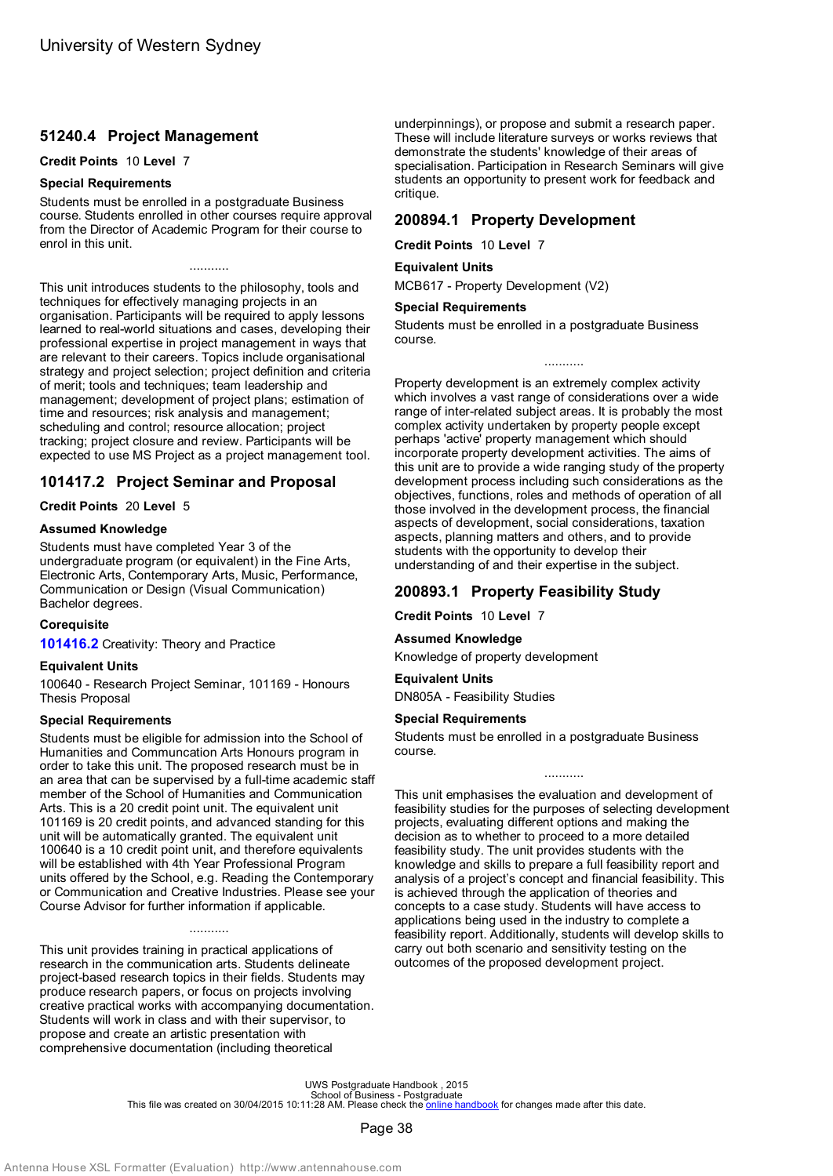### <span id="page-41-0"></span>**51240.4 Project Management**

#### **Credit Points** 10 **Level** 7

#### **Special Requirements**

Students must be enrolled in a postgraduate Business course. Students enrolled in other courses require approval from the Director of Academic Program for their course to enrol in this unit.

...........

This unit introduces students to the philosophy, tools and techniques for effectively managing projects in an organisation. Participants will be required to apply lessons learned to real-world situations and cases, developing their professional expertise in project management in ways that are relevant to their careers. Topics include organisational strategy and project selection; project definition and criteria of merit; tools and techniques; team leadership and management; development of project plans; estimation of time and resources; risk analysis and management; scheduling and control; resource allocation; project tracking; project closure and review. Participants will be expected to use MS Project as a project management tool.

### **101417.2 Project Seminar and Proposal**

**Credit Points** 20 **Level** 5

#### **Assumed Knowledge**

Students must have completed Year 3 of the undergraduate program (or equivalent) in the Fine Arts, Electronic Arts, Contemporary Arts, Music, Performance, Communication or Design (Visual Communication) Bachelor degrees.

#### **Corequisite**

**[101416.2](#page-28-0)** Creativity: Theory and Practice

#### **Equivalent Units**

100640 - Research Project Seminar, 101169 - Honours Thesis Proposal

#### **Special Requirements**

Students must be eligible for admission into the School of Humanities and Communcation Arts Honours program in order to take this unit. The proposed research must be in an area that can be supervised by a full-time academic staff member of the School of Humanities and Communication Arts. This is a 20 credit point unit. The equivalent unit 101169 is 20 credit points, and advanced standing for this unit will be automatically granted. The equivalent unit 100640 is a 10 credit point unit, and therefore equivalents will be established with 4th Year Professional Program units offered by the School, e.g. Reading the Contemporary or Communication and Creative Industries. Please see your Course Advisor for further information if applicable.

This unit provides training in practical applications of research in the communication arts. Students delineate project-based research topics in their fields. Students may produce research papers, or focus on projects involving creative practical works with accompanying documentation. Students will work in class and with their supervisor, to propose and create an artistic presentation with comprehensive documentation (including theoretical

...........

underpinnings), or propose and submit a research paper. These will include literature surveys or works reviews that demonstrate the students' knowledge of their areas of specialisation. Participation in Research Seminars will give students an opportunity to present work for feedback and critique.

#### **200894.1 Property Development**

**Credit Points** 10 **Level** 7

#### **Equivalent Units**

MCB617 - Property Development (V2)

#### **Special Requirements**

Students must be enrolled in a postgraduate Business course.

...........

Property development is an extremely complex activity which involves a vast range of considerations over a wide range of inter-related subject areas. It is probably the most complex activity undertaken by property people except perhaps 'active' property management which should incorporate property development activities. The aims of this unit are to provide a wide ranging study of the property development process including such considerations as the objectives, functions, roles and methods of operation of all those involved in the development process, the financial aspects of development, social considerations, taxation aspects, planning matters and others, and to provide students with the opportunity to develop their understanding of and their expertise in the subject.

### **200893.1 Property Feasibility Study**

**Credit Points** 10 **Level** 7

#### **Assumed Knowledge**

Knowledge of property development

#### **Equivalent Units**

DN805A - Feasibility Studies

#### **Special Requirements**

Students must be enrolled in a postgraduate Business course.

This unit emphasises the evaluation and development of feasibility studies for the purposes of selecting development projects, evaluating different options and making the decision as to whether to proceed to a more detailed feasibility study. The unit provides students with the knowledge and skills to prepare a full feasibility report and analysis of a project's concept and financial feasibility. This is achieved through the application of theories and concepts to a case study. Students will have access to applications being used in the industry to complete a feasibility report. Additionally, students will develop skills to carry out both scenario and sensitivity testing on the outcomes of the proposed development project.

...........

UWS Postgraduate Handbook , 2015 School of Business - Postgraduate This file was created on 30/04/2015 10:11:28 AM. Please check the online [handbook](http://handbook.uws.edu.au/hbook/) for changes made after this date.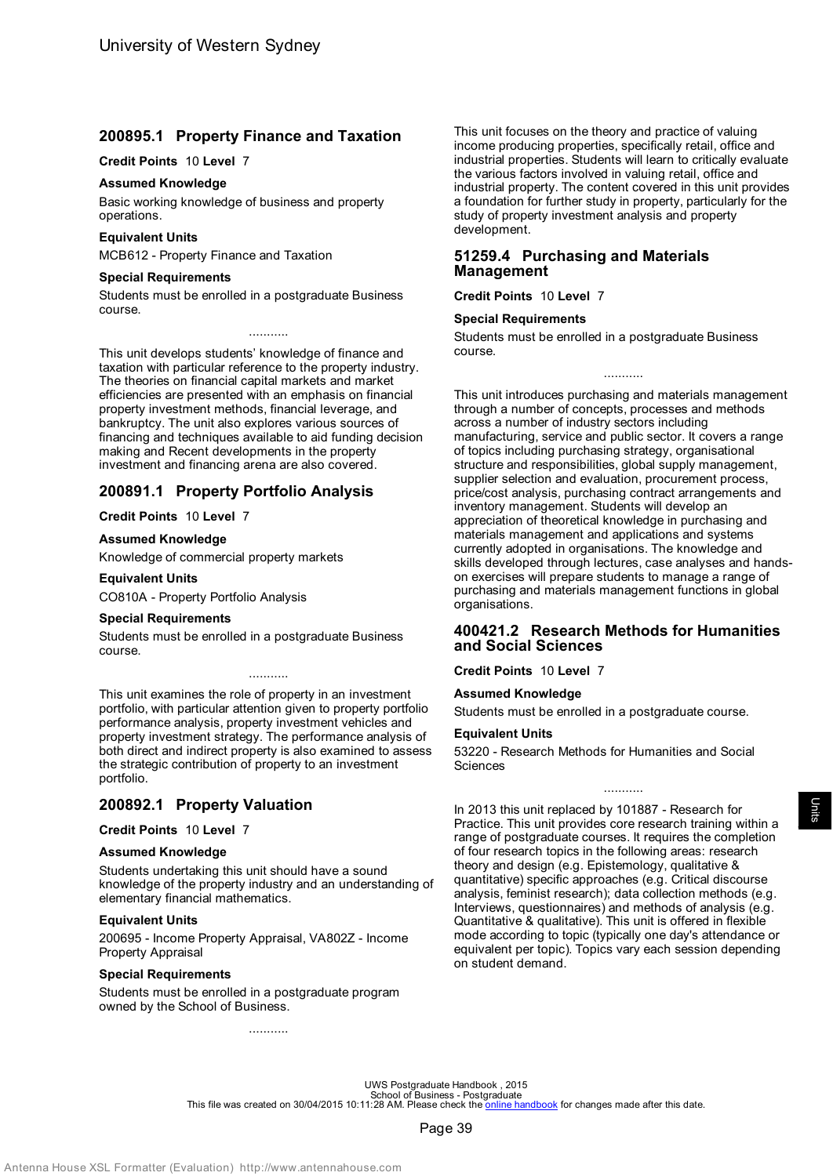### <span id="page-42-0"></span>**200895.1 Property Finance and Taxation**

#### **Credit Points** 10 **Level** 7

#### **Assumed Knowledge**

Basic working knowledge of business and property operations.

#### **Equivalent Units**

MCB612 - Property Finance and Taxation

#### **Special Requirements**

Students must be enrolled in a postgraduate Business course.

...........

This unit develops students' knowledge of finance and taxation with particular reference to the property industry. The theories on financial capital markets and market efficiencies are presented with an emphasis on financial property investment methods, financial leverage, and bankruptcy. The unit also explores various sources of financing and techniques available to aid funding decision making and Recent developments in the property investment and financing arena are also covered.

### **200891.1 Property Portfolio Analysis**

#### **Credit Points** 10 **Level** 7

#### **Assumed Knowledge**

Knowledge of commercial property markets

#### **Equivalent Units**

CO810A - Property Portfolio Analysis

#### **Special Requirements**

Students must be enrolled in a postgraduate Business course.

...........

This unit examines the role of property in an investment portfolio, with particular attention given to property portfolio performance analysis, property investment vehicles and property investment strategy. The performance analysis of both direct and indirect property is also examined to assess the strategic contribution of property to an investment portfolio.

### **200892.1 Property Valuation**

#### **Credit Points** 10 **Level** 7

#### **Assumed Knowledge**

Students undertaking this unit should have a sound knowledge of the property industry and an understanding of elementary financial mathematics.

#### **Equivalent Units**

200695 - Income Property Appraisal, VA802Z - Income Property Appraisal

#### **Special Requirements**

Students must be enrolled in a postgraduate program owned by the School of Business.

...........

This unit focuses on the theory and practice of valuing income producing properties, specifically retail, office and industrial properties. Students will learn to critically evaluate the various factors involved in valuing retail, office and industrial property. The content covered in this unit provides a foundation for further study in property, particularly for the study of property investment analysis and property development.

### **51259.4 Purchasing and Materials Management**

**Credit Points** 10 **Level** 7

#### **Special Requirements**

Students must be enrolled in a postgraduate Business course.

...........

This unit introduces purchasing and materials management through a number of concepts, processes and methods across a number of industry sectors including manufacturing, service and public sector. It covers a range of topics including purchasing strategy, organisational structure and responsibilities, global supply management, supplier selection and evaluation, procurement process, price/cost analysis, purchasing contract arrangements and inventory management. Students will develop an appreciation of theoretical knowledge in purchasing and materials management and applications and systems currently adopted in organisations. The knowledge and skills developed through lectures, case analyses and handson exercises will prepare students to manage a range of purchasing and materials management functions in global organisations.

### **400421.2 Research Methods for Humanities and Social Sciences**

**Credit Points** 10 **Level** 7

#### **Assumed Knowledge**

Students must be enrolled in a postgraduate course.

#### **Equivalent Units**

53220 - Research Methods for Humanities and Social Sciences

In 2013 this unit replaced by 101887 - Research for Practice. This unit provides core research training within a range of postgraduate courses. It requires the completion of four research topics in the following areas: research theory and design (e.g. Epistemology, qualitative & quantitative) specific approaches (e.g. Critical discourse analysis, feminist research); data collection methods (e.g. Interviews, questionnaires) and methods of analysis (e.g. Quantitative & qualitative). This unit is offered in flexible mode according to topic (typically one day's attendance or equivalent per topic). Topics vary each session depending on student demand.

...........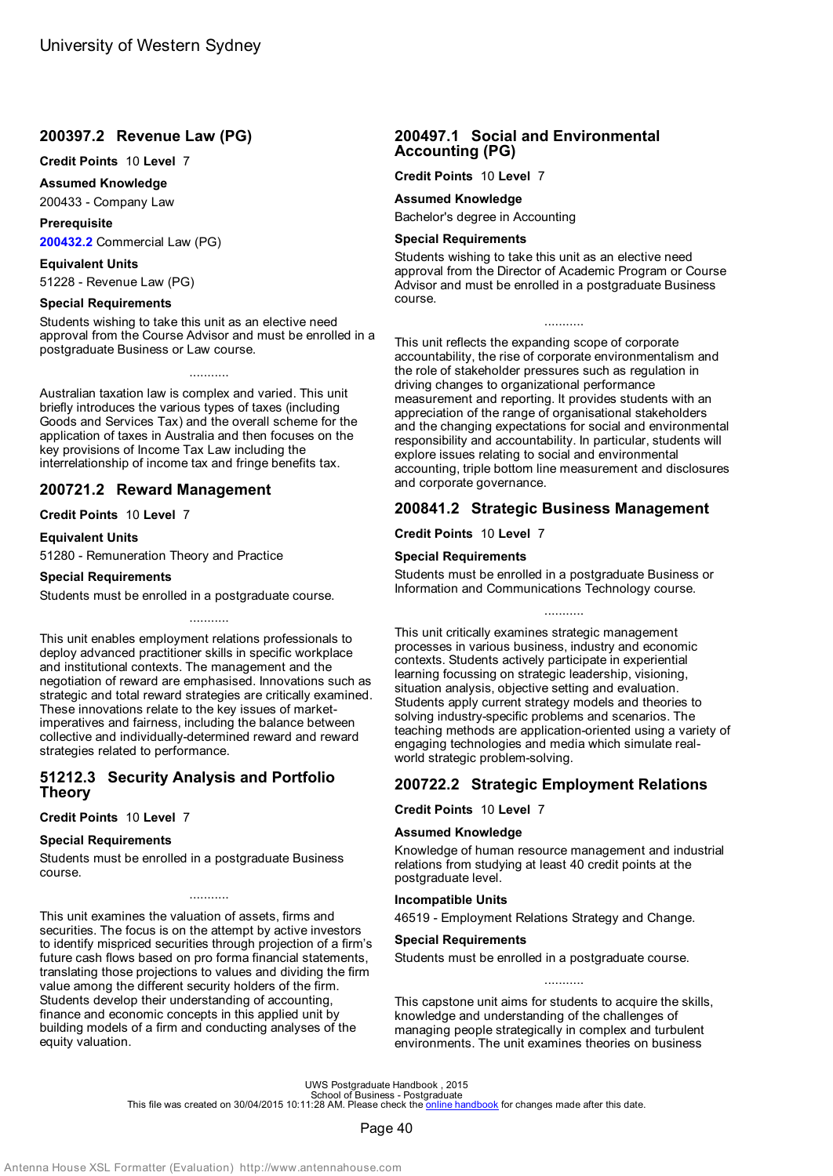### <span id="page-43-0"></span>**200397.2 Revenue Law (PG)**

**Credit Points** 10 **Level** 7

**Assumed Knowledge**

200433 - Company Law

**Prerequisite**

**200432.2** Commercial Law (PG)

**Equivalent Units**

51228 - Revenue Law (PG)

#### **Special Requirements**

Students wishing to take this unit as an elective need approval from the Course Advisor and must be enrolled in a postgraduate Business or Law course.

...........

Australian taxation law is complex and varied. This unit briefly introduces the various types of taxes (including Goods and Services Tax) and the overall scheme for the application of taxes in Australia and then focuses on the key provisions of Income Tax Law including the interrelationship of income tax and fringe benefits tax.

### **200721.2 Reward Management**

#### **Credit Points** 10 **Level** 7

#### **Equivalent Units**

51280 - Remuneration Theory and Practice

#### **Special Requirements**

Students must be enrolled in a postgraduate course.

This unit enables employment relations professionals to deploy advanced practitioner skills in specific workplace and institutional contexts. The management and the negotiation of reward are emphasised. Innovations such as strategic and total reward strategies are critically examined. These innovations relate to the key issues of marketimperatives and fairness, including the balance between collective and individually-determined reward and reward strategies related to performance.

...........

### **51212.3 Security Analysis and Portfolio Theory**

**Credit Points** 10 **Level** 7

### **Special Requirements**

Students must be enrolled in a postgraduate Business course.

This unit examines the valuation of assets, firms and securities. The focus is on the attempt by active investors to identify mispriced securities through projection of a firm's future cash flows based on pro forma financial statements, translating those projections to values and dividing the firm value among the different security holders of the firm. Students develop their understanding of accounting, finance and economic concepts in this applied unit by building models of a firm and conducting analyses of the equity valuation.

...........

### **200497.1 Social and Environmental Accounting (PG)**

**Credit Points** 10 **Level** 7

### **Assumed Knowledge**

Bachelor's degree in Accounting

#### **Special Requirements**

Students wishing to take this unit as an elective need approval from the Director of Academic Program or Course Advisor and must be enrolled in a postgraduate Business course.

...........

This unit reflects the expanding scope of corporate accountability, the rise of corporate environmentalism and the role of stakeholder pressures such as regulation in driving changes to organizational performance measurement and reporting. It provides students with an appreciation of the range of organisational stakeholders and the changing expectations for social and environmental responsibility and accountability. In particular, students will explore issues relating to social and environmental accounting, triple bottom line measurement and disclosures and corporate governance.

### **200841.2 Strategic Business Management**

**Credit Points** 10 **Level** 7

#### **Special Requirements**

Students must be enrolled in a postgraduate Business or Information and Communications Technology course.

...........

This unit critically examines strategic management processes in various business, industry and economic contexts. Students actively participate in experiential learning focussing on strategic leadership, visioning, situation analysis, objective setting and evaluation. Students apply current strategy models and theories to solving industry-specific problems and scenarios. The teaching methods are application-oriented using a variety of engaging technologies and media which simulate realworld strategic problem-solving.

### **200722.2 Strategic Employment Relations**

**Credit Points** 10 **Level** 7

#### **Assumed Knowledge**

Knowledge of human resource management and industrial relations from studying at least 40 credit points at the postgraduate level.

#### **Incompatible Units**

46519 - Employment Relations Strategy and Change.

#### **Special Requirements**

Students must be enrolled in a postgraduate course.

This capstone unit aims for students to acquire the skills, knowledge and understanding of the challenges of managing people strategically in complex and turbulent environments. The unit examines theories on business

...........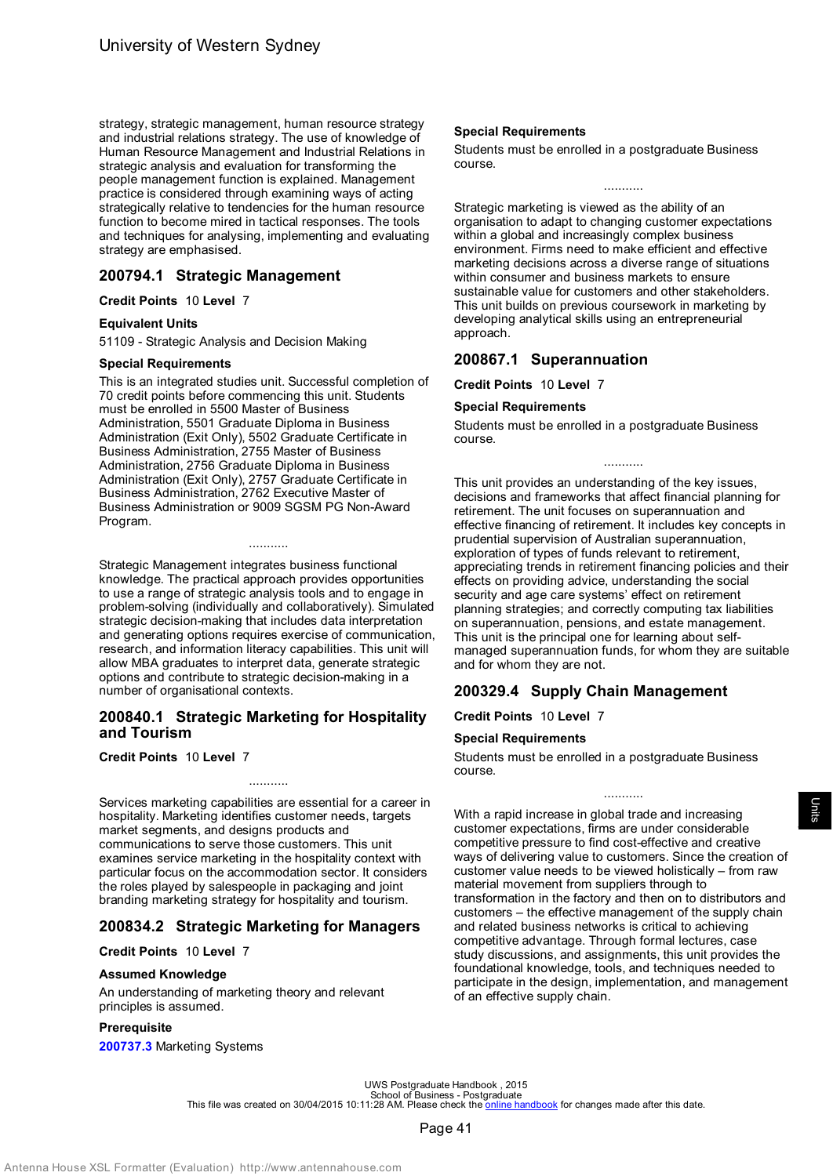<span id="page-44-0"></span>strategy, strategic management, human resource strategy and industrial relations strategy. The use of knowledge of Human Resource Management and Industrial Relations in strategic analysis and evaluation for transforming the people management function is explained. Management practice is considered through examining ways of acting strategically relative to tendencies for the human resource function to become mired in tactical responses. The tools and techniques for analysing, implementing and evaluating strategy are emphasised.

### **200794.1 Strategic Management**

#### **Credit Points** 10 **Level** 7

#### **Equivalent Units**

51109 - Strategic Analysis and Decision Making

#### **Special Requirements**

This is an integrated studies unit. Successful completion of 70 credit points before commencing this unit. Students must be enrolled in 5500 Master of Business Administration, 5501 Graduate Diploma in Business Administration (Exit Only), 5502 Graduate Certificate in Business Administration, 2755 Master of Business Administration, 2756 Graduate Diploma in Business Administration (Exit Only), 2757 Graduate Certificate in Business Administration, 2762 Executive Master of Business Administration or 9009 SGSM PG Non-Award Program.

Strategic Management integrates business functional knowledge. The practical approach provides opportunities to use a range of strategic analysis tools and to engage in problem-solving (individually and collaboratively). Simulated strategic decision-making that includes data interpretation and generating options requires exercise of communication, research, and information literacy capabilities. This unit will allow MBA graduates to interpret data, generate strategic options and contribute to strategic decision-making in a number of organisational contexts.

...........

#### **200840.1 Strategic Marketing for Hospitality and Tourism**

...........

**Credit Points** 10 **Level** 7

Services marketing capabilities are essential for a career in hospitality. Marketing identifies customer needs, targets market segments, and designs products and communications to serve those customers. This unit examines service marketing in the hospitality context with particular focus on the accommodation sector. It considers the roles played by salespeople in packaging and joint branding marketing strategy for hospitality and tourism.

### **200834.2 Strategic Marketing for Managers**

**Credit Points** 10 **Level** 7

#### **Assumed Knowledge**

An understanding of marketing theory and relevant principles is assumed.

#### **Prerequisite**

**[200737.3](#page-38-0)** Marketing Systems

#### **Special Requirements**

Students must be enrolled in a postgraduate Business course.

...........

Strategic marketing is viewed as the ability of an organisation to adapt to changing customer expectations within a global and increasingly complex business environment. Firms need to make efficient and effective marketing decisions across a diverse range of situations within consumer and business markets to ensure sustainable value for customers and other stakeholders. This unit builds on previous coursework in marketing by developing analytical skills using an entrepreneurial approach.

### **200867.1 Superannuation**

**Credit Points** 10 **Level** 7

#### **Special Requirements**

Students must be enrolled in a postgraduate Business course.

...........

This unit provides an understanding of the key issues, decisions and frameworks that affect financial planning for retirement. The unit focuses on superannuation and effective financing of retirement. It includes key concepts in prudential supervision of Australian superannuation, exploration of types of funds relevant to retirement, appreciating trends in retirement financing policies and their effects on providing advice, understanding the social security and age care systems' effect on retirement planning strategies; and correctly computing tax liabilities on superannuation, pensions, and estate management. This unit is the principal one for learning about selfmanaged superannuation funds, for whom they are suitable and for whom they are not.

### **200329.4 Supply Chain Management**

**Credit Points** 10 **Level** 7

#### **Special Requirements**

Students must be enrolled in a postgraduate Business course.

...........

With a rapid increase in global trade and increasing customer expectations, firms are under considerable competitive pressure to find cost-effective and creative ways of delivering value to customers. Since the creation of customer value needs to be viewed holistically – from raw material movement from suppliers through to transformation in the factory and then on to distributors and customers – the effective management of the supply chain and related business networks is critical to achieving competitive advantage. Through formal lectures, case study discussions, and assignments, this unit provides the foundational knowledge, tools, and techniques needed to participate in the design, implementation, and management of an effective supply chain.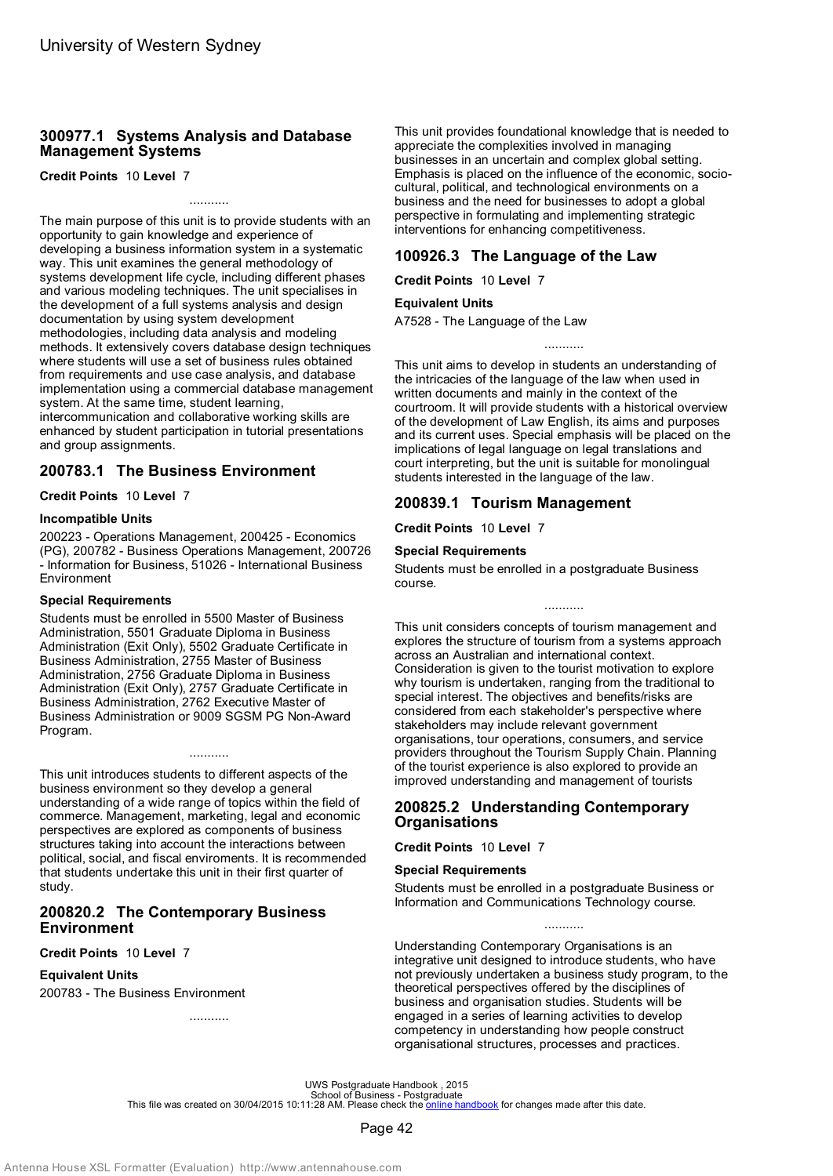### <span id="page-45-0"></span>**300977.1 Systems Analysis and Database Management Systems**

#### **Credit Points** 10 **Level** 7

The main purpose of this unit is to provide students with an opportunity to gain knowledge and experience of developing a business information system in a systematic way. This unit examines the general methodology of systems development life cycle, including different phases and various modeling techniques. The unit specialises in the development of a full systems analysis and design documentation by using system development methodologies, including data analysis and modeling methods. It extensively covers database design techniques where students will use a set of business rules obtained from requirements and use case analysis, and database implementation using a commercial database management system. At the same time, student learning,

...........

intercommunication and collaborative working skills are enhanced by student participation in tutorial presentations and group assignments.

### **200783.1 The Business Environment**

#### **Credit Points** 10 **Level** 7

#### **Incompatible Units**

200223 - Operations Management, 200425 - Economics (PG), 200782 - Business Operations Management, 200726 - Information for Business, 51026 - International Business Environment

#### **Special Requirements**

Students must be enrolled in 5500 Master of Business Administration, 5501 Graduate Diploma in Business Administration (Exit Only), 5502 Graduate Certificate in Business Administration, 2755 Master of Business Administration, 2756 Graduate Diploma in Business Administration (Exit Only), 2757 Graduate Certificate in Business Administration, 2762 Executive Master of Business Administration or 9009 SGSM PG Non-Award Program.

This unit introduces students to different aspects of the business environment so they develop a general understanding of a wide range of topics within the field of commerce. Management, marketing, legal and economic perspectives are explored as components of business structures taking into account the interactions between political, social, and fiscal enviroments. It is recommended that students undertake this unit in their first quarter of study.

...........

#### **200820.2 The Contemporary Business Environment**

**Credit Points** 10 **Level** 7

#### **Equivalent Units**

200783 - The Business Environment

...........

This unit provides foundational knowledge that is needed to appreciate the complexities involved in managing businesses in an uncertain and complex global setting. Emphasis is placed on the influence of the economic, sociocultural, political, and technological environments on a business and the need for businesses to adopt a global perspective in formulating and implementing strategic interventions for enhancing competitiveness.

### **100926.3 The Language of the Law**

### **Credit Points** 10 **Level** 7

### **Equivalent Units**

A7528 - The Language of the Law

This unit aims to develop in students an understanding of the intricacies of the language of the law when used in written documents and mainly in the context of the courtroom. It will provide students with a historical overview of the development of Law English, its aims and purposes and its current uses. Special emphasis will be placed on the implications of legal language on legal translations and court interpreting, but the unit is suitable for monolingual students interested in the language of the law.

...........

### **200839.1 Tourism Management**

**Credit Points** 10 **Level** 7

#### **Special Requirements**

Students must be enrolled in a postgraduate Business course.

#### ...........

This unit considers concepts of tourism management and explores the structure of tourism from a systems approach across an Australian and international context. Consideration is given to the tourist motivation to explore why tourism is undertaken, ranging from the traditional to special interest. The objectives and benefits/risks are considered from each stakeholder's perspective where stakeholders may include relevant government organisations, tour operations, consumers, and service providers throughout the Tourism Supply Chain. Planning of the tourist experience is also explored to provide an improved understanding and management of tourists

### **200825.2 Understanding Contemporary Organisations**

**Credit Points** 10 **Level** 7

#### **Special Requirements**

Students must be enrolled in a postgraduate Business or Information and Communications Technology course.

...........

Understanding Contemporary Organisations is an integrative unit designed to introduce students, who have not previously undertaken a business study program, to the theoretical perspectives offered by the disciplines of business and organisation studies. Students will be engaged in a series of learning activities to develop competency in understanding how people construct organisational structures, processes and practices.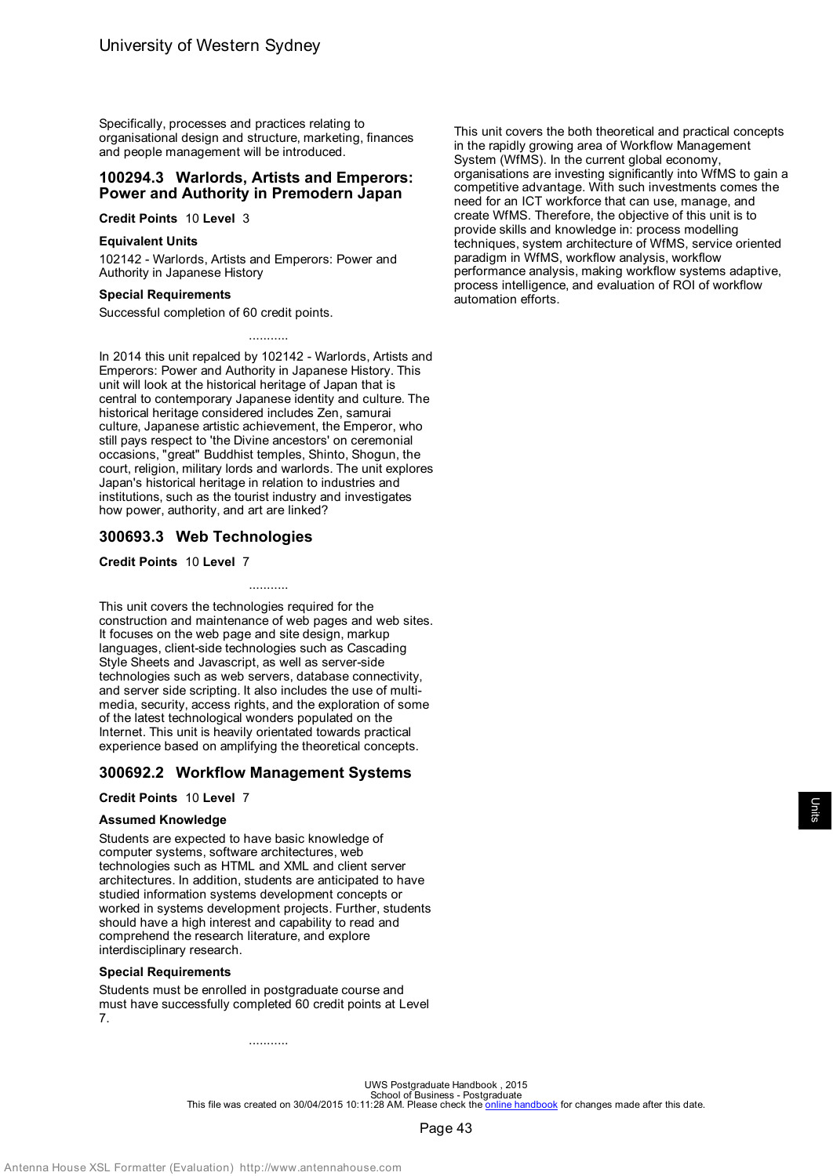<span id="page-46-0"></span>Specifically, processes and practices relating to organisational design and structure, marketing, finances and people management will be introduced.

#### **100294.3 Warlords, Artists and Emperors: Power and Authority in Premodern Japan**

**Credit Points** 10 **Level** 3

#### **Equivalent Units**

102142 - Warlords, Artists and Emperors: Power and Authority in Japanese History

#### **Special Requirements**

Successful completion of 60 credit points.

In 2014 this unit repalced by 102142 - Warlords, Artists and Emperors: Power and Authority in Japanese History. This unit will look at the historical heritage of Japan that is central to contemporary Japanese identity and culture. The historical heritage considered includes Zen, samurai culture, Japanese artistic achievement, the Emperor, who still pays respect to 'the Divine ancestors' on ceremonial occasions, "great" Buddhist temples, Shinto, Shogun, the court, religion, military lords and warlords. The unit explores Japan's historical heritage in relation to industries and institutions, such as the tourist industry and investigates how power, authority, and art are linked?

...........

### **300693.3 Web Technologies**

**Credit Points** 10 **Level** 7

This unit covers the technologies required for the construction and maintenance of web pages and web sites. It focuses on the web page and site design, markup languages, client-side technologies such as Cascading Style Sheets and Javascript, as well as server-side technologies such as web servers, database connectivity, and server side scripting. It also includes the use of multimedia, security, access rights, and the exploration of some of the latest technological wonders populated on the Internet. This unit is heavily orientated towards practical experience based on amplifying the theoretical concepts.

...........

### **300692.2 Workflow Management Systems**

**Credit Points** 10 **Level** 7

#### **Assumed Knowledge**

Students are expected to have basic knowledge of computer systems, software architectures, web technologies such as HTML and XML and client server architectures. In addition, students are anticipated to have studied information systems development concepts or worked in systems development projects. Further, students should have a high interest and capability to read and comprehend the research literature, and explore interdisciplinary research.

#### **Special Requirements**

Students must be enrolled in postgraduate course and must have successfully completed 60 credit points at Level 7.

...........

This unit covers the both theoretical and practical concepts in the rapidly growing area of Workflow Management System (WfMS). In the current global economy, organisations are investing significantly into WfMS to gain a competitive advantage. With such investments comes the need for an ICT workforce that can use, manage, and create WfMS. Therefore, the objective of this unit is to provide skills and knowledge in: process modelling techniques, system architecture of WfMS, service oriented paradigm in WfMS, workflow analysis, workflow performance analysis, making workflow systems adaptive, process intelligence, and evaluation of ROI of workflow automation efforts.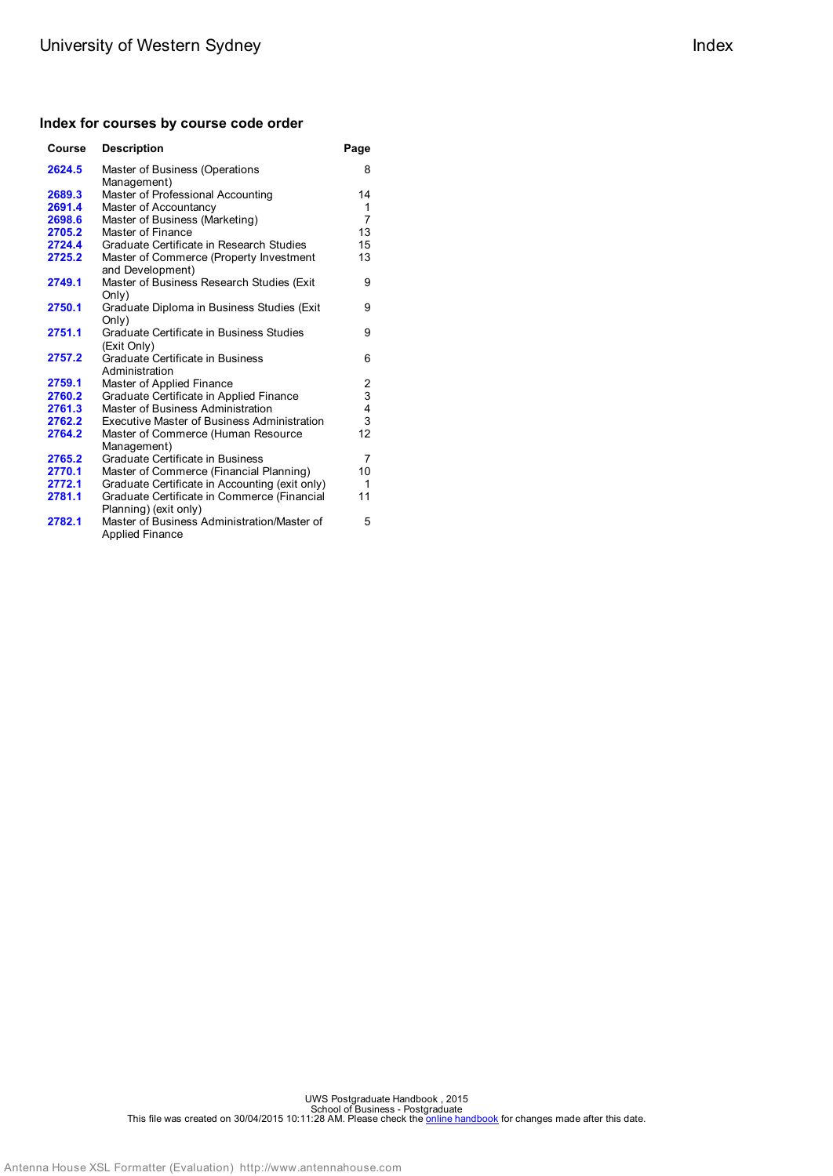### **Index for courses by course code order**

| Course | <b>Description</b>                                                    | Page           |
|--------|-----------------------------------------------------------------------|----------------|
| 2624.5 | Master of Business (Operations<br>Management)                         | 8              |
| 2689.3 | Master of Professional Accounting                                     | 14             |
| 2691.4 | Master of Accountancy                                                 | 1              |
| 2698.6 | Master of Business (Marketing)                                        | $\overline{7}$ |
| 2705.2 | Master of Finance                                                     | 13             |
| 2724.4 | Graduate Certificate in Research Studies                              | 15             |
| 2725.2 | Master of Commerce (Property Investment<br>and Development)           | 13             |
| 2749.1 | Master of Business Research Studies (Exit<br>Only)                    | 9              |
| 2750.1 | Graduate Diploma in Business Studies (Exit<br>Only)                   | 9              |
| 2751.1 | Graduate Certificate in Business Studies<br>(Exit Only)               | 9              |
| 2757.2 | Graduate Certificate in Business<br>Administration                    | 6              |
| 2759.1 | Master of Applied Finance                                             |                |
| 2760.2 | Graduate Certificate in Applied Finance                               | $\frac{2}{3}$  |
| 2761.3 | Master of Business Administration                                     | 4              |
| 2762.2 | Executive Master of Business Administration                           | 3              |
| 2764.2 | Master of Commerce (Human Resource<br>Management)                     | 12             |
| 2765.2 | Graduate Certificate in Business                                      | 7              |
| 2770.1 | Master of Commerce (Financial Planning)                               | 10             |
| 2772.1 | Graduate Certificate in Accounting (exit only)                        | 1              |
| 2781.1 | Graduate Certificate in Commerce (Financial<br>Planning) (exit only)  | 11             |
| 2782.1 | Master of Business Administration/Master of<br><b>Applied Finance</b> | 5              |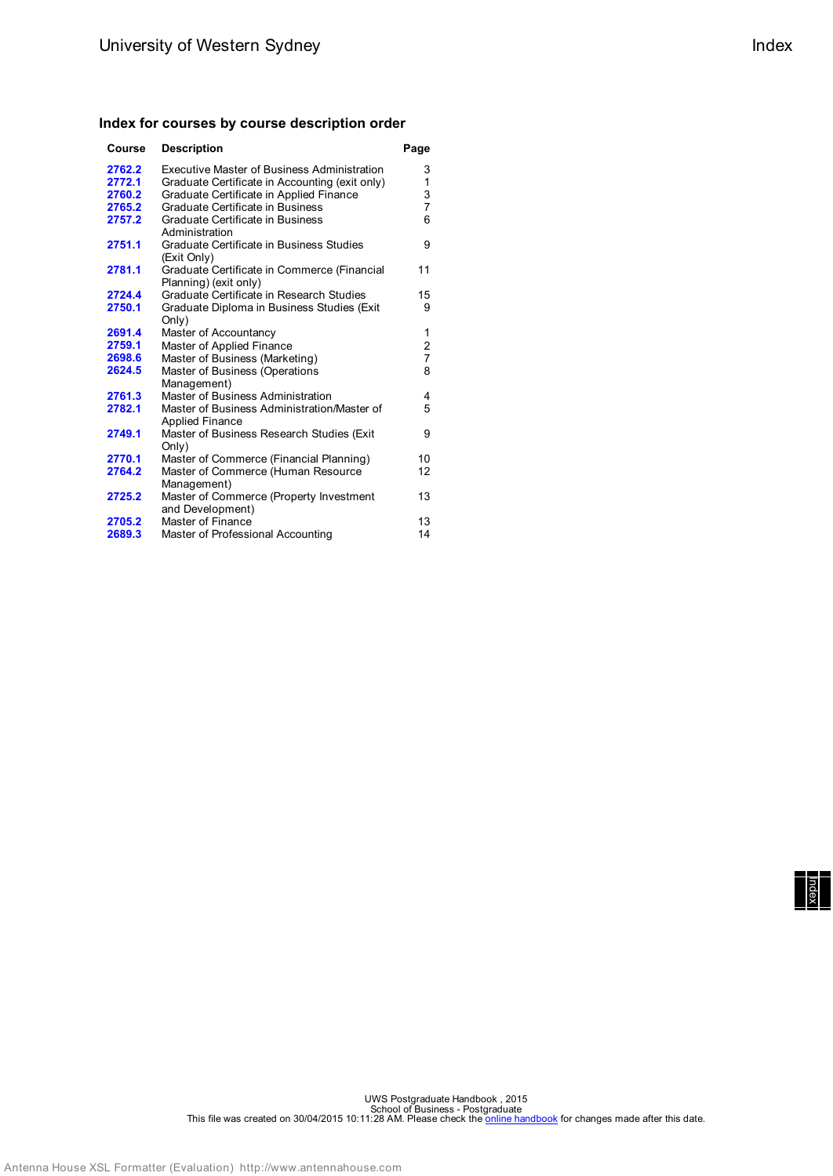### **Index for courses by course description order**

| Course | <b>Description</b>                                                    | Page |
|--------|-----------------------------------------------------------------------|------|
| 2762.2 | Executive Master of Business Administration                           | 3    |
| 2772.1 | Graduate Certificate in Accounting (exit only)                        | 1    |
| 2760.2 | Graduate Certificate in Applied Finance                               | 3    |
| 2765.2 | Graduate Certificate in Business                                      | 7    |
| 2757.2 | Graduate Certificate in Business<br>Administration                    | 6    |
| 2751.1 | Graduate Certificate in Business Studies<br>(Exit Only)               | 9    |
| 2781.1 | Graduate Certificate in Commerce (Financial<br>Planning) (exit only)  | 11   |
| 2724.4 | Graduate Certificate in Research Studies                              | 15   |
| 2750.1 | Graduate Diploma in Business Studies (Exit<br>Only)                   | 9    |
| 2691.4 | Master of Accountancy                                                 | 1    |
| 2759.1 | Master of Applied Finance                                             | 2    |
| 2698.6 | Master of Business (Marketing)                                        | 7    |
| 2624.5 | Master of Business (Operations<br>Management)                         | 8    |
| 2761.3 | Master of Business Administration                                     | 4    |
| 2782.1 | Master of Business Administration/Master of<br><b>Applied Finance</b> | 5    |
| 2749.1 | Master of Business Research Studies (Exit<br>Only)                    | 9    |
| 2770.1 | Master of Commerce (Financial Planning)                               | 10   |
| 2764.2 | Master of Commerce (Human Resource<br>Management)                     | 12   |
| 2725.2 | Master of Commerce (Property Investment<br>and Development)           | 13   |
| 2705.2 | Master of Finance                                                     | 13   |
| 2689.3 | Master of Professional Accounting                                     | 14   |

| Index | Index | Index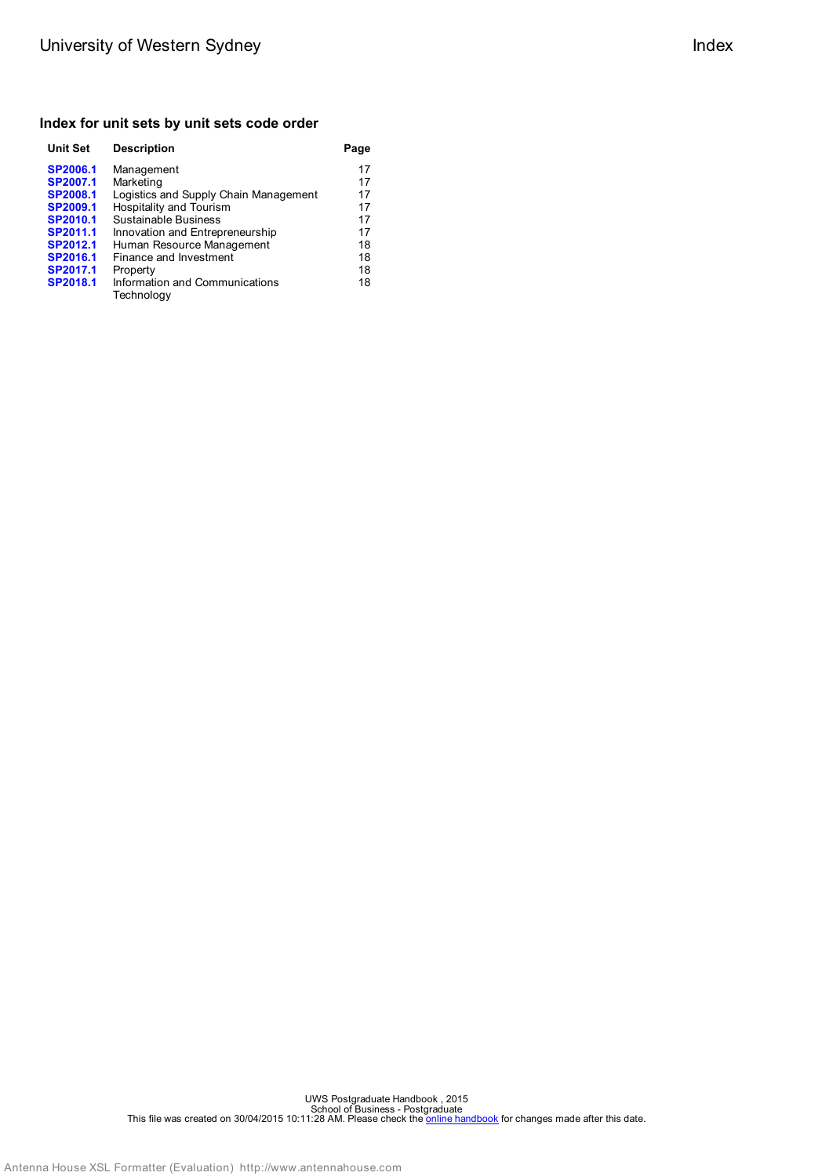### **Index for unit sets by unit sets code order**

| <b>Unit Set</b> | <b>Description</b>                    | Page |
|-----------------|---------------------------------------|------|
| SP2006.1        | Management                            | 17   |
| SP2007.1        | Marketing                             | 17   |
| SP2008.1        | Logistics and Supply Chain Management | 17   |
| SP2009.1        | <b>Hospitality and Tourism</b>        | 17   |
| SP2010.1        | Sustainable Business                  | 17   |
| SP2011.1        | Innovation and Entrepreneurship       | 17   |
| SP2012.1        | Human Resource Management             | 18   |
| SP2016.1        | Finance and Investment                | 18   |
| SP2017.1        | Property                              | 18   |
| SP2018.1        | Information and Communications        | 18   |
|                 | Technology                            |      |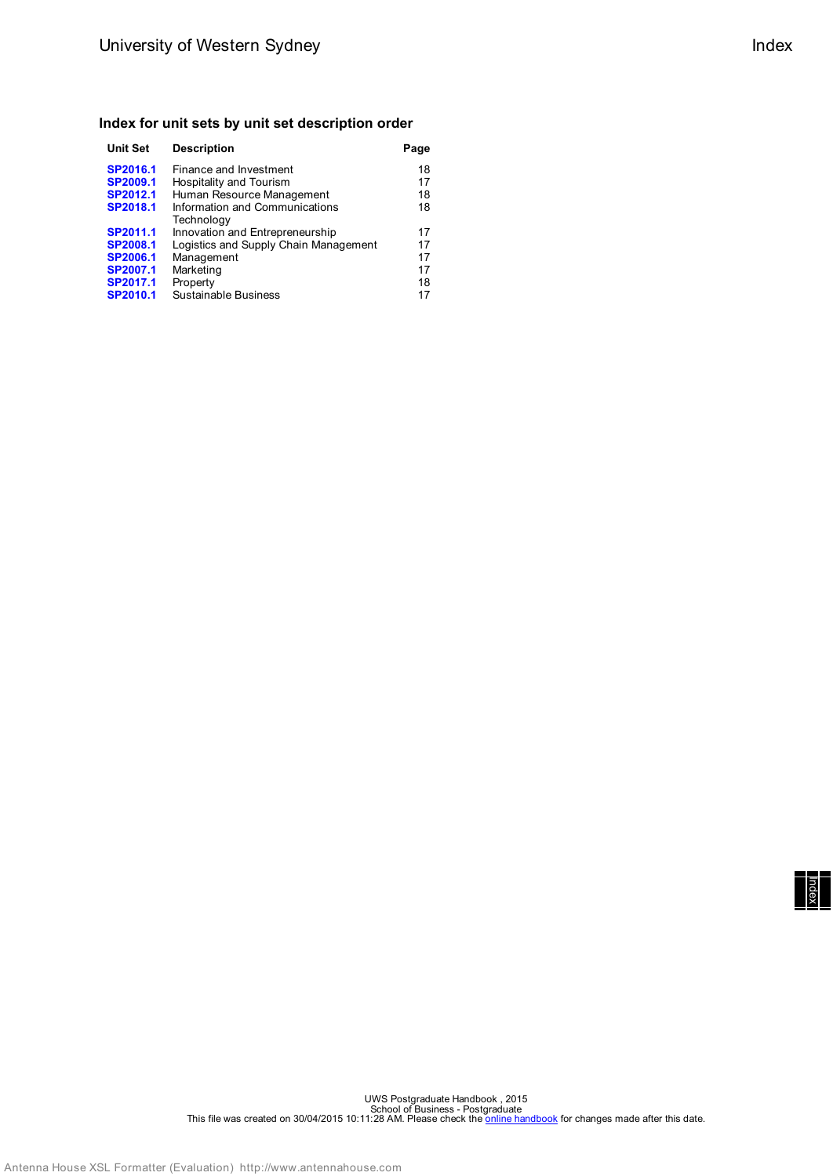### **Index for unit sets by unit set description order**

| <b>Unit Set</b> | <b>Description</b>                    | Page |
|-----------------|---------------------------------------|------|
| SP2016.1        | Finance and Investment                | 18   |
| SP2009.1        | Hospitality and Tourism               | 17   |
| SP2012.1        | Human Resource Management             | 18   |
| SP2018.1        | Information and Communications        | 18   |
|                 | Technology                            |      |
| SP2011.1        | Innovation and Entrepreneurship       | 17   |
| <b>SP2008.1</b> | Logistics and Supply Chain Management | 17   |
| SP2006.1        | Management                            | 17   |
| SP2007.1        | Marketing                             | 17   |
| SP2017.1        | Property                              | 18   |
| SP2010.1        | Sustainable Business                  | 17   |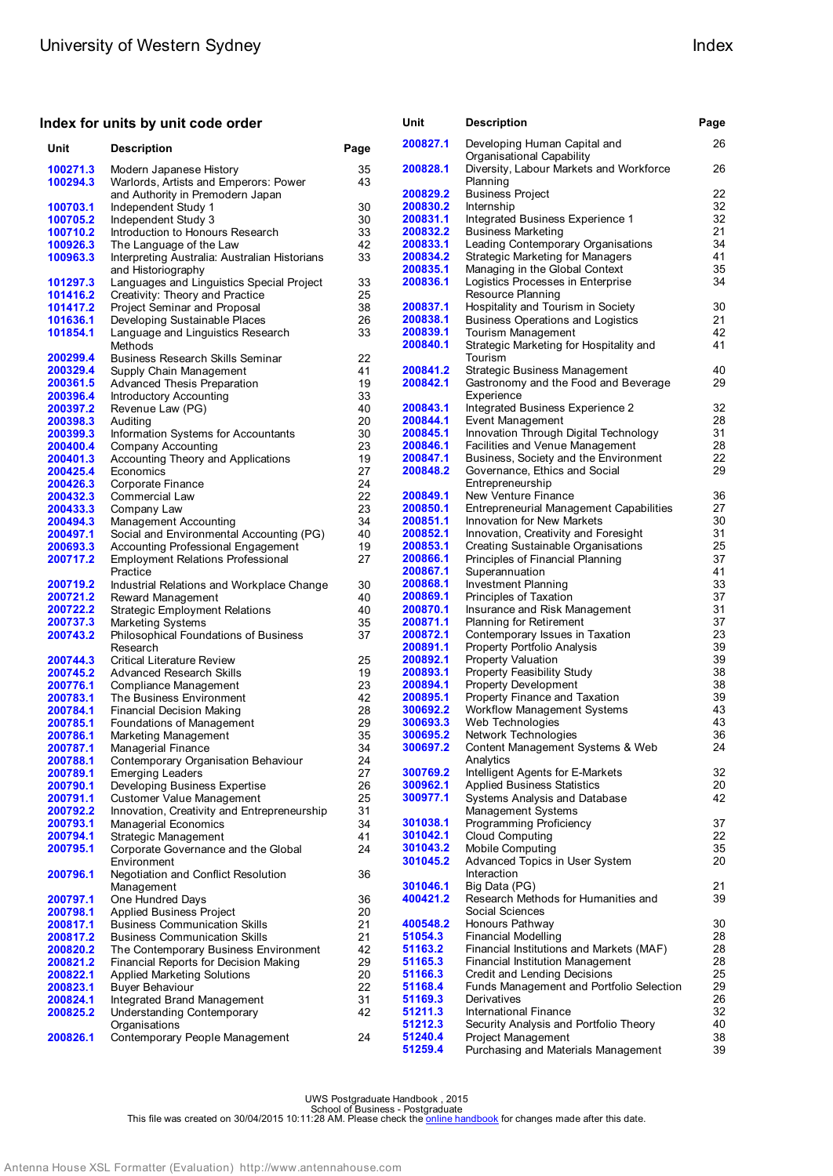| Index for units by unit code order |                                                                             |          | Unit                 | <b>Description</b>                                               | Page     |
|------------------------------------|-----------------------------------------------------------------------------|----------|----------------------|------------------------------------------------------------------|----------|
| Unit                               | <b>Description</b>                                                          | Page     | 200827.1             | Developing Human Capital and<br>Organisational Capability        | 26       |
| 100271.3<br>100294.3               | Modern Japanese History<br>Warlords, Artists and Emperors: Power            | 35<br>43 | 200828.1             | Diversity, Labour Markets and Workforce<br>Planning              | 26       |
|                                    | and Authority in Premodern Japan                                            |          | 200829.2             | <b>Business Project</b>                                          | 22       |
| 100703.1                           | Independent Study 1                                                         | 30       | 200830.2             | Internship                                                       | 32       |
| 100705.2                           | Independent Study 3                                                         | 30       | 200831.1             | Integrated Business Experience 1                                 | 32       |
| 100710.2                           | Introduction to Honours Research                                            | 33       | 200832.2             | <b>Business Marketing</b>                                        | 21       |
| 100926.3                           | The Language of the Law                                                     | 42       | 200833.1             | Leading Contemporary Organisations                               | 34       |
| 100963.3                           | Interpreting Australia: Australian Historians                               | 33       | 200834.2             | <b>Strategic Marketing for Managers</b>                          | 41       |
|                                    | and Historiography                                                          |          | 200835.1             | Managing in the Global Context                                   | 35       |
| 101297.3                           | Languages and Linguistics Special Project                                   | 33       | 200836.1             | Logistics Processes in Enterprise                                | 34       |
| 101416.2                           | Creativity: Theory and Practice                                             | 25       |                      | Resource Planning                                                |          |
| 101417.2                           | Project Seminar and Proposal                                                | 38       | 200837.1             | Hospitality and Tourism in Society                               | 30       |
| 101636.1                           | Developing Sustainable Places                                               | 26       | 200838.1             | <b>Business Operations and Logistics</b>                         | 21       |
| 101854.1                           | Language and Linguistics Research                                           | 33       | 200839.1<br>200840.1 | Tourism Management                                               | 42<br>41 |
|                                    | Methods                                                                     |          |                      | Strategic Marketing for Hospitality and                          |          |
| 200299.4<br>200329.4               | <b>Business Research Skills Seminar</b>                                     | 22<br>41 | 200841.2             | Tourism<br><b>Strategic Business Management</b>                  | 40       |
| 200361.5                           | Supply Chain Management<br>Advanced Thesis Preparation                      | 19       | 200842.1             | Gastronomy and the Food and Beverage                             | 29       |
| 200396.4                           | Introductory Accounting                                                     | 33       |                      | Experience                                                       |          |
| 200397.2                           | Revenue Law (PG)                                                            | 40       | 200843.1             | Integrated Business Experience 2                                 | 32       |
| 200398.3                           | Auditing                                                                    | 20       | 200844.1             | Event Management                                                 | 28       |
| 200399.3                           | Information Systems for Accountants                                         | 30       | 200845.1             | Innovation Through Digital Technology                            | 31       |
| 200400.4                           | Company Accounting                                                          | 23       | 200846.1             | Facilities and Venue Management                                  | 28       |
| 200401.3                           | Accounting Theory and Applications                                          | 19       | 200847.1             | Business, Society and the Environment                            | 22       |
| 200425.4                           | Economics                                                                   | 27       | 200848.2             | Governance, Ethics and Social                                    | 29       |
| 200426.3                           | Corporate Finance                                                           | 24       |                      | Entrepreneurship                                                 |          |
| 200432.3                           | Commercial Law                                                              | 22       | 200849.1             | New Venture Finance                                              | 36       |
| 200433.3                           | Company Law                                                                 | 23       | 200850.1             | Entrepreneurial Management Capabilities                          | 27       |
| 200494.3                           | Management Accounting                                                       | 34       | 200851.1             | Innovation for New Markets                                       | 30       |
| 200497.1                           | Social and Environmental Accounting (PG)                                    | 40       | 200852.1             | Innovation, Creativity and Foresight                             | 31       |
| 200693.3                           | Accounting Professional Engagement                                          | 19       | 200853.1<br>200866.1 | Creating Sustainable Organisations                               | 25<br>37 |
| 200717.2                           | <b>Employment Relations Professional</b>                                    | 27       | 200867.1             | Principles of Financial Planning                                 | 41       |
| 200719.2                           | Practice<br>Industrial Relations and Workplace Change                       | 30       | 200868.1             | Superannuation<br>Investment Planning                            | 33       |
| 200721.2                           | Reward Management                                                           | 40       | 200869.1             | Principles of Taxation                                           | 37       |
| 200722.2                           | <b>Strategic Employment Relations</b>                                       | 40       | 200870.1             | Insurance and Risk Management                                    | 31       |
| 200737.3                           | <b>Marketing Systems</b>                                                    | 35       | 200871.1             | <b>Planning for Retirement</b>                                   | $37\,$   |
| 200743.2                           | Philosophical Foundations of Business                                       | 37       | 200872.1             | Contemporary Issues in Taxation                                  | 23       |
|                                    | Research                                                                    |          | 200891.1             | <b>Property Portfolio Analysis</b>                               | 39       |
| 200744.3                           | <b>Critical Literature Review</b>                                           | 25       | 200892.1             | <b>Property Valuation</b>                                        | 39       |
| 200745.2                           | <b>Advanced Research Skills</b>                                             | 19       | 200893.1             | Property Feasibility Study                                       | 38       |
| 200776.1                           | Compliance Management                                                       | 23       | 200894.1             | <b>Property Development</b>                                      | 38       |
| 200783.1                           | The Business Environment                                                    | 42       | 200895.1             | Property Finance and Taxation                                    | 39       |
| 200784.1                           | Financial Decision Making                                                   | 28       | 300692.2             | <b>Workflow Management Systems</b>                               | 43       |
| 200785.1                           | Foundations of Management                                                   | 29       | 300693.3             | Web Technologies                                                 | 43       |
| 200786.1                           | Marketing Management                                                        | 35       | 300695.2             | Network Technologies                                             | 36       |
| 200787.1                           | Managerial Finance                                                          | 34<br>24 | 300697.2             | Content Management Systems & Web                                 | 24       |
| 200788.1<br>200789.1               | Contemporary Organisation Behaviour<br><b>Emerging Leaders</b>              | 27       | 300769.2             | Analytics<br>Intelligent Agents for E-Markets                    | 32       |
| 200790.1                           | Developing Business Expertise                                               | 26       | 300962.1             | <b>Applied Business Statistics</b>                               | 20       |
| 200791.1                           | Customer Value Management                                                   | 25       | 300977.1             | Systems Analysis and Database                                    | 42       |
| 200792.2                           | Innovation, Creativity and Entrepreneurship                                 | 31       |                      | <b>Management Systems</b>                                        |          |
| 200793.1                           | <b>Managerial Economics</b>                                                 | 34       | 301038.1             | Programming Proficiency                                          | 37       |
| 200794.1                           | Strategic Management                                                        | 41       | 301042.1             | Cloud Computing                                                  | 22       |
| 200795.1                           | Corporate Governance and the Global                                         | 24       | 301043.2             | Mobile Computing                                                 | 35       |
|                                    | Environment                                                                 |          | 301045.2             | Advanced Topics in User System                                   | 20       |
| 200796.1                           | Negotiation and Conflict Resolution                                         | 36       |                      | Interaction                                                      |          |
|                                    | Management                                                                  |          | 301046.1             | Big Data (PG)                                                    | 21       |
| 200797.1                           | One Hundred Days                                                            | 36       | 400421.2             | Research Methods for Humanities and                              | 39       |
| 200798.1                           | <b>Applied Business Project</b>                                             | 20       |                      | Social Sciences                                                  |          |
| 200817.1                           | <b>Business Communication Skills</b>                                        | 21       | 400548.2             | Honours Pathway                                                  | 30       |
| 200817.2                           | <b>Business Communication Skills</b>                                        | 21       | 51054.3              | Financial Modelling                                              | 28       |
| 200820.2                           | The Contemporary Business Environment                                       | 42       | 51163.2<br>51165.3   | Financial Institutions and Markets (MAF)                         | 28<br>28 |
| 200821.2<br>200822.1               | Financial Reports for Decision Making<br><b>Applied Marketing Solutions</b> | 29<br>20 | 51166.3              | Financial Institution Management<br>Credit and Lending Decisions | 25       |
| 200823.1                           | <b>Buyer Behaviour</b>                                                      | 22       | 51168.4              | Funds Management and Portfolio Selection                         | 29       |
| 200824.1                           | Integrated Brand Management                                                 | 31       | 51169.3              | Derivatives                                                      | 26       |
| 200825.2                           | <b>Understanding Contemporary</b>                                           | 42       | 51211.3              | International Finance                                            | 32       |
|                                    | Organisations                                                               |          | 51212.3              | Security Analysis and Portfolio Theory                           | 40       |
| 200826.1                           | Contemporary People Management                                              | 24       | 51240.4              | Project Management                                               | 38       |
|                                    |                                                                             |          | 51259.4              | Purchasing and Materials Management                              | 39       |